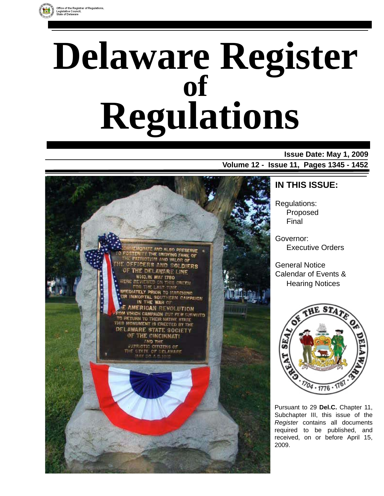

# **Delaware Register Regulations of**

### **Issue Date: May 1, 2009**

**Volume 12 - Issue 11, Pages 1345 - 1452** 



### **IN THIS ISSUE:**

Regulations: Proposed Final

Governor: Executive Orders

General Notice Calendar of Events & Hearing Notices



Pursuant to 29 **Del.C.** Chapter 11, Subchapter III, this issue of the *Register* contains all documents required to be published, and received, on or before April 15, 2009.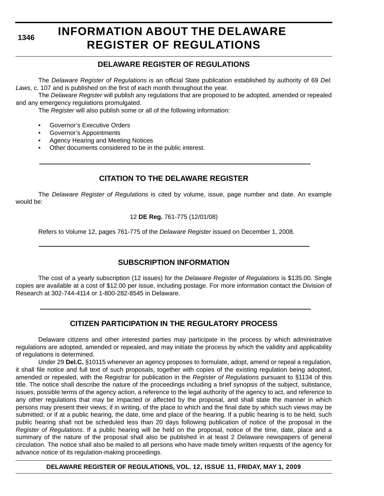# **INFORMATION ABOUT THE DELAWARE REGISTER OF REGULATIONS**

### **DELAWARE REGISTER OF REGULATIONS**

The *Delaware Register of Regulations* is an official State publication established by authority of 69 *Del. Laws*, c. 107 and is published on the first of each month throughout the year.

The *Delaware Register* will publish any regulations that are proposed to be adopted, amended or repealed and any emergency regulations promulgated.

The *Register* will also publish some or all of the following information:

- Governor's Executive Orders
- Governor's Appointments
- Agency Hearing and Meeting Notices
- Other documents considered to be in the public interest.

### **CITATION TO THE DELAWARE REGISTER**

The *Delaware Register of Regulations* is cited by volume, issue, page number and date. An example would be:

#### 12 **DE Reg.** 761-775 (12/01/08)

Refers to Volume 12, pages 761-775 of the *Delaware Register* issued on December 1, 2008.

### **SUBSCRIPTION INFORMATION**

The cost of a yearly subscription (12 issues) for the *Delaware Register of Regulations* is \$135.00. Single copies are available at a cost of \$12.00 per issue, including postage. For more information contact the Division of Research at 302-744-4114 or 1-800-282-8545 in Delaware.

### **CITIZEN PARTICIPATION IN THE REGULATORY PROCESS**

Delaware citizens and other interested parties may participate in the process by which administrative regulations are adopted, amended or repealed, and may initiate the process by which the validity and applicability of regulations is determined.

Under 29 **Del.C.** §10115 whenever an agency proposes to formulate, adopt, amend or repeal a regulation, it shall file notice and full text of such proposals, together with copies of the existing regulation being adopted, amended or repealed, with the Registrar for publication in the *Register of Regulations* pursuant to §1134 of this title. The notice shall describe the nature of the proceedings including a brief synopsis of the subject, substance, issues, possible terms of the agency action, a reference to the legal authority of the agency to act, and reference to any other regulations that may be impacted or affected by the proposal, and shall state the manner in which persons may present their views; if in writing, of the place to which and the final date by which such views may be submitted; or if at a public hearing, the date, time and place of the hearing. If a public hearing is to be held, such public hearing shall not be scheduled less than 20 days following publication of notice of the proposal in the *Register of Regulations*. If a public hearing will be held on the proposal, notice of the time, date, place and a summary of the nature of the proposal shall also be published in at least 2 Delaware newspapers of general circulation. The notice shall also be mailed to all persons who have made timely written requests of the agency for advance notice of its regulation-making proceedings.

**DELAWARE REGISTER OF REGULATIONS, VOL. 12, ISSUE 11, FRIDAY, MAY 1, 2009**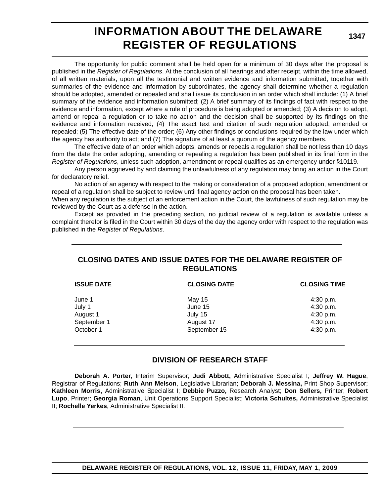### **INFORMATION ABOUT THE DELAWARE REGISTER OF REGULATIONS**

**1347**

The opportunity for public comment shall be held open for a minimum of 30 days after the proposal is published in the *Register of Regulations*. At the conclusion of all hearings and after receipt, within the time allowed, of all written materials, upon all the testimonial and written evidence and information submitted, together with summaries of the evidence and information by subordinates, the agency shall determine whether a regulation should be adopted, amended or repealed and shall issue its conclusion in an order which shall include: (1) A brief summary of the evidence and information submitted; (2) A brief summary of its findings of fact with respect to the evidence and information, except where a rule of procedure is being adopted or amended; (3) A decision to adopt, amend or repeal a regulation or to take no action and the decision shall be supported by its findings on the evidence and information received; (4) The exact text and citation of such regulation adopted, amended or repealed; (5) The effective date of the order; (6) Any other findings or conclusions required by the law under which the agency has authority to act; and (7) The signature of at least a quorum of the agency members.

The effective date of an order which adopts, amends or repeals a regulation shall be not less than 10 days from the date the order adopting, amending or repealing a regulation has been published in its final form in the *Register of Regulations*, unless such adoption, amendment or repeal qualifies as an emergency under §10119.

Any person aggrieved by and claiming the unlawfulness of any regulation may bring an action in the Court for declaratory relief.

No action of an agency with respect to the making or consideration of a proposed adoption, amendment or repeal of a regulation shall be subject to review until final agency action on the proposal has been taken.

When any regulation is the subject of an enforcement action in the Court, the lawfulness of such regulation may be reviewed by the Court as a defense in the action.

Except as provided in the preceding section, no judicial review of a regulation is available unless a complaint therefor is filed in the Court within 30 days of the day the agency order with respect to the regulation was published in the *Register of Regulations*.

### **CLOSING DATES AND ISSUE DATES FOR THE DELAWARE REGISTER OF REGULATIONS**

| <b>ISSUE DATE</b> | <b>CLOSING DATE</b> | <b>CLOSING TIME</b> |
|-------------------|---------------------|---------------------|
| June 1            | May 15              | 4:30 p.m.           |
| July 1            | June 15             | 4:30 p.m.           |
| August 1          | July 15             | 4:30 p.m.           |
| September 1       | August 17           | 4:30 p.m.           |
| October 1         | September 15        | 4:30 p.m.           |
|                   |                     |                     |

### **DIVISION OF RESEARCH STAFF**

**Deborah A. Porter**, Interim Supervisor; **Judi Abbott,** Administrative Specialist I; **Jeffrey W. Hague**, Registrar of Regulations; **Ruth Ann Melson**, Legislative Librarian; **Deborah J. Messina,** Print Shop Supervisor; **Kathleen Morris,** Administrative Specialist I; **Debbie Puzzo,** Research Analyst; **Don Sellers,** Printer; **Robert Lupo**, Printer; **Georgia Roman**, Unit Operations Support Specialist; **Victoria Schultes,** Administrative Specialist II; **Rochelle Yerkes**, Administrative Specialist II.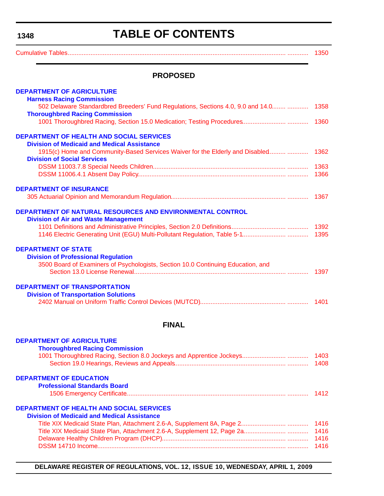# **TABLE OF CONTENTS**

<span id="page-3-0"></span>[Cumulative Tables............................................................................................................................. ............ 1350](#page-5-0)

### **PROPOSED**

| <b>DEPARTMENT OF AGRICULTURE</b>                                                       |      |
|----------------------------------------------------------------------------------------|------|
| <b>Harness Racing Commission</b>                                                       |      |
| 502 Delaware Standardbred Breeders' Fund Regulations, Sections 4.0, 9.0 and 14.0  1358 |      |
| <b>Thoroughbred Racing Commission</b>                                                  |      |
|                                                                                        |      |
| <b>DEPARTMENT OF HEALTH AND SOCIAL SERVICES</b>                                        |      |
| <b>Division of Medicaid and Medical Assistance</b>                                     |      |
| 1915(c) Home and Community-Based Services Waiver for the Elderly and Disabled          | 1362 |
| <b>Division of Social Services</b>                                                     |      |
|                                                                                        |      |
|                                                                                        |      |
| <b>DEPARTMENT OF INSURANCE</b>                                                         |      |
|                                                                                        |      |
| DEPARTMENT OF NATURAL RESOURCES AND ENVIRONMENTAL CONTROL                              |      |
| <b>Division of Air and Waste Management</b>                                            |      |
|                                                                                        |      |
|                                                                                        |      |
| <b>DEPARTMENT OF STATE</b>                                                             |      |
| <b>Division of Professional Regulation</b>                                             |      |
| 3500 Board of Examiners of Psychologists, Section 10.0 Continuing Education, and       |      |
|                                                                                        | 1397 |
|                                                                                        |      |
| <b>DEPARTMENT OF TRANSPORTATION</b>                                                    |      |
| <b>Division of Transportation Solutions</b>                                            |      |
|                                                                                        |      |
| <b>FINAL</b>                                                                           |      |
|                                                                                        |      |
| <b>DEPARTMENT OF AGRICULTURE</b>                                                       |      |
| <b>Thoroughbred Racing Commission</b>                                                  |      |
|                                                                                        |      |
|                                                                                        |      |
| <b>DEPARTMENT OF EDUCATION</b>                                                         |      |
| <b>Professional Standards Board</b>                                                    |      |
|                                                                                        | 1412 |
| <b>DEPARTMENT OF HEALTH AND SOCIAL SERVICES</b>                                        |      |
| <b>Division of Medicaid and Medical Assistance</b>                                     |      |
|                                                                                        | 1416 |
|                                                                                        | 1416 |
|                                                                                        | 1416 |
|                                                                                        |      |
|                                                                                        |      |

**DELAWARE REGISTER OF REGULATIONS, VOL. 12, ISSUE 10, WEDNESDAY, APRIL 1, 2009**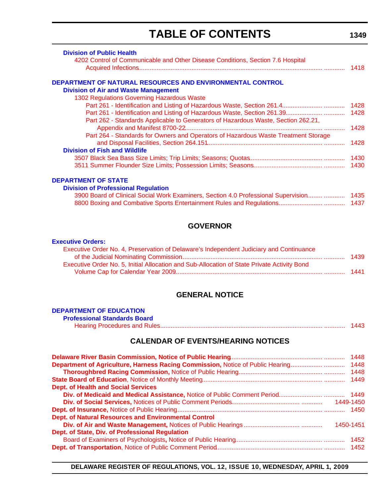# **TABLE OF CONTENTS**

| <b>Division of Public Health</b>                                                         |      |
|------------------------------------------------------------------------------------------|------|
| 4202 Control of Communicable and Other Disease Conditions, Section 7.6 Hospital          |      |
|                                                                                          | 1418 |
| DEPARTMENT OF NATURAL RESOURCES AND ENVIRONMENTAL CONTROL                                |      |
| <b>Division of Air and Waste Management</b>                                              |      |
| 1302 Regulations Governing Hazardous Waste                                               |      |
|                                                                                          | 1428 |
|                                                                                          |      |
| Part 262 - Standards Applicable to Generators of Hazardous Waste, Section 262.21,        |      |
|                                                                                          | 1428 |
| Part 264 - Standards for Owners and Operators of Hazardous Waste Treatment Storage       |      |
|                                                                                          | 1428 |
| <b>Division of Fish and Wildlife</b>                                                     |      |
|                                                                                          | 1430 |
|                                                                                          |      |
| <b>DEPARTMENT OF STATE</b>                                                               |      |
| <b>Division of Professional Regulation</b>                                               |      |
| 3900 Board of Clinical Social Work Examiners, Section 4.0 Professional Supervision  1435 |      |

| <b>GOVERNOR</b> |  |
|-----------------|--|
|                 |  |

[8800 Boxing and Combative Sports Entertainment Rules and Regulations.......................... ............ 1437](#page-92-0)

#### **[Executive Orders:](http://governor.delaware.gov/orders/index.shtml)**

| - 1439 |
|--------|
|        |
|        |
|        |

### **GENERAL NOTICE**

### **[DEPARTMENT OF EDUCATION](http://www.doe.k12.de.us/)**

| <b>Professional Standards Board</b> |  |
|-------------------------------------|--|
|                                     |  |

### **CALENDAR OF EVENTS/HEARING NOTICES**

| <b>Dept. of Health and Social Services</b>                  |  |
|-------------------------------------------------------------|--|
|                                                             |  |
|                                                             |  |
|                                                             |  |
| <b>Dept. of Natural Resources and Environmental Control</b> |  |
|                                                             |  |
| Dept. of State, Div. of Professional Regulation             |  |
|                                                             |  |
|                                                             |  |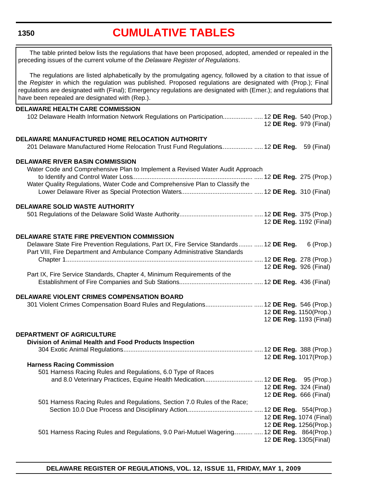# **[CUMULATIVE TABLES](#page-3-0)**

<span id="page-5-0"></span>

| The table printed below lists the regulations that have been proposed, adopted, amended or repealed in the<br>preceding issues of the current volume of the Delaware Register of Regulations.                                                                                                                                                                                                      |                         |           |
|----------------------------------------------------------------------------------------------------------------------------------------------------------------------------------------------------------------------------------------------------------------------------------------------------------------------------------------------------------------------------------------------------|-------------------------|-----------|
| The regulations are listed alphabetically by the promulgating agency, followed by a citation to that issue of<br>the Register in which the regulation was published. Proposed regulations are designated with (Prop.); Final<br>regulations are designated with (Final); Emergency regulations are designated with (Emer.); and regulations that<br>have been repealed are designated with (Rep.). |                         |           |
|                                                                                                                                                                                                                                                                                                                                                                                                    |                         |           |
| <b>DELAWARE HEALTH CARE COMMISSION</b><br>102 Delaware Health Information Network Regulations on Participation  12 DE Reg. 540 (Prop.)                                                                                                                                                                                                                                                             | 12 DE Reg. 979 (Final)  |           |
|                                                                                                                                                                                                                                                                                                                                                                                                    |                         |           |
| DELAWARE MANUFACTURED HOME RELOCATION AUTHORITY<br>201 Delaware Manufactured Home Relocation Trust Fund Regulations  12 DE Reg. 59 (Final)                                                                                                                                                                                                                                                         |                         |           |
| <b>DELAWARE RIVER BASIN COMMISSION</b>                                                                                                                                                                                                                                                                                                                                                             |                         |           |
|                                                                                                                                                                                                                                                                                                                                                                                                    |                         |           |
| Water Code and Comprehensive Plan to Implement a Revised Water Audit Approach                                                                                                                                                                                                                                                                                                                      |                         |           |
|                                                                                                                                                                                                                                                                                                                                                                                                    |                         |           |
| Water Quality Regulations, Water Code and Comprehensive Plan to Classify the                                                                                                                                                                                                                                                                                                                       |                         |           |
|                                                                                                                                                                                                                                                                                                                                                                                                    |                         |           |
|                                                                                                                                                                                                                                                                                                                                                                                                    |                         |           |
|                                                                                                                                                                                                                                                                                                                                                                                                    |                         |           |
| <b>DELAWARE SOLID WASTE AUTHORITY</b>                                                                                                                                                                                                                                                                                                                                                              |                         |           |
|                                                                                                                                                                                                                                                                                                                                                                                                    |                         |           |
|                                                                                                                                                                                                                                                                                                                                                                                                    |                         |           |
|                                                                                                                                                                                                                                                                                                                                                                                                    | 12 DE Reg. 1192 (Final) |           |
|                                                                                                                                                                                                                                                                                                                                                                                                    |                         |           |
|                                                                                                                                                                                                                                                                                                                                                                                                    |                         |           |
| <b>DELAWARE STATE FIRE PREVENTION COMMISSION</b>                                                                                                                                                                                                                                                                                                                                                   |                         |           |
| Delaware State Fire Prevention Regulations, Part IX, Fire Service Standards  12 DE Reg.                                                                                                                                                                                                                                                                                                            |                         | 6 (Prop.) |
| Part VIII, Fire Department and Ambulance Company Administrative Standards                                                                                                                                                                                                                                                                                                                          |                         |           |
|                                                                                                                                                                                                                                                                                                                                                                                                    |                         |           |
|                                                                                                                                                                                                                                                                                                                                                                                                    |                         |           |
|                                                                                                                                                                                                                                                                                                                                                                                                    | 12 DE Reg. 926 (Final)  |           |
| Part IX, Fire Service Standards, Chapter 4, Minimum Requirements of the                                                                                                                                                                                                                                                                                                                            |                         |           |
|                                                                                                                                                                                                                                                                                                                                                                                                    |                         |           |
|                                                                                                                                                                                                                                                                                                                                                                                                    |                         |           |
|                                                                                                                                                                                                                                                                                                                                                                                                    |                         |           |
| DELAWARE VIOLENT CRIMES COMPENSATION BOARD                                                                                                                                                                                                                                                                                                                                                         |                         |           |
| 301 Violent Crimes Compensation Board Rules and Regulations 12 DE Reg. 546 (Prop.)                                                                                                                                                                                                                                                                                                                 |                         |           |
|                                                                                                                                                                                                                                                                                                                                                                                                    | 12 DE Reg. 1150(Prop.)  |           |
|                                                                                                                                                                                                                                                                                                                                                                                                    | 12 DE Reg. 1193 (Final) |           |
|                                                                                                                                                                                                                                                                                                                                                                                                    |                         |           |
|                                                                                                                                                                                                                                                                                                                                                                                                    |                         |           |
| DEPARTMENT OF AGRICULTURE                                                                                                                                                                                                                                                                                                                                                                          |                         |           |
| Division of Animal Health and Food Products Inspection                                                                                                                                                                                                                                                                                                                                             |                         |           |
|                                                                                                                                                                                                                                                                                                                                                                                                    |                         |           |
|                                                                                                                                                                                                                                                                                                                                                                                                    |                         |           |
|                                                                                                                                                                                                                                                                                                                                                                                                    | 12 DE Reg. 1017(Prop.)  |           |
| <b>Harness Racing Commission</b>                                                                                                                                                                                                                                                                                                                                                                   |                         |           |
| 501 Harness Racing Rules and Regulations, 6.0 Type of Races                                                                                                                                                                                                                                                                                                                                        |                         |           |
|                                                                                                                                                                                                                                                                                                                                                                                                    |                         |           |
|                                                                                                                                                                                                                                                                                                                                                                                                    |                         |           |
|                                                                                                                                                                                                                                                                                                                                                                                                    | 12 DE Reg. 324 (Final)  |           |
|                                                                                                                                                                                                                                                                                                                                                                                                    | 12 DE Reg. 666 (Final)  |           |
| 501 Harness Racing Rules and Regulations, Section 7.0 Rules of the Race;                                                                                                                                                                                                                                                                                                                           |                         |           |
|                                                                                                                                                                                                                                                                                                                                                                                                    |                         |           |
|                                                                                                                                                                                                                                                                                                                                                                                                    |                         |           |
|                                                                                                                                                                                                                                                                                                                                                                                                    | 12 DE Reg. 1074 (Final) |           |
|                                                                                                                                                                                                                                                                                                                                                                                                    | 12 DE Reg. 1256(Prop.)  |           |
| 501 Harness Racing Rules and Regulations, 9.0 Pari-Mutuel Wagering  12 DE Reg. 864(Prop.)                                                                                                                                                                                                                                                                                                          |                         |           |
|                                                                                                                                                                                                                                                                                                                                                                                                    |                         |           |
|                                                                                                                                                                                                                                                                                                                                                                                                    | 12 DE Reg. 1305(Final)  |           |
|                                                                                                                                                                                                                                                                                                                                                                                                    |                         |           |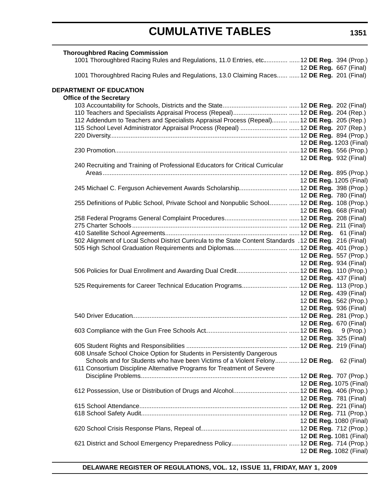| <b>Thoroughbred Racing Commission</b>                                                                   |                               |                               |
|---------------------------------------------------------------------------------------------------------|-------------------------------|-------------------------------|
| 1001 Thoroughbred Racing Rules and Regulations, 11.0 Entries, etc  12 DE Reg. 394 (Prop.)               |                               |                               |
|                                                                                                         | 12 <b>DE Reg.</b> 667 (Final) |                               |
| 1001 Thoroughbred Racing Rules and Regulations, 13.0 Claiming Races  12 DE Reg. 201 (Final)             |                               |                               |
| DEPARTMENT OF EDUCATION                                                                                 |                               |                               |
| <b>Office of the Secretary</b>                                                                          |                               |                               |
|                                                                                                         |                               |                               |
|                                                                                                         |                               |                               |
| 112 Addendum to Teachers and Specialists Appraisal Process (Repeal)  12 DE Reg. 205 (Rep.)              |                               |                               |
|                                                                                                         |                               |                               |
|                                                                                                         |                               |                               |
|                                                                                                         | 12 DE Reg. 1203 (Final)       |                               |
|                                                                                                         |                               |                               |
|                                                                                                         |                               | 12 DE Reg. 932 (Final)        |
| 240 Recruiting and Training of Professional Educators for Critical Curricular                           |                               |                               |
|                                                                                                         |                               |                               |
|                                                                                                         |                               | 12 DE Reg. 1205 (Final)       |
|                                                                                                         |                               |                               |
|                                                                                                         |                               | 12 DE Reg. 780 (Final)        |
| 255 Definitions of Public School, Private School and Nonpublic School  12 DE Reg. 108 (Prop.)           |                               |                               |
|                                                                                                         | 12 <b>DE Reg.</b> 668 (Final) |                               |
|                                                                                                         |                               |                               |
|                                                                                                         |                               |                               |
|                                                                                                         |                               |                               |
| 502 Alignment of Local School District Curricula to the State Content Standards .12 DE Reg. 216 (Final) |                               |                               |
|                                                                                                         |                               |                               |
|                                                                                                         |                               | 12 DE Reg. 557 (Prop.)        |
|                                                                                                         |                               | 12 DE Reg. 934 (Final)        |
|                                                                                                         |                               |                               |
|                                                                                                         |                               | 12 DE Reg. 437 (Final)        |
| 525 Requirements for Career Technical Education Programs 12 DE Reg. 113 (Prop.)                         |                               |                               |
|                                                                                                         |                               | 12 DE Reg. 439 (Final)        |
|                                                                                                         |                               | 12 DE Reg. 562 (Prop.)        |
|                                                                                                         |                               | 12 DE Reg. 936 (Final)        |
|                                                                                                         |                               |                               |
|                                                                                                         |                               | 12 DE Reg. 670 (Final)        |
|                                                                                                         |                               |                               |
|                                                                                                         |                               | 12 <b>DE Reg.</b> 325 (Final) |
|                                                                                                         |                               |                               |
| 608 Unsafe School Choice Option for Students in Persistently Dangerous                                  |                               |                               |
| Schools and for Students who have been Victims of a Violent Felony  12 DE Reg. 62 (Final)               |                               |                               |
| 611 Consortium Discipline Alternative Programs for Treatment of Severe                                  |                               |                               |
|                                                                                                         |                               |                               |
|                                                                                                         |                               | 12 DE Reg. 1075 (Final)       |
|                                                                                                         |                               |                               |
|                                                                                                         |                               | 12 DE Reg. 781 (Final)        |
|                                                                                                         |                               |                               |
|                                                                                                         |                               |                               |
|                                                                                                         |                               | 12 DE Reg. 1080 (Final)       |
|                                                                                                         |                               |                               |
|                                                                                                         |                               | 12 DE Reg. 1081 (Final)       |
|                                                                                                         |                               |                               |
|                                                                                                         |                               | 12 DE Reg. 1082 (Final)       |
|                                                                                                         |                               |                               |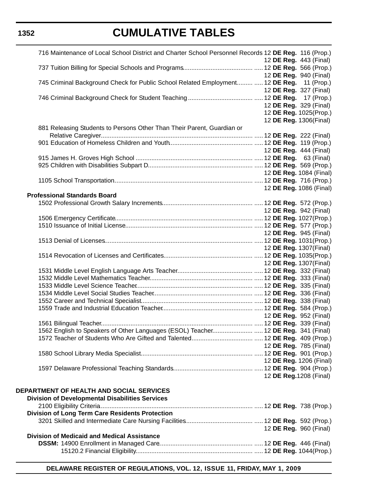# **CUMULATIVE TABLES**

| 716 Maintenance of Local School District and Charter School Personnel Records 12 DE Reg. 116 (Prop.) |                               |  |                               |
|------------------------------------------------------------------------------------------------------|-------------------------------|--|-------------------------------|
|                                                                                                      | 12 DE Reg. 443 (Final)        |  |                               |
|                                                                                                      |                               |  |                               |
|                                                                                                      | 12 DE Reg. 940 (Final)        |  |                               |
| 745 Criminal Background Check for Public School Related Employment  12 DE Reg. 11 (Prop.)            |                               |  |                               |
|                                                                                                      | 12 DE Reg. 327 (Final)        |  |                               |
|                                                                                                      |                               |  |                               |
|                                                                                                      | 12 DE Reg. 329 (Final)        |  |                               |
|                                                                                                      |                               |  | 12 DE Reg. 1025(Prop.)        |
|                                                                                                      | 12 DE Reg. 1306(Final)        |  |                               |
| 881 Releasing Students to Persons Other Than Their Parent, Guardian or                               |                               |  |                               |
|                                                                                                      |                               |  |                               |
|                                                                                                      |                               |  |                               |
|                                                                                                      | 12 <b>DE Reg.</b> 444 (Final) |  |                               |
|                                                                                                      |                               |  |                               |
|                                                                                                      |                               |  |                               |
|                                                                                                      |                               |  | 12 DE Reg. 1084 (Final)       |
|                                                                                                      |                               |  |                               |
|                                                                                                      |                               |  | 12 DE Reg. 1086 (Final)       |
| <b>Professional Standards Board</b>                                                                  |                               |  |                               |
|                                                                                                      |                               |  |                               |
|                                                                                                      | 12 DE Reg. 942 (Final)        |  |                               |
|                                                                                                      |                               |  |                               |
|                                                                                                      |                               |  |                               |
|                                                                                                      | 12 DE Reg. 945 (Final)        |  |                               |
|                                                                                                      |                               |  |                               |
|                                                                                                      |                               |  |                               |
|                                                                                                      | 12 DE Reg. 1307(Final)        |  |                               |
|                                                                                                      |                               |  |                               |
|                                                                                                      | 12 DE Reg. 1307(Final)        |  |                               |
|                                                                                                      |                               |  |                               |
|                                                                                                      |                               |  |                               |
|                                                                                                      |                               |  |                               |
|                                                                                                      |                               |  |                               |
|                                                                                                      |                               |  |                               |
|                                                                                                      |                               |  |                               |
|                                                                                                      | 12 DE Reg. 952 (Final)        |  |                               |
|                                                                                                      |                               |  |                               |
| 1562 English to Speakers of Other Languages (ESOL) Teacher 12 DE Reg. 341 (Final)                    |                               |  |                               |
|                                                                                                      |                               |  |                               |
|                                                                                                      |                               |  | 12 <b>DE Reg.</b> 785 (Final) |
|                                                                                                      |                               |  |                               |
|                                                                                                      |                               |  | 12 DE Reg. 1206 (Final)       |
|                                                                                                      |                               |  |                               |
|                                                                                                      |                               |  |                               |
|                                                                                                      |                               |  | 12 DE Reg. 1208 (Final)       |
|                                                                                                      |                               |  |                               |
| <b>DEPARTMENT OF HEALTH AND SOCIAL SERVICES</b>                                                      |                               |  |                               |
| <b>Division of Developmental Disabilities Services</b>                                               |                               |  |                               |
|                                                                                                      |                               |  |                               |
| <b>Division of Long Term Care Residents Protection</b>                                               |                               |  |                               |
|                                                                                                      |                               |  |                               |
|                                                                                                      |                               |  | 12 DE Reg. 960 (Final)        |
| <b>Division of Medicaid and Medical Assistance</b>                                                   |                               |  |                               |
|                                                                                                      |                               |  |                               |
|                                                                                                      |                               |  |                               |
|                                                                                                      |                               |  |                               |

**DELAWARE REGISTER OF REGULATIONS, VOL. 12, ISSUE 11, FRIDAY, MAY 1, 2009**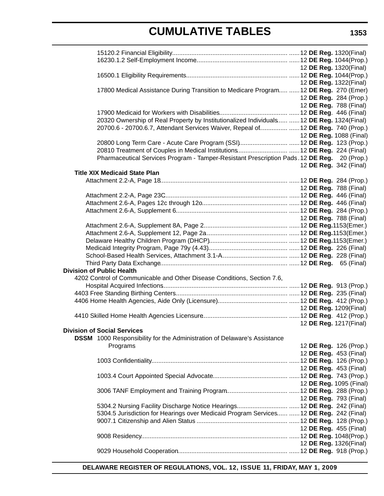|                                                                                             |  | 12 DE Reg. 1320(Final)        |
|---------------------------------------------------------------------------------------------|--|-------------------------------|
|                                                                                             |  |                               |
|                                                                                             |  | 12 DE Reg. 1322(Final)        |
| 17800 Medical Assistance During Transition to Medicare Program  12 DE Reg. 270 (Emer)       |  |                               |
|                                                                                             |  | 12 DE Reg. 284 (Prop.)        |
|                                                                                             |  | 12 DE Reg. 788 (Final)        |
|                                                                                             |  |                               |
| 20320 Ownership of Real Property by Institutionalized Individuals  12 DE Reg. 1324(Final)   |  |                               |
| 20700.6 - 20700.6.7, Attendant Services Waiver, Repeal of  12 DE Reg. 740 (Prop.)           |  |                               |
|                                                                                             |  | 12 DE Reg. 1088 (Final)       |
| 20800 Long Term Care - Acute Care Program (SSI) 12 DE Reg. 123 (Prop.)                      |  |                               |
|                                                                                             |  |                               |
| Pharmaceutical Services Program - Tamper-Resistant Prescription Pads. 12 DE Reg. 20 (Prop.) |  |                               |
|                                                                                             |  | 12 DE Reg. 342 (Final)        |
| <b>Title XIX Medicaid State Plan</b>                                                        |  |                               |
|                                                                                             |  |                               |
|                                                                                             |  | 12 <b>DE Reg.</b> 788 (Final) |
|                                                                                             |  |                               |
|                                                                                             |  |                               |
|                                                                                             |  |                               |
|                                                                                             |  | 12 <b>DE Reg.</b> 788 (Final) |
|                                                                                             |  |                               |
|                                                                                             |  |                               |
|                                                                                             |  |                               |
|                                                                                             |  |                               |
|                                                                                             |  |                               |
|                                                                                             |  |                               |
| <b>Division of Public Health</b>                                                            |  |                               |
|                                                                                             |  |                               |
| 4202 Control of Communicable and Other Disease Conditions, Section 7.6,                     |  |                               |
|                                                                                             |  |                               |
|                                                                                             |  |                               |
|                                                                                             |  |                               |
|                                                                                             |  | 12 DE Reg. 1209(Final)        |
|                                                                                             |  |                               |
|                                                                                             |  | 12 DE Reg. 1217(Final)        |
| <b>Division of Social Services</b>                                                          |  |                               |
| <b>DSSM</b> 1000 Responsibility for the Administration of Delaware's Assistance             |  |                               |
| Programs                                                                                    |  | 12 DE Reg. 126 (Prop.)        |
|                                                                                             |  | 12 DE Reg. 453 (Final)        |
|                                                                                             |  |                               |
|                                                                                             |  | 12 DE Reg. 453 (Final)        |
|                                                                                             |  |                               |
|                                                                                             |  | 12 DE Reg. 1095 (Final)       |
|                                                                                             |  |                               |
|                                                                                             |  | 12 DE Reg. 793 (Final)        |
|                                                                                             |  |                               |
| 5304.5 Jurisdiction for Hearings over Medicaid Program Services  12 DE Reg. 242 (Final)     |  |                               |
|                                                                                             |  |                               |
|                                                                                             |  | 12 DE Reg. 455 (Final)        |
|                                                                                             |  |                               |
|                                                                                             |  | 12 DE Reg. 1326(Final)        |
|                                                                                             |  |                               |
|                                                                                             |  |                               |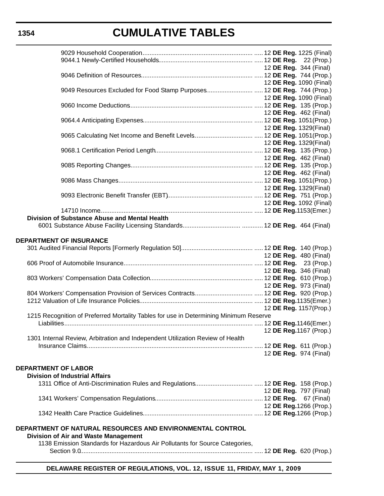|                                                                                       | 12 <b>DE Reg.</b> 344 (Final) |
|---------------------------------------------------------------------------------------|-------------------------------|
|                                                                                       |                               |
|                                                                                       |                               |
|                                                                                       | 12 DE Reg. 1090 (Final)       |
| 9049 Resources Excluded for Food Stamp Purposes 12 DE Reg. 744 (Prop.)                |                               |
|                                                                                       | 12 DE Reg. 1090 (Final)       |
|                                                                                       |                               |
|                                                                                       |                               |
|                                                                                       | 12 <b>DE Reg.</b> 462 (Final) |
|                                                                                       |                               |
|                                                                                       | 12 DE Reg. 1329(Final)        |
|                                                                                       |                               |
|                                                                                       |                               |
|                                                                                       | 12 DE Reg. 1329(Final)        |
|                                                                                       |                               |
|                                                                                       | 12 <b>DE Reg.</b> 462 (Final) |
|                                                                                       |                               |
|                                                                                       |                               |
|                                                                                       | 12 <b>DE Reg.</b> 462 (Final) |
|                                                                                       |                               |
|                                                                                       | 12 DE Reg. 1329(Final)        |
|                                                                                       |                               |
|                                                                                       |                               |
|                                                                                       | 12 DE Reg. 1092 (Final)       |
|                                                                                       |                               |
| Division of Substance Abuse and Mental Health                                         |                               |
|                                                                                       |                               |
|                                                                                       |                               |
|                                                                                       |                               |
| DEPARTMENT OF INSURANCE                                                               |                               |
|                                                                                       |                               |
|                                                                                       |                               |
|                                                                                       | 12 DE Reg. 480 (Final)        |
|                                                                                       |                               |
|                                                                                       | 12 <b>DE Reg.</b> 346 (Final) |
|                                                                                       |                               |
|                                                                                       |                               |
|                                                                                       | 12 DE Reg. 973 (Final)        |
|                                                                                       |                               |
|                                                                                       |                               |
|                                                                                       |                               |
|                                                                                       | 12 DE Reg. 1157(Prop.)        |
| 1215 Recognition of Preferred Mortality Tables for use in Determining Minimum Reserve |                               |
|                                                                                       |                               |
|                                                                                       | 12 DE Reg. 1167 (Prop.)       |
|                                                                                       |                               |
| 1301 Internal Review, Arbitration and Independent Utilization Review of Health        |                               |
|                                                                                       |                               |
|                                                                                       | 12 DE Reg. 974 (Final)        |
|                                                                                       |                               |
|                                                                                       |                               |
| <b>DEPARTMENT OF LABOR</b>                                                            |                               |
| <b>Division of Industrial Affairs</b>                                                 |                               |
|                                                                                       |                               |
|                                                                                       | 12 <b>DE Reg.</b> 797 (Final) |
|                                                                                       |                               |
|                                                                                       |                               |
|                                                                                       | 12 DE Reg. 1266 (Prop.)       |
|                                                                                       |                               |
|                                                                                       |                               |
|                                                                                       |                               |
| DEPARTMENT OF NATURAL RESOURCES AND ENVIRONMENTAL CONTROL                             |                               |
| Division of Air and Waste Management                                                  |                               |
| 1138 Emission Standards for Hazardous Air Pollutants for Source Categories,           |                               |
| $O_{\text{right}} \cap O$                                                             | (0.55.5)                      |

Section 9.0................................................................................................... ..... 12 **DE Reg.** 620 (Prop.)

#### **DELAWARE REGISTER OF REGULATIONS, VOL. 12, ISSUE 11, FRIDAY, MAY 1, 2009**

### **1354**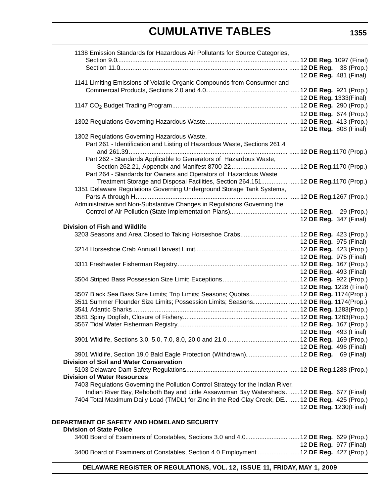| 1138 Emission Standards for Hazardous Air Pollutants for Source Categories,                     |  |  |                               |
|-------------------------------------------------------------------------------------------------|--|--|-------------------------------|
|                                                                                                 |  |  |                               |
|                                                                                                 |  |  |                               |
|                                                                                                 |  |  | 12 DE Reg. 481 (Final)        |
| 1141 Limiting Emissions of Volatile Organic Compounds from Consurmer and                        |  |  |                               |
|                                                                                                 |  |  |                               |
|                                                                                                 |  |  | 12 DE Reg. 1333(Final)        |
|                                                                                                 |  |  |                               |
|                                                                                                 |  |  | 12 DE Reg. 674 (Prop.)        |
|                                                                                                 |  |  |                               |
|                                                                                                 |  |  |                               |
|                                                                                                 |  |  | 12 DE Reg. 808 (Final)        |
| 1302 Regulations Governing Hazardous Waste,                                                     |  |  |                               |
| Part 261 - Identification and Listing of Hazardous Waste, Sections 261.4                        |  |  |                               |
|                                                                                                 |  |  |                               |
| Part 262 - Standards Applicable to Generators of Hazardous Waste,                               |  |  |                               |
|                                                                                                 |  |  |                               |
| Part 264 - Standards for Owners and Operators of Hazardous Waste                                |  |  |                               |
| Treatment Storage and Disposal Facilities, Section 264.151 12 DE Reg.1170 (Prop.)               |  |  |                               |
| 1351 Delaware Regulations Governing Underground Storage Tank Systems,                           |  |  |                               |
|                                                                                                 |  |  |                               |
| Administrative and Non-Substantive Changes in Regulations Governing the                         |  |  |                               |
|                                                                                                 |  |  |                               |
|                                                                                                 |  |  |                               |
|                                                                                                 |  |  | 12 DE Reg. 347 (Final)        |
| <b>Division of Fish and Wildlife</b>                                                            |  |  |                               |
| 3203 Seasons and Area Closed to Taking Horseshoe Crabs 12 DE Reg. 423 (Prop.)                   |  |  |                               |
|                                                                                                 |  |  | 12 <b>DE Reg.</b> 975 (Final) |
|                                                                                                 |  |  |                               |
|                                                                                                 |  |  | 12 DE Reg. 975 (Final)        |
|                                                                                                 |  |  |                               |
|                                                                                                 |  |  | 12 DE Reg. 493 (Final)        |
|                                                                                                 |  |  |                               |
|                                                                                                 |  |  | 12 DE Reg. 1228 (Final)       |
| 3507 Black Sea Bass Size Limits; Trip Limits; Seasons; Quotas 12 DE Reg. 1174(Prop.)            |  |  |                               |
| 3511 Summer Flounder Size Limits; Possession Limits; Seasons  12 DE Reg. 1174(Prop.)            |  |  |                               |
|                                                                                                 |  |  |                               |
|                                                                                                 |  |  |                               |
|                                                                                                 |  |  |                               |
|                                                                                                 |  |  | 12 DE Reg. 493 (Final)        |
|                                                                                                 |  |  |                               |
|                                                                                                 |  |  |                               |
|                                                                                                 |  |  | 12 DE Reg. 496 (Final)        |
| 3901 Wildlife, Section 19.0 Bald Eagle Protection (Withdrawn) 12 DE Reg. 69 (Final)             |  |  |                               |
| <b>Division of Soil and Water Conservation</b>                                                  |  |  |                               |
|                                                                                                 |  |  |                               |
| <b>Division of Water Resources</b>                                                              |  |  |                               |
| 7403 Regulations Governing the Pollution Control Strategy for the Indian River,                 |  |  |                               |
| Indian River Bay, Rehoboth Bay and Little Assawoman Bay Watersheds.  12 DE Reg. 677 (Final)     |  |  |                               |
| 7404 Total Maximum Daily Load (TMDL) for Zinc in the Red Clay Creek, DE  12 DE Reg. 425 (Prop.) |  |  |                               |
|                                                                                                 |  |  | 12 DE Reg. 1230(Final)        |
|                                                                                                 |  |  |                               |
| DEPARTMENT OF SAFETY AND HOMELAND SECURITY                                                      |  |  |                               |
| <b>Division of State Police</b>                                                                 |  |  |                               |
|                                                                                                 |  |  |                               |

|                                                                                      | 12 <b>DE Reg.</b> 977 (Final) |
|--------------------------------------------------------------------------------------|-------------------------------|
| 3400 Board of Examiners of Constables, Section 4.0 Employment 12 DE Reg. 427 (Prop.) |                               |

### **DELAWARE REGISTER OF REGULATIONS, VOL. 12, ISSUE 11, FRIDAY, MAY 1, 2009**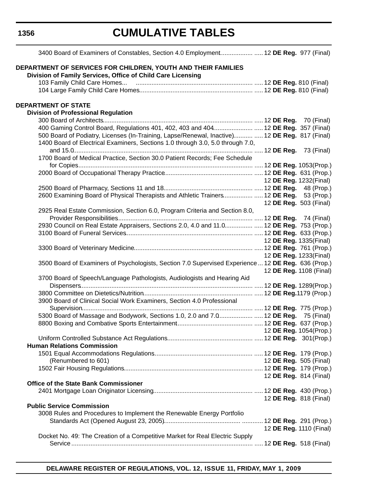| 3400 Board of Examiners of Constables, Section 4.0 Employment 12 DE Reg. 977 (Final)                |                        |                         |
|-----------------------------------------------------------------------------------------------------|------------------------|-------------------------|
|                                                                                                     |                        |                         |
| DEPARTMENT OF SERVICES FOR CHILDREN, YOUTH AND THEIR FAMILIES                                       |                        |                         |
| Division of Family Services, Office of Child Care Licensing                                         |                        |                         |
|                                                                                                     |                        |                         |
|                                                                                                     |                        |                         |
| <b>DEPARTMENT OF STATE</b>                                                                          |                        |                         |
| <b>Division of Professional Regulation</b>                                                          |                        |                         |
|                                                                                                     |                        |                         |
| 400 Gaming Control Board, Regulations 401, 402, 403 and 404 12 DE Reg. 357 (Final)                  |                        |                         |
| 500 Board of Podiatry, Licenses (In-Training, Lapse/Renewal, Inactive)  12 DE Reg. 817 (Final)      |                        |                         |
| 1400 Board of Electrical Examiners, Sections 1.0 through 3.0, 5.0 through 7.0,                      |                        |                         |
|                                                                                                     |                        |                         |
| 1700 Board of Medical Practice, Section 30.0 Patient Records; Fee Schedule                          |                        |                         |
|                                                                                                     |                        |                         |
|                                                                                                     |                        |                         |
|                                                                                                     | 12 DE Reg. 1232(Final) |                         |
|                                                                                                     |                        |                         |
| 2600 Examining Board of Physical Therapists and Athletic Trainers 12 DE Reg. 53 (Prop.)             |                        |                         |
|                                                                                                     |                        | 12 DE Reg. 503 (Final)  |
| 2925 Real Estate Commission, Section 6.0, Program Criteria and Section 8.0,                         |                        |                         |
|                                                                                                     |                        |                         |
| 2930 Council on Real Estate Appraisers, Sections 2.0, 4.0 and 11.0 12 DE Reg. 753 (Prop.)           |                        |                         |
|                                                                                                     |                        |                         |
|                                                                                                     |                        | 12 DE Reg. 1335(Final)  |
|                                                                                                     |                        |                         |
|                                                                                                     |                        | 12 DE Reg. 1233(Final)  |
| 3500 Board of Examiners of Psychologists, Section 7.0 Supervised Experience  12 DE Reg. 636 (Prop.) |                        |                         |
|                                                                                                     |                        | 12 DE Reg. 1108 (Final) |
| 3700 Board of Speech/Language Pathologists, Audiologists and Hearing Aid                            |                        |                         |
|                                                                                                     |                        |                         |
| 3900 Board of Clinical Social Work Examiners, Section 4.0 Professional                              |                        |                         |
|                                                                                                     |                        |                         |
| 5300 Board of Massage and Bodywork, Sections 1.0, 2.0 and 7.0 12 DE Reg. 75 (Final)                 |                        |                         |
|                                                                                                     |                        |                         |
| <b>12 DE Reg. 1054 (Prop.)</b>                                                                      |                        |                         |
|                                                                                                     |                        |                         |
| <b>Human Relations Commission</b>                                                                   |                        |                         |
|                                                                                                     |                        |                         |
| (Renumbered to 601)                                                                                 |                        | 12 DE Reg. 505 (Final)  |
|                                                                                                     |                        |                         |
|                                                                                                     |                        | 12 DE Reg. 814 (Final)  |
| <b>Office of the State Bank Commissioner</b>                                                        |                        |                         |
|                                                                                                     |                        |                         |
|                                                                                                     |                        | 12 DE Reg. 818 (Final)  |
| <b>Public Service Commission</b>                                                                    |                        |                         |
| 3008 Rules and Procedures to Implement the Renewable Energy Portfolio                               |                        |                         |
|                                                                                                     |                        |                         |
|                                                                                                     |                        | 12 DE Reg. 1110 (Final) |
| Docket No. 49: The Creation of a Competitive Market for Real Electric Supply                        |                        |                         |
|                                                                                                     |                        |                         |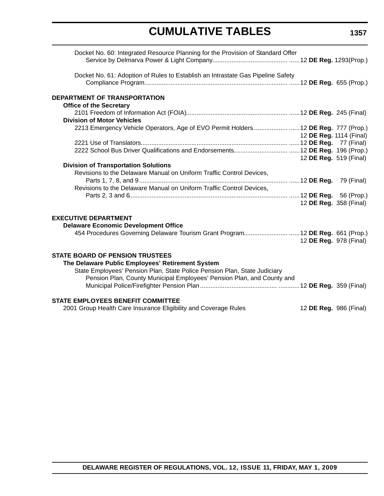| Docket No. 60: Integrated Resource Planning for the Provision of Standard Offer    |                         |  |
|------------------------------------------------------------------------------------|-------------------------|--|
| Docket No. 61: Adoption of Rules to Establish an Intrastate Gas Pipeline Safety    |                         |  |
| DEPARTMENT OF TRANSPORTATION<br><b>Office of the Secretary</b>                     |                         |  |
|                                                                                    |                         |  |
| <b>Division of Motor Vehicles</b>                                                  |                         |  |
| 2213 Emergency Vehicle Operators, Age of EVO Permit Holders 12 DE Reg. 777 (Prop.) |                         |  |
|                                                                                    | 12 DE Reg. 1114 (Final) |  |
|                                                                                    |                         |  |
|                                                                                    |                         |  |
|                                                                                    | 12 DE Reg. 519 (Final)  |  |
| <b>Division of Transportation Solutions</b>                                        |                         |  |
| Revisions to the Delaware Manual on Uniform Traffic Control Devices,               |                         |  |
|                                                                                    |                         |  |
| Revisions to the Delaware Manual on Uniform Traffic Control Devices,               |                         |  |
|                                                                                    |                         |  |
|                                                                                    | 12 DE Reg. 358 (Final)  |  |
|                                                                                    |                         |  |
| <b>EXECUTIVE DEPARTMENT</b>                                                        |                         |  |
| <b>Delaware Economic Development Office</b>                                        |                         |  |
| 454 Procedures Governing Delaware Tourism Grant Program 12 DE Reg. 661 (Prop.)     |                         |  |
|                                                                                    | 12 DE Reg. 978 (Final)  |  |
|                                                                                    |                         |  |
| <b>STATE BOARD OF PENSION TRUSTEES</b>                                             |                         |  |
| The Delaware Public Employees' Retirement System                                   |                         |  |
| State Employees' Pension Plan, State Police Pension Plan, State Judiciary          |                         |  |
| Pension Plan, County Municipal Employees' Pension Plan, and County and             |                         |  |
|                                                                                    |                         |  |
|                                                                                    |                         |  |
| <b>STATE EMPLOYEES BENEFIT COMMITTEE</b>                                           |                         |  |
| 2001 Group Health Care Insurance Eligibility and Coverage Rules                    | 12 DE Reg. 986 (Final)  |  |
|                                                                                    |                         |  |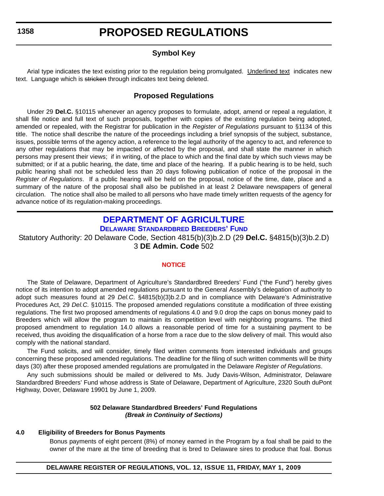### **Symbol Key**

<span id="page-13-0"></span>Arial type indicates the text existing prior to the regulation being promulgated. Underlined text indicates new text. Language which is stricken through indicates text being deleted.

### **Proposed Regulations**

Under 29 **Del.C.** §10115 whenever an agency proposes to formulate, adopt, amend or repeal a regulation, it shall file notice and full text of such proposals, together with copies of the existing regulation being adopted, amended or repealed, with the Registrar for publication in the *Register of Regulations* pursuant to §1134 of this title. The notice shall describe the nature of the proceedings including a brief synopsis of the subject, substance, issues, possible terms of the agency action, a reference to the legal authority of the agency to act, and reference to any other regulations that may be impacted or affected by the proposal, and shall state the manner in which persons may present their views; if in writing, of the place to which and the final date by which such views may be submitted; or if at a public hearing, the date, time and place of the hearing. If a public hearing is to be held, such public hearing shall not be scheduled less than 20 days following publication of notice of the proposal in the *Register of Regulations*. If a public hearing will be held on the proposal, notice of the time, date, place and a summary of the nature of the proposal shall also be published in at least 2 Delaware newspapers of general circulation. The notice shall also be mailed to all persons who have made timely written requests of the agency for advance notice of its regulation-making proceedings.

### **[DEPARTMENT OF AGRICULTURE](http://dda.delaware.gov/default.shtml) DELAWARE STANDARDBRED BREEDERS' FUND**

Statutory Authority: 20 Delaware Code, Section 4815(b)(3)b.2.D (29 **Del.C.** §4815(b)(3)b.2.D) 3 **DE Admin. Code** 502

#### **[NOTICE](#page-3-0)**

The State of Delaware, Department of Agriculture's Standardbred Breeders' Fund ("the Fund") hereby gives notice of its intention to adopt amended regulations pursuant to the General Assembly's delegation of authority to adopt such measures found at 29 *Del.C*. §4815(b)(3)b.2.D and in compliance with Delaware's Administrative Procedures Act, 29 *Del.C.* §10115. The proposed amended regulations constitute a modification of three existing regulations. The first two proposed amendments of regulations 4.0 and 9.0 drop the caps on bonus money paid to Breeders which will allow the program to maintain its competition level with neighboring programs. The third proposed amendment to regulation 14.0 allows a reasonable period of time for a sustaining payment to be received, thus avoiding the disqualification of a horse from a race due to the slow delivery of mail. This would also comply with the national standard.

The Fund solicits, and will consider, timely filed written comments from interested individuals and groups concerning these proposed amended regulations. The deadline for the filing of such written comments will be thirty days (30) after these proposed amended regulations are promulgated in the Delaware *Register of Regulations*.

Any such submissions should be mailed or delivered to Ms. Judy Davis-Wilson, Administrator, Delaware Standardbred Breeders' Fund whose address is State of Delaware, Department of Agriculture, 2320 South duPont Highway, Dover, Delaware 19901 by June 1, 2009.

#### **502 Delaware Standardbred Breeders' Fund Regulations** *(Break in Continuity of Sections)*

#### **4.0 Eligibility of Breeders for Bonus Payments**

Bonus payments of eight percent (8%) of money earned in the Program by a foal shall be paid to the owner of the mare at the time of breeding that is bred to Delaware sires to produce that foal. Bonus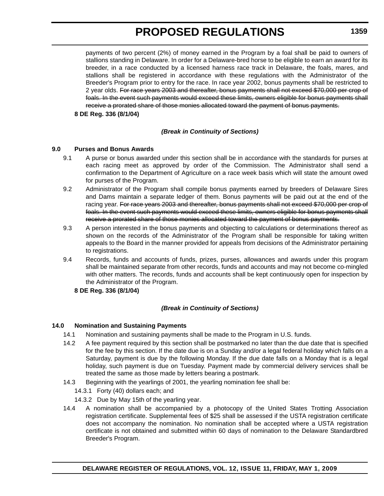payments of two percent (2%) of money earned in the Program by a foal shall be paid to owners of stallions standing in Delaware. In order for a Delaware-bred horse to be eligible to earn an award for its breeder, in a race conducted by a licensed harness race track in Delaware, the foals, mares, and stallions shall be registered in accordance with these regulations with the Administrator of the Breeder's Program prior to entry for the race. In race year 2002, bonus payments shall be restricted to 2 year olds. For race years 2003 and thereafter, bonus payments shall not exceed \$70,000 per crop of foals. In the event such payments would exceed these limits, owners eligible for bonus payments shall receive a prorated share of those monies allocated toward the payment of bonus payments.

**8 DE Reg. 336 (8/1/04)**

#### *(Break in Continuity of Sections)*

#### **9.0 Purses and Bonus Awards**

- 9.1 A purse or bonus awarded under this section shall be in accordance with the standards for purses at each racing meet as approved by order of the Commission. The Administrator shall send a confirmation to the Department of Agriculture on a race week basis which will state the amount owed for purses of the Program.
- 9.2 Administrator of the Program shall compile bonus payments earned by breeders of Delaware Sires and Dams maintain a separate ledger of them. Bonus payments will be paid out at the end of the racing year. For race years 2003 and thereafter, bonus payments shall not exceed \$70,000 per crop of foals. In the event such payments would exceed these limits, owners eligible for bonus payments shall receive a prorated share of those monies allocated toward the payment of bonus payments.
- 9.3 A person interested in the bonus payments and objecting to calculations or determinations thereof as shown on the records of the Administrator of the Program shall be responsible for taking written appeals to the Board in the manner provided for appeals from decisions of the Administrator pertaining to registrations.
- 9.4 Records, funds and accounts of funds, prizes, purses, allowances and awards under this program shall be maintained separate from other records, funds and accounts and may not become co-mingled with other matters. The records, funds and accounts shall be kept continuously open for inspection by the Administrator of the Program.
	- **8 DE Reg. 336 (8/1/04)**

#### *(Break in Continuity of Sections)*

#### **14.0 Nomination and Sustaining Payments**

- 14.1 Nomination and sustaining payments shall be made to the Program in U.S. funds.
- 14.2 A fee payment required by this section shall be postmarked no later than the due date that is specified for the fee by this section. If the date due is on a Sunday and/or a legal federal holiday which falls on a Saturday, payment is due by the following Monday. If the due date falls on a Monday that is a legal holiday, such payment is due on Tuesday. Payment made by commercial delivery services shall be treated the same as those made by letters bearing a postmark.
- 14.3 Beginning with the yearlings of 2001, the yearling nomination fee shall be:
	- 14.3.1 Forty (40) dollars each; and
	- 14.3.2 Due by May 15th of the yearling year.
- 14.4 A nomination shall be accompanied by a photocopy of the United States Trotting Association registration certificate. Supplemental fees of \$25 shall be assessed if the USTA registration certificate does not accompany the nomination. No nomination shall be accepted where a USTA registration certificate is not obtained and submitted within 60 days of nomination to the Delaware Standardbred Breeder's Program.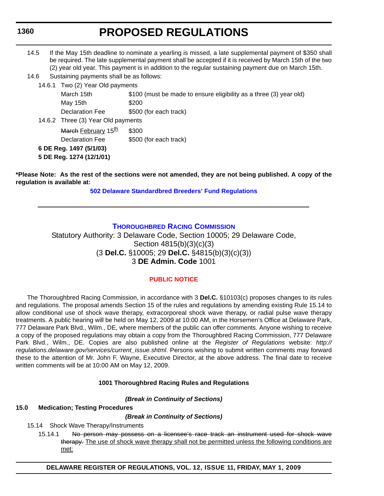# **PROPOSED REGULATIONS**

<span id="page-15-0"></span>

| 14.5 | If the May 15th deadline to nominate a yearling is missed, a late supplemental payment of \$350 shall   |
|------|---------------------------------------------------------------------------------------------------------|
|      | be required. The late supplemental payment shall be accepted if it is received by March 15th of the two |
|      | (2) year old year. This payment is in addition to the regular sustaining payment due on March 15th.     |

14.6 Sustaining payments shall be as follows:

14.6.1 Two (2) Year Old payments

| March 15th                         | \$100 (must be made to ensure eligibility as a three (3) year old) |  |
|------------------------------------|--------------------------------------------------------------------|--|
| May 15th                           | \$200                                                              |  |
| Declaration Fee                    | \$500 (for each track)                                             |  |
| 14.6.2 Three (3) Year Old payments |                                                                    |  |
| March February 15 <sup>th</sup>    | \$300                                                              |  |
| Declaration Fee                    | \$500 (for each track)                                             |  |
| 6 DE Reg. 1497 (5/1/03)            |                                                                    |  |
| 5 DE Reg. 1274 (12/1/01)           |                                                                    |  |
|                                    |                                                                    |  |

**\*Please Note: As the rest of the sections were not amended, they are not being published. A copy of the regulation is available at:**

**[502 Delaware Standardbred Breeders' Fund Regulations](regulations.delaware.gov/register/may2009/proposed/12 DE Reg 1358 05-01-09.htm)**

### **[THOROUGHBRED RACING COMMISSION](http://dda.delaware.gov/thoroughbred/index.shtml)**

Statutory Authority: 3 Delaware Code, Section 10005; 29 Delaware Code, Section 4815(b)(3)(c)(3) (3 **Del.C.** §10005; 29 **Del.C.** §4815(b)(3)(c)(3)) 3 **DE Admin. Code** 1001

#### **[PUBLIC NOTICE](#page-3-0)**

The Thoroughbred Racing Commission, in accordance with 3 **Del.C.** §10103(c) proposes changes to its rules and regulations. The proposal amends Section 15 of the rules and regulations by amending existing Rule 15.14 to allow conditional use of shock wave therapy, extracorporeal shock wave therapy, or radial pulse wave therapy treatments. A public hearing will be held on May 12, 2009 at 10:00 AM, in the Horsemen's Office at Delaware Park, 777 Delaware Park Blvd., Wilm., DE, where members of the public can offer comments. Anyone wishing to receive a copy of the proposed regulations may obtain a copy from the Thoroughbred Racing Commission, 777 Delaware Park Blvd., Wilm., DE. Copies are also published online at the *Register of Regulations* website: *http:// regulations.delaware.gov/services/current\_issue.shtml*. Persons wishing to submit written comments may forward these to the attention of Mr. John F. Wayne, Executive Director, at the above address. The final date to receive written comments will be at 10:00 AM on May 12, 2009.

#### **1001 Thoroughbred Racing Rules and Regulations**

*(Break in Continuity of Sections)*

#### **15.0 Medication; Testing Procedures**

*(Break in Continuity of Sections)*

- 15.14 Shock Wave Therapy/Instruments
	- 15.14.1 No person may possess on a licensee's race track an instrument used for shock wave therapy. The use of shock wave therapy shall not be permitted unless the following conditions are met: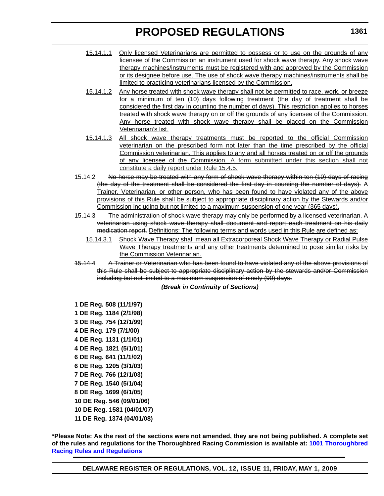- 15.14.1.1 Only licensed Veterinarians are permitted to possess or to use on the grounds of any licensee of the Commission an instrument used for shock wave therapy. Any shock wave therapy machines/instruments must be registered with and approved by the Commission or its designee before use. The use of shock wave therapy machines/instruments shall be limited to practicing veterinarians licensed by the Commission.
- 15.14.1.2 Any horse treated with shock wave therapy shall not be permitted to race, work, or breeze for a minimum of ten (10) days following treatment (the day of treatment shall be considered the first day in counting the number of days). This restriction applies to horses treated with shock wave therapy on or off the grounds of any licensee of the Commission. Any horse treated with shock wave therapy shall be placed on the Commission Veterinarian's list.
- 15.14.1.3 All shock wave therapy treatments must be reported to the official Commission veterinarian on the prescribed form not later than the time prescribed by the official Commission veterinarian. This applies to any and all horses treated on or off the grounds of any licensee of the Commission. A form submitted under this section shall not constitute a daily report under Rule 15.4.5.
- 15.14.2 No horse may be treated with any form of shock wave therapy within ten (10) days of racing (the day of the treatment shall be considered the first day in counting the number of days). A Trainer, Veterinarian, or other person, who has been found to have violated any of the above provisions of this Rule shall be subject to appropriate disciplinary action by the Stewards and/or Commission including but not limited to a maximum suspension of one year (365 days).
- 15.14.3 The administration of shock wave therapy may only be performed by a licensed veterinarian. A veterinarian using shock wave therapy shall document and report each treatment on his daily medication report. Definitions: The following terms and words used in this Rule are defined as:
	- 15.14.3.1 Shock Wave Therapy shall mean all Extracorporeal Shock Wave Therapy or Radial Pulse Wave Therapy treatments and any other treatments determined to pose similar risks by the Commission Veterinarian.
- 15.14.4 A Trainer or Veterinarian who has been found to have violated any of the above provisions of this Rule shall be subject to appropriate disciplinary action by the stewards and/or Commission including but not limited to a maximum suspension of ninety (90) days.

#### *(Break in Continuity of Sections)*

**1 DE Reg. 508 (11/1/97) 1 DE Reg. 1184 (2/1/98) 3 DE Reg. 754 (12/1/99) 4 DE Reg. 179 (7/1/00) 4 DE Reg. 1131 (1/1/01) 4 DE Reg. 1821 (5/1/01) 6 DE Reg. 641 (11/1/02) 6 DE Reg. 1205 (3/1/03) 7 DE Reg. 766 (12/1/03) 7 DE Reg. 1540 (5/1/04) 8 DE Reg. 1699 (6/1/05) 10 DE Reg. 546 (09/01/06) 10 DE Reg. 1581 (04/01/07) 11 DE Reg. 1374 (04/01/08)**

**\*Please Note: As the rest of the sections were not amended, they are not being published. A complete set of the rules and regulations for the Thoroughbred Racing Commission is available at: [1001 Thoroughbred](http://regulations.delaware.gov/AdminCode/title3/1000/1001/index.shtml#TopOfPage) [Racing Rules and Regulations](http://regulations.delaware.gov/AdminCode/title3/1000/1001/index.shtml#TopOfPage)**

**DELAWARE REGISTER OF REGULATIONS, VOL. 12, ISSUE 11, FRIDAY, MAY 1, 2009**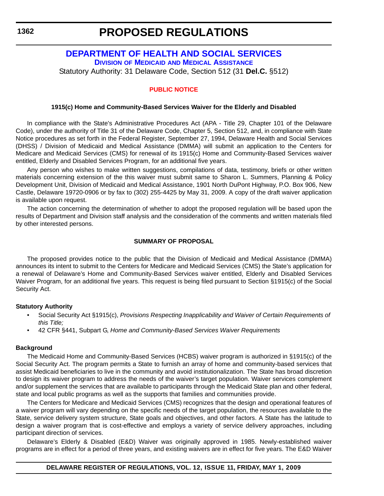### **PROPOSED REGULATIONS**

### <span id="page-17-0"></span>**[DEPARTMENT OF HEALTH AND SOCIAL SERVICES](http://www.dhss.delaware.gov/dhss/dmma/index.html) DIVISION OF MEDICAID AND MEDICAL ASSISTANCE**

Statutory Authority: 31 Delaware Code, Section 512 (31 **Del.C.** §512)

### **[PUBLIC NOTICE](#page-3-0)**

#### **1915(c) Home and Community-Based Services Waiver for the Elderly and Disabled**

In compliance with the State's Administrative Procedures Act (APA - Title 29, Chapter 101 of the Delaware Code), under the authority of Title 31 of the Delaware Code, Chapter 5, Section 512, and, in compliance with State Notice procedures as set forth in the Federal Register, September 27, 1994, Delaware Health and Social Services (DHSS) / Division of Medicaid and Medical Assistance (DMMA) will submit an application to the Centers for Medicare and Medicaid Services (CMS) for renewal of its 1915(c) Home and Community-Based Services waiver entitled, Elderly and Disabled Services Program, for an additional five years.

Any person who wishes to make written suggestions, compilations of data, testimony, briefs or other written materials concerning extension of the this waiver must submit same to Sharon L. Summers, Planning & Policy Development Unit, Division of Medicaid and Medical Assistance, 1901 North DuPont Highway, P.O. Box 906, New Castle, Delaware 19720-0906 or by fax to (302) 255-4425 by May 31, 2009. A copy of the draft waiver application is available upon request.

The action concerning the determination of whether to adopt the proposed regulation will be based upon the results of Department and Division staff analysis and the consideration of the comments and written materials filed by other interested persons.

#### **SUMMARY OF PROPOSAL**

The proposed provides notice to the public that the Division of Medicaid and Medical Assistance (DMMA) announces its intent to submit to the Centers for Medicare and Medicaid Services (CMS) the State's application for a renewal of Delaware's Home and Community-Based Services waiver entitled, Elderly and Disabled Services Waiver Program, for an additional five years. This request is being filed pursuant to Section §1915(c) of the Social Security Act.

#### **Statutory Authority**

- Social Security Act §1915(c), *Provisions Respecting Inapplicability and Waiver of Certain Requirements of this Title;*
- 42 CFR §441, Subpart G, *Home and Community-Based Services Waiver Requirements*

#### **Background**

The Medicaid Home and Community-Based Services (HCBS) waiver program is authorized in §1915(c) of the Social Security Act. The program permits a State to furnish an array of home and community-based services that assist Medicaid beneficiaries to live in the community and avoid institutionalization. The State has broad discretion to design its waiver program to address the needs of the waiver's target population. Waiver services complement and/or supplement the services that are available to participants through the Medicaid State plan and other federal, state and local public programs as well as the supports that families and communities provide.

The Centers for Medicare and Medicaid Services (CMS) recognizes that the design and operational features of a waiver program will vary depending on the specific needs of the target population, the resources available to the State, service delivery system structure, State goals and objectives, and other factors. A State has the latitude to design a waiver program that is cost-effective and employs a variety of service delivery approaches, including participant direction of services.

Delaware's Elderly & Disabled (E&D) Waiver was originally approved in 1985. Newly-established waiver programs are in effect for a period of three years, and existing waivers are in effect for five years. The E&D Waiver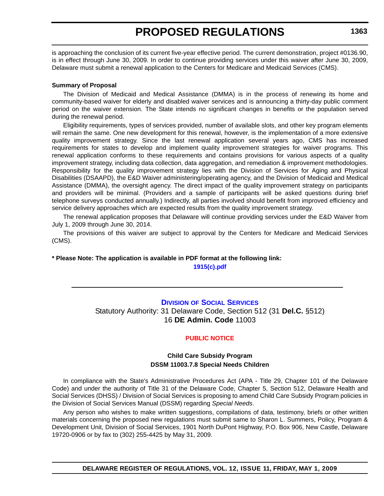<span id="page-18-0"></span>is approaching the conclusion of its current five-year effective period. The current demonstration, project #0136.90, is in effect through June 30, 2009. In order to continue providing services under this waiver after June 30, 2009, Delaware must submit a renewal application to the Centers for Medicare and Medicaid Services (CMS).

#### **Summary of Proposal**

The Division of Medicaid and Medical Assistance (DMMA) is in the process of renewing its home and community-based waiver for elderly and disabled waiver services and is announcing a thirty-day public comment period on the waiver extension. The State intends no significant changes in benefits or the population served during the renewal period.

Eligibility requirements, types of services provided, number of available slots, and other key program elements will remain the same. One new development for this renewal, however, is the implementation of a more extensive quality improvement strategy. Since the last renewal application several years ago, CMS has increased requirements for states to develop and implement quality improvement strategies for waiver programs. This renewal application conforms to these requirements and contains provisions for various aspects of a quality improvement strategy, including data collection, data aggregation, and remediation & improvement methodologies. Responsibility for the quality improvement strategy lies with the Division of Services for Aging and Physical Disabilities (DSAAPD), the E&D Waiver administering/operating agency, and the Division of Medicaid and Medical Assistance (DMMA), the oversight agency. The direct impact of the quality improvement strategy on participants and providers will be minimal. (Providers and a sample of participants will be asked questions during brief telephone surveys conducted annually.) Indirectly, all parties involved should benefit from improved efficiency and service delivery approaches which are expected results from the quality improvement strategy.

The renewal application proposes that Delaware will continue providing services under the E&D Waiver from July 1, 2009 through June 30, 2014.

The provisions of this waiver are subject to approval by the Centers for Medicare and Medicaid Services (CMS).

### **\* Please Note: The application is available in PDF format at the following link:**

**[1915\(c\).pdf](http://regulations.delaware.gov/register/may2009/proposed/12 DE Reg 1362 05-01-09.htm)**

### **DIVISION [OF SOCIAL SERVICES](http://www.dhss.delaware.gov/dhss/dss/index.html)** Statutory Authority: 31 Delaware Code, Section 512 (31 **Del.C.** §512) 16 **DE Admin. Code** 11003

#### **[PUBLIC NOTICE](#page-3-0)**

#### **Child Care Subsidy Program DSSM 11003.7.8 Special Needs Children**

In compliance with the State's Administrative Procedures Act (APA - Title 29, Chapter 101 of the Delaware Code) and under the authority of Title 31 of the Delaware Code, Chapter 5, Section 512, Delaware Health and Social Services (DHSS) / Division of Social Services is proposing to amend Child Care Subsidy Program policies in the Division of Social Services Manual (DSSM) regarding *Special Needs*.

Any person who wishes to make written suggestions, compilations of data, testimony, briefs or other written materials concerning the proposed new regulations must submit same to Sharon L. Summers, Policy, Program & Development Unit, Division of Social Services, 1901 North DuPont Highway, P.O. Box 906, New Castle, Delaware 19720-0906 or by fax to (302) 255-4425 by May 31, 2009.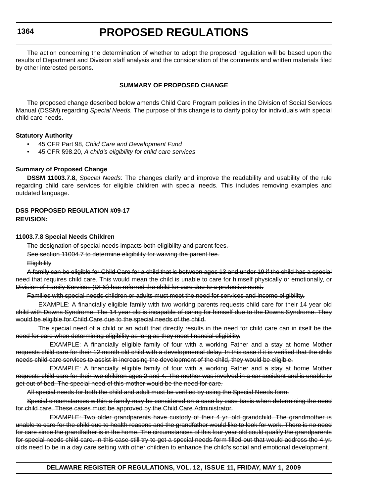### **PROPOSED REGULATIONS**

The action concerning the determination of whether to adopt the proposed regulation will be based upon the results of Department and Division staff analysis and the consideration of the comments and written materials filed by other interested persons.

#### **SUMMARY OF PROPOSED CHANGE**

The proposed change described below amends Child Care Program policies in the Division of Social Services Manual (DSSM) regarding *Special Needs.* The purpose of this change is to clarify policy for individuals with special child care needs.

#### **Statutory Authority**

- 45 CFR Part 98, *Child Care and Development Fund*
- 45 CFR §98.20, *A child's eligibility for child care services*

#### **Summary of Proposed Change**

**DSSM 11003.7.8,** *Special Needs*: The changes clarify and improve the readability and usability of the rule regarding child care services for eligible children with special needs. This includes removing examples and outdated language.

#### **DSS PROPOSED REGULATION #09-17 REVISION:**

#### **11003.7.8 Special Needs Children**

The designation of special needs impacts both eligibility and parent fees.

See section 11004.7 to determine eligibility for waiving the parent fee.

**Eligibility** 

A family can be eligible for Child Care for a child that is between ages 13 and under 19 if the child has a special need that requires child care. This would mean the child is unable to care for himself physically or emotionally, or Division of Family Services (DFS) has referred the child for care due to a protective need.

Families with special needs children or adults must meet the need for services and income eligibility.

EXAMPLE: A financially eligible family with two working parents requests child care for their 14 year old child with Downs Syndrome. The 14 year old is incapable of caring for himself due to the Downs Syndrome. They would be eligible for Child Care due to the special needs of the child.

The special need of a child or an adult that directly results in the need for child care can in itself be the need for care when determining eligibility as long as they meet financial eligibility.

EXAMPLE: A financially eligible family of four with a working Father and a stay at home Mother requests child care for their 12 month old child with a developmental delay. In this case if it is verified that the child needs child care services to assist in increasing the development of the child, they would be eligible.

EXAMPLE: A financially eligible family of four with a working Father and a stay at home Mother requests child care for their two children ages 2 and 4. The mother was involved in a car accident and is unable to get out of bed. The special need of this mother would be the need for care.

All special needs for both the child and adult must be verified by using the Special Needs form.

Special circumstances within a family may be considered on a case by case basis when determining the need for child care. These cases must be approved by the Child Care Administrator.

EXAMPLE: Two older grandparents have custody of their 4 yr. old grandchild. The grandmother is unable to care for the child due to health reasons and the grandfather would like to look for work. There is no need for care since the grandfather is in the home. The circumstances of this four year old could qualify the grandparents for special needs child care. In this case still try to get a special needs form filled out that would address the 4 yr. olds need to be in a day care setting with other children to enhance the child's social and emotional development.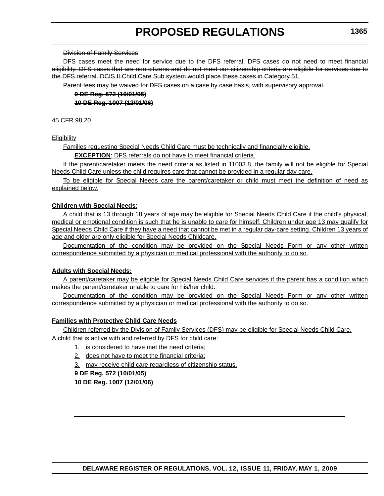#### Division of Family Services

DFS cases meet the need for service due to the DFS referral. DFS cases do not need to meet financial eligibility. DFS cases that are non citizens and do not meet our citizenship criteria are eligible for services due to the DFS referral. DCIS II Child Care Sub system would place these cases in Category 51.

Parent fees may be waived for DFS cases on a case by case basis, with supervisory approval.

**9 DE Reg. 572 (10/01/05) 10 DE Reg. 1007 (12/01/06)**

#### 45 CFR 98.20

#### **Eligibility**

Families requesting Special Needs Child Care must be technically and financially eligible.

**EXCEPTION:** DFS referrals do not have to meet financial criteria.

If the parent/caretaker meets the need criteria as listed in 11003.8, the family will not be eligible for Special Needs Child Care unless the child requires care that cannot be provided in a regular day care.

To be eligible for Special Needs care the parent/caretaker or child must meet the definition of need as explained below.

#### **Children with Special Needs**:

A child that is 13 through 18 years of age may be eligible for Special Needs Child Care if the child's physical, medical or emotional condition is such that he is unable to care for himself. Children under age 13 may qualify for Special Needs Child Care if they have a need that cannot be met in a regular day-care setting. Children 13 years of age and older are only eligible for Special Needs Childcare.

Documentation of the condition may be provided on the Special Needs Form or any other written correspondence submitted by a physician or medical professional with the authority to do so.

#### **Adults with Special Needs:**

A parent/caretaker may be eligible for Special Needs Child Care services if the parent has a condition which makes the parent/caretaker unable to care for his/her child.

Documentation of the condition may be provided on the Special Needs Form or any other written correspondence submitted by a physician or medical professional with the authority to do so.

#### **Families with Protective Child Care Needs**

Children referred by the Division of Family Services (DFS) may be eligible for Special Needs Child Care. A child that is active with and referred by DFS for child care:

- 1. is considered to have met the need criteria;
- 2. does not have to meet the financial criteria;
- 3. may receive child care regardless of citizenship status.

**9 DE Reg. 572 (10/01/05) 10 DE Reg. 1007 (12/01/06)**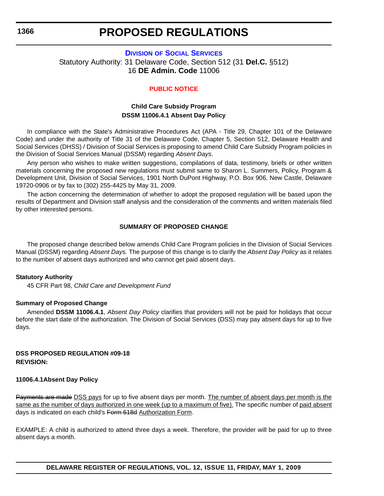### **PROPOSED REGULATIONS**

### <span id="page-21-0"></span>**DIVISION [OF SOCIAL SERVICES](http://www.dhss.delaware.gov/dhss/dss/index.html)** Statutory Authority: 31 Delaware Code, Section 512 (31 **Del.C.** §512) 16 **DE Admin. Code** 11006

#### **[PUBLIC NOTICE](#page-3-0)**

#### **Child Care Subsidy Program DSSM 11006.4.1 Absent Day Policy**

In compliance with the State's Administrative Procedures Act (APA - Title 29, Chapter 101 of the Delaware Code) and under the authority of Title 31 of the Delaware Code, Chapter 5, Section 512, Delaware Health and Social Services (DHSS) / Division of Social Services is proposing to amend Child Care Subsidy Program policies in the Division of Social Services Manual (DSSM) regarding *Absent Days*.

Any person who wishes to make written suggestions, compilations of data, testimony, briefs or other written materials concerning the proposed new regulations must submit same to Sharon L. Summers, Policy, Program & Development Unit, Division of Social Services, 1901 North DuPont Highway, P.O. Box 906, New Castle, Delaware 19720-0906 or by fax to (302) 255-4425 by May 31, 2009.

The action concerning the determination of whether to adopt the proposed regulation will be based upon the results of Department and Division staff analysis and the consideration of the comments and written materials filed by other interested persons.

#### **SUMMARY OF PROPOSED CHANGE**

The proposed change described below amends Child Care Program policies in the Division of Social Services Manual (DSSM) regarding *Absent Days.* The purpose of this change is to clarify the *Absent Day Policy* as it relates to the number of absent days authorized and who cannot get paid absent days.

#### **Statutory Authority**

45 CFR Part 98, *Child Care and Development Fund*

#### **Summary of Proposed Change**

Amended **DSSM 11006.4.1**, *Absent Day Policy* clarifies that providers will not be paid for holidays that occur before the start date of the authorization. The Division of Social Services (DSS) may pay absent days for up to five days.

#### **DSS PROPOSED REGULATION #09-18 REVISION:**

#### **11006.4.1Absent Day Policy**

Payments are made DSS pays for up to five absent days per month. The number of absent days per month is the same as the number of days authorized in one week (up to a maximum of five). The specific number of paid absent days is indicated on each child's Form 618d Authorization Form.

EXAMPLE: A child is authorized to attend three days a week. Therefore, the provider will be paid for up to three absent days a month.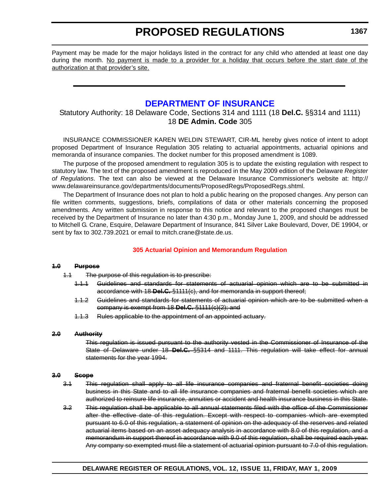<span id="page-22-0"></span>Payment may be made for the major holidays listed in the contract for any child who attended at least one day during the month. No payment is made to a provider for a holiday that occurs before the start date of the authorization at that provider's site.

### **[DEPARTMENT OF INSURANCE](http://www.delawareinsurance.gov/)**

### Statutory Authority: 18 Delaware Code, Sections 314 and 1111 (18 **Del.C.** §§314 and 1111) 18 **DE Admin. Code** 305

INSURANCE COMMISSIONER KAREN WELDIN STEWART, CIR-ML hereby gives notice of intent to adopt proposed Department of Insurance Regulation 305 relating to actuarial appointments, actuarial opinions and memoranda of insurance companies. The docket number for this proposed amendment is 1089.

The purpose of the proposed amendment to regulation 305 is to update the existing regulation with respect to statutory law. The text of the proposed amendment is reproduced in the May 2009 edition of the Delaware *Register of Regulations*. The text can also be viewed at the Delaware Insurance Commissioner's website at: http:// www.delawareinsurance.gov/departments/documents/ProposedRegs/ProposedRegs.shtml.

The Department of Insurance does not plan to hold a public hearing on the proposed changes. Any person can file written comments, suggestions, briefs, compilations of data or other materials concerning the proposed amendments. Any written submission in response to this notice and relevant to the proposed changes must be received by the Department of Insurance no later than 4:30 p.m., Monday June 1, 2009, and should be addressed to Mitchell G. Crane, Esquire, Delaware Department of Insurance, 841 Silver Lake Boulevard, Dover, DE 19904, or sent by fax to 302.739.2021 or email to mitch.crane@state.de.us.

#### **[305 Actuarial Opinion and Memorandum Regulation](#page-3-0)**

#### **1.0 Purpose**

- 1.1 The purpose of this regulation is to prescribe:
	- 1.1.1 Guidelines and standards for statements of actuarial opinion which are to be submitted in accordance with 18 **Del.C.** §1111(c), and for memoranda in support thereof;
	- 1.1.2 Guidelines and standards for statements of actuarial opinion which are to be submitted when a company is exempt from 18 **Del.C.** §1111(c)(2); and
	- 1.1.3 Rules applicable to the appointment of an appointed actuary.

#### **2.0 Authority**

This regulation is issued pursuant to the authority vested in the Commissioner of Insurance of the State of Delaware under 18 **Del.C.** §§314 and 1111. This regulation will take effect for annual statements for the year 1994.

#### **3.0 Scope**

- 3.1 This regulation shall apply to all life insurance companies and fraternal benefit societies doing business in this State and to all life insurance companies and fraternal benefit societies which are authorized to reinsure life insurance, annuities or accident and health insurance business in this State.
- 3.2 This regulation shall be applicable to all annual statements filed with the office of the Commissioner after the effective date of this regulation. Except with respect to companies which are exempted pursuant to 6.0 of this regulation, a statement of opinion on the adequacy of the reserves and related actuarial items based on an asset adequacy analysis in accordance with 8.0 of this regulation, and a memorandum in support thereof in accordance with 9.0 of this regulation, shall be required each year. Any company so exempted must file a statement of actuarial opinion pursuant to 7.0 of this regulation.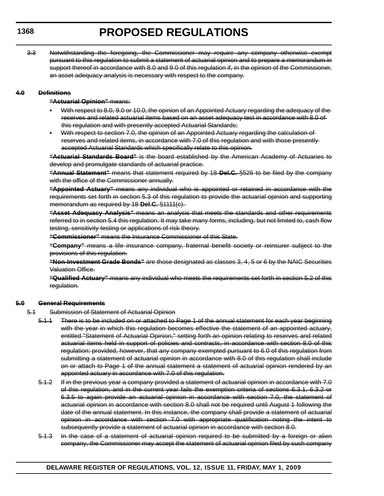3.3 Notwithstanding the foregoing, the Commissioner may require any company otherwise exempt pursuant to this regulation to submit a statement of actuarial opinion and to prepare a memorandum in support thereof in accordance with 8.0 and 9.0 of this regulation if, in the opinion of the Commissioner, an asset adequacy analysis is necessary with respect to the company.

#### **4.0 Definitions**

#### **"Actuarial Opinion"** means:

- With respect to 8.0, 9.0 or 10.0, the opinion of an Appointed Actuary regarding the adequacy of the reserves and related actuarial items based on an asset adequacy test in accordance with 8.0 of this regulation and with presently accepted Actuarial Standards;
- With respect to section 7.0, the opinion of an Appointed Actuary regarding the calculation of reserves and related items, in accordance with 7.0 of this regulation and with those presently accepted Actuarial Standards which specifically relate to this opinion.

**"Actuarial Standards Board"** is the board established by the American Academy of Actuaries to develop and promulgate standards of actuarial practice.

**"Annual Statement"** means that statement required by 18 **Del.C.** §526 to be filed by the company with the office of the Commissioner annually.

**"Appointed Actuary"** means any individual who is appointed or retained in accordance with the requirements set forth in section 5.3 of this regulation to provide the actuarial opinion and supporting memorandum as required by 18 **Del.C.** §1111(c).

**"Asset Adequacy Analysis"** means an analysis that meets the standards and other requirements referred to in section 5.4 this regulation. It may take many forms, including, but not limited to, cash flow testing, sensitivity testing or applications of risk theory.

**"Commissioner"** means the Insurance Commissioner of this State.

**"Company"** means a life insurance company, fraternal benefit society or reinsurer subject to the provisions of this regulation.

**"Non-Investment Grade Bonds"** are those designated as classes 3, 4, 5 or 6 by the NAIC Securities Valuation Office.

**"Qualified Actuary"** means any individual who meets the requirements set forth in section 5.2 of this regulation.

#### **5.0 General Requirements**

- 5.1 Submission of Statement of Actuarial Opinion
	- 5.1.1 There is to be included on or attached to Page 1 of the annual statement for each year beginning with the year in which this regulation becomes effective the statement of an appointed actuary, entitled "Statement of Actuarial Opinion," setting forth an opinion relating to reserves and related actuarial items held in support of policies and contracts, in accordance with section 8.0 of this regulation; provided, however, that any company exempted pursuant to 6.0 of this regulation from submitting a statement of actuarial opinion in accordance with 8.0 of this regulation shall include on or attach to Page 1 of the annual statement a statement of actuarial opinion rendered by an appointed actuary in accordance with 7.0 of this regulation.
	- 5.1.2 If in the previous year a company provided a statement of actuarial opinion in accordance with 7.0 of this regulation, and in the current year fails the exemption criteria of sections 6.3.1, 6.3.2 or 6.3.5 to again provide an actuarial opinion in accordance with section 7.0, the statement of actuarial opinion in accordance with section 8.0 shall not be required until August 1 following the date of the annual statement. In this instance, the company shall provide a statement of actuarial opinion in accordance with section 7.0 with appropriate qualification noting the intent to subsequently provide a statement of actuarial opinion in accordance with section 8.0.
	- 5.1.3 In the case of a statement of actuarial opinion required to be submitted by a foreign or alien company, the Commissioner may accept the statement of actuarial opinion filed by such company

#### **1368**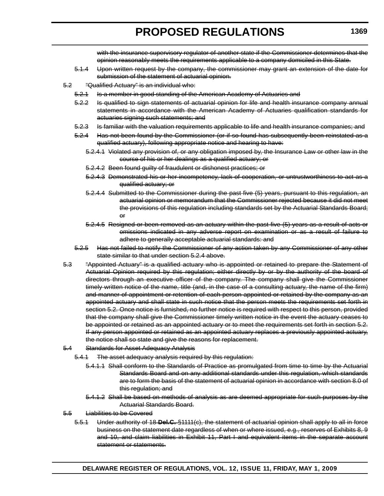with the insurance supervisory regulator of another state if the Commissioner determines that the opinion reasonably meets the requirements applicable to a company domiciled in this State.

- 5.1.4 Upon written request by the company, the commissioner may grant an extension of the date for submission of the statement of actuarial opinion.
- 5.2 "Qualified Actuary" is an individual who:
	- 5.2.1 Is a member in good standing of the American Academy of Actuaries and
	- 5.2.2 Is qualified to sign statements of actuarial opinion for life and health insurance company annual statements in accordance with the American Academy of Actuaries qualification standards for actuaries signing such statements; and
	- 5.2.3 Is familiar with the valuation requirements applicable to life and health insurance companies; and
	- 5.2.4 Has not been found by the Commissioner (or if so found has subsequently been reinstated as a qualified actuary), following appropriate notice and hearing to have:
		- 5.2.4.1 Violated any provision of, or any obligation imposed by, the Insurance Law or other law in the course of his or her dealings as a qualified actuary; or
		- 5.2.4.2 Been found guilty of fraudulent or dishonest practices; or
		- 5.2.4.3 Demonstrated his or her incompetency, lack of cooperation, or untrustworthiness to act as a qualified actuary; or
		- 5.2.4.4 Submitted to the Commissioner during the past five (5) years, pursuant to this regulation, an actuarial opinion or memorandum that the Commissioner rejected because it did not meet the provisions of this regulation including standards set by the Actuarial Standards Board; or
		- 5.2.4.5 Resigned or been removed as an actuary within the past five (5) years as a result of acts or omissions indicated in any adverse report on examination or as a result of failure to adhere to generally acceptable actuarial standards: and
	- 5.2.5 Has not failed to notify the Commissioner of any action taken by any Commissioner of any other state similar to that under section 5.2.4 above.
- 5.3 "Appointed Actuary" is a qualified actuary who is appointed or retained to prepare the Statement of Actuarial Opinion required by this regulation; either directly by or by the authority of the board of directors through an executive officer of the company. The company shall give the Commissioner timely written notice of the name, title (and, in the case of a consulting actuary, the name of the firm) and manner of appointment or retention of each person appointed or retained by the company as an appointed actuary and shall state in such notice that the person meets the requirements set forth in section 5.2. Once notice is furnished, no further notice is required with respect to this person, provided that the company shall give the Commissioner timely written notice in the event the actuary ceases to be appointed or retained as an appointed actuary or to meet the requirements set forth in section 5.2. If any person appointed or retained as an appointed actuary replaces a previously appointed actuary, the notice shall so state and give the reasons for replacement.
- 5.4 Standards for Asset Adequacy Analysis
	- 5.4.1 The asset adequacy analysis required by this regulation:
		- 5.4.1.1 Shall conform to the Standards of Practice as promulgated from time to time by the Actuarial Standards Board and on any additional standards under this regulation, which standards are to form the basis of the statement of actuarial opinion in accordance with section 8.0 of this regulation; and
		- 5.4.1.2 Shall be based on methods of analysis as are deemed appropriate for such purposes by the Actuarial Standards Board.
- 5.5 Liabilities to be Covered
	- 5.5.1 Under authority of 18 **Del.C.** §1111(c), the statement of actuarial opinion shall apply to all in force business on the statement date regardless of when or where issued, e.g., reserves of Exhibits 8, 9 and 10, and claim liabilities in Exhibit 11, Part I and equivalent items in the separate account statement or statements.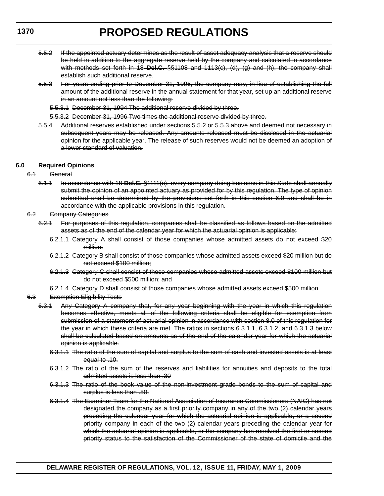- 5.5.2 If the appointed actuary determines as the result of asset adequacy analysis that a reserve should be held in addition to the aggregate reserve held by the company and calculated in accordance with methods set forth in 18 **Del.C.** §§1108 and 1113(c), (d), (g) and (h), the company shall establish such additional reserve.
- 5.5.3 For years ending prior to December 31, 1996, the company may, in lieu of establishing the full amount of the additional reserve in the annual statement for that year, set up an additional reserve in an amount not less than the following:
	- 5.5.3.1 December 31, 1994 The additional reserve divided by three.
	- 5.5.3.2 December 31, 1996 Two times the additional reserve divided by three.
- 5.5.4 Additional reserves established under sections 5.5.2 or 5.5.3 above and deemed not necessary in subsequent years may be released. Any amounts released must be disclosed in the actuarial opinion for the applicable year. The release of such reserves would not be deemed an adoption of a lower standard of valuation.

#### **6.0 Required Opinions**

- 6.1 General
	- 6.1.1 In accordance with 18 **Del.C.** §1111(c), every company doing business in this State shall annually submit the opinion of an appointed actuary as provided for by this regulation. The type of opinion submitted shall be determined by the provisions set forth in this section 6.0 and shall be in accordance with the applicable provisions in this regulation.
- 6.2 Company Categories
	- 6.2.1 For purposes of this regulation, companies shall be classified as follows based on the admitted assets as of the end of the calendar year for which the actuarial opinion is applicable:
		- 6.2.1.1 Category A shall consist of those companies whose admitted assets do not exceed \$20 million:
		- 6.2.1.2 Category B shall consist of those companies whose admitted assets exceed \$20 million but do not exceed \$100 million;
		- 6.2.1.3 Category C shall consist of those companies whose admitted assets exceed \$100 million but do not exceed \$500 million; and
		- 6.2.1.4 Category D shall consist of those companies whose admitted assets exceed \$500 million.
- 6.3 Exemption Eligibility Tests
	- 6.3.1 Any Category A company that, for any year beginning with the year in which this regulation becomes effective, meets all of the following criteria shall be eligible for exemption from submission of a statement of actuarial opinion in accordance with section 8.0 of this regulation for the year in which these criteria are met. The ratios in sections 6.3.1.1, 6.3.1.2, and 6.3.1.3 below shall be calculated based on amounts as of the end of the calendar year for which the actuarial opinion is applicable.
		- 6.3.1.1 The ratio of the sum of capital and surplus to the sum of cash and invested assets is at least equal to .10.
		- 6.3.1.2 The ratio of the sum of the reserves and liabilities for annuities and deposits to the total admitted assets is less than .30
		- 6.3.1.3 The ratio of the book value of the non-investment grade bonds to the sum of capital and surplus is less than .50.
		- 6.3.1.4 The Examiner Team for the National Association of Insurance Commissioners (NAIC) has not designated the company as a first priority company in any of the two (2) calendar years preceding the calendar year for which the actuarial opinion is applicable, or a second priority company in each of the two (2) calendar years preceding the calendar year for which the actuarial opinion is applicable, or the company has resolved the first or second priority status to the satisfaction of the Commissioner of the state of domicile and the

#### **DELAWARE REGISTER OF REGULATIONS, VOL. 12, ISSUE 11, FRIDAY, MAY 1, 2009**

#### **1370**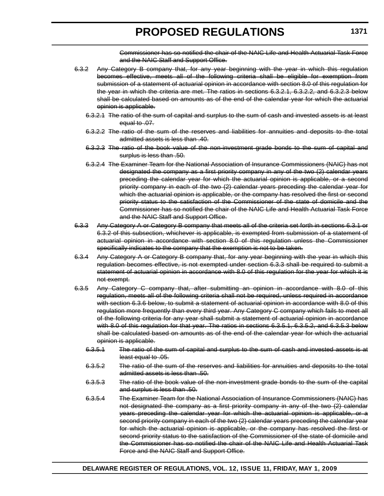Commissioner has so notified the chair of the NAIC Life and Health Actuarial Task Force and the NAIC Staff and Support Office.

- 6.3.2 Any Category B company that, for any year beginning with the year in which this regulation becomes effective, meets all of the following criteria shall be eligible for exemption from submission of a statement of actuarial opinion in accordance with section 8.0 of this regulation for the year in which the criteria are met. The ratios in sections 6.3.2.1, 6.3.2.2, and 6.3.2.3 below shall be calculated based on amounts as of the end of the calendar year for which the actuarial opinion is applicable.
	- 6.3.2.1 The ratio of the sum of capital and surplus to the sum of cash and invested assets is at least equal to .07.
	- 6.3.2.2 The ratio of the sum of the reserves and liabilities for annuities and deposits to the total admitted assets is less than .40.
	- 6.3.2.3 The ratio of the book value of the non-investment grade bonds to the sum of capital and surplus is less than .50.
	- 6.3.2.4 The Examiner Team for the National Association of Insurance Commissioners (NAIC) has not designated the company as a first priority company in any of the two (2) calendar years preceding the calendar year for which the actuarial opinion is applicable, or a second priority company in each of the two (2) calendar years preceding the calendar year for which the actuarial opinion is applicable, or the company has resolved the first or second priority status to the satisfaction of the Commissioner of the state of domicile and the Commissioner has so notified the chair of the NAIC Life and Health Actuarial Task Force and the NAIC Staff and Support Office.
- 6.3.3 Any Category A or Category B company that meets all of the criteria set forth in sections 6.3.1 or 6.3.2 of this subsection, whichever is applicable, is exempted from submission of a statement of actuarial opinion in accordance with section 8.0 of this regulation unless the Commissioner specifically indicates to the company that the exemption is not to be taken.
- 6.3.4 Any Category A or Category B company that, for any year beginning with the year in which this regulation becomes effective, is not exempted under section 6.3.3 shall be required to submit a statement of actuarial opinion in accordance with 8.0 of this regulation for the year for which it is not exempt.
- 6.3.5 Any Category C company that, after submitting an opinion in accordance with 8.0 of this regulation, meets all of the following criteria shall not be required, unless required in accordance with section 6.3.6 below, to submit a statement of actuarial opinion in accordance with 8.0 of this regulation more frequently than every third year. Any Category C company which fails to meet all of the following criteria for any year shall submit a statement of actuarial opinion in accordance with 8.0 of this regulation for that year. The ratios in sections 6.3.5.1, 6.3.5.2, and 6.3.5.3 below shall be calculated based on amounts as of the end of the calendar year for which the actuarial opinion is applicable.
	- 6.3.5.1 The ratio of the sum of capital and surplus to the sum of cash and invested assets is at least equal to .05.
	- 6.3.5.2 The ratio of the sum of the reserves and liabilities for annuities and deposits to the total admitted assets is less than .50.
	- 6.3.5.3 The ratio of the book value of the non-investment grade bonds to the sum of the capital and surplus is less than .50.
	- 6.3.5.4 The Examiner Team for the National Association of Insurance Commissioners (NAIC) has not designated the company as a first priority company in any of the two (2) calendar years preceding the calendar year for which the actuarial opinion is applicable, or a second priority company in each of the two (2) calendar years preceding the calendar year for which the actuarial opinion is applicable, or the company has resolved the first or second priority status to the satisfaction of the Commissioner of the state of domicile and the Commissioner has so notified the chair of the NAIC Life and Health Actuarial Task Force and the NAIC Staff and Support Office.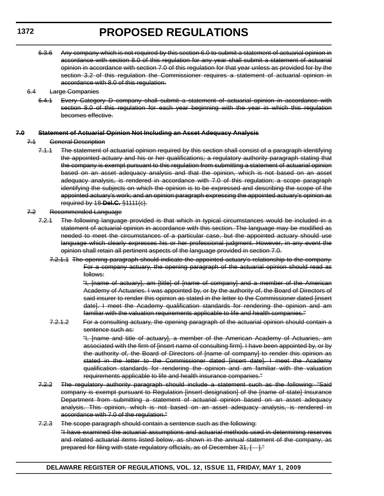- 6.3.6 Any company which is not required by this section 6.0 to submit a statement of actuarial opinion in accordance with section 8.0 of this regulation for any year shall submit a statement of actuarial opinion in accordance with section 7.0 of this regulation for that year unless as provided for by the section 3.2 of this regulation the Commissioner requires a statement of actuarial opinion in accordance with 8.0 of this regulation.
- 6.4 Large Companies
	- 6.4.1 Every Category D company shall submit a statement of actuarial opinion in accordance with section 8.0 of this regulation for each year beginning with the year in which this regulation becomes effective.

#### **7.0 Statement of Actuarial Opinion Not Including an Asset Adequacy Analysis**

- 7.1 General Description
	- 7.1.1 The statement of actuarial opinion required by this section shall consist of a paragraph identifying the appointed actuary and his or her qualifications; a regulatory authority paragraph stating that the company is exempt pursuant to this regulation from submitting a statement of actuarial opinion based on an asset adequacy analysis and that the opinion, which is not based on an asset adequacy analysis, is rendered in accordance with 7.0 of this regulation; a scope paragraph identifying the subjects on which the opinion is to be expressed and describing the scope of the appointed actuary's work; and an opinion paragraph expressing the appointed actuary's opinion as required by 18 **Del.C.** §1111(c).
- 7.2 Recommended Language
	- 7.2.1 The following language provided is that which in typical circumstances would be included in a statement of actuarial opinion in accordance with this section. The language may be modified as needed to meet the circumstances of a particular case, but the appointed actuary should use language which clearly expresses his or her professional judgment. However, in any event the opinion shall retain all pertinent aspects of the language provided in section 7.0.
		- 7.2.1.1 The opening paragraph should indicate the appointed actuary's relationship to the company. For a company actuary, the opening paragraph of the actuarial opinion should read as follows:

"I, [name of actuary], am [title] of [name of company] and a member of the American Academy of Actuaries. I was appointed by, or by the authority of, the Board of Directors of said insurer to render this opinion as stated in the letter to the Commissioner dated [insert date]. I meet the Academy qualification standards for rendering the opinion and am familiar with the valuation requirements applicable to life and health companies."

7.2.1.2 For a consulting actuary, the opening paragraph of the actuarial opinion should contain a sentence such as:

> "I, [name and title of actuary], a member of the American Academy of Actuaries, am associated with the firm of [insert name of consulting firm]. I have been appointed by, or by the authority of, the Board of Directors of [name of company] to render this opinion as stated in the letter to the Commissioner dated [insert date]. I meet the Academy qualification standards for rendering the opinion and am familiar with the valuation requirements applicable to life and health insurance companies."

- 7.2.2 The regulatory authority paragraph should include a statement such as the following: "Said company is exempt pursuant to Regulation [insert designation] of the [name of state] Insurance Department from submitting a statement of actuarial opinion based on an asset adequacy analysis. This opinion, which is not based on an asset adequacy analysis, is rendered in accordance with 7.0 of the regulation."
- 7.2.3 The scope paragraph should contain a sentence such as the following: "I have examined the actuarial assumptions and actuarial methods used in determining reserves and related actuarial items listed below, as shown in the annual statement of the company, as prepared for filing with state regulatory officials, as of December 31, [ ]."

**1372**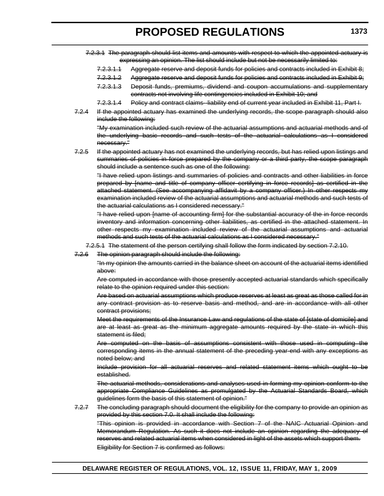- 7.2.3.1.1 Aggregate reserve and deposit funds for policies and contracts included in Exhibit 8;
- 7.2.3.1.2 Aggregate reserve and deposit funds for policies and contracts included in Exhibit 9;
- 7.2.3.1.3 Deposit funds, premiums, dividend and coupon accumulations and supplementary contracts not involving life contingencies included in Exhibit 10; and
- 7.2.3.1.4 Policy and contract claims-liability end of current year included in Exhibit 11, Part I.
- 7.2.4 If the appointed actuary has examined the underlying records, the scope paragraph should also include the following:

"My examination included such review of the actuarial assumptions and actuarial methods and of the underlying basic records and such tests of the actuarial calculations as I considered necessary."

7.2.5 If the appointed actuary has not examined the underlying records, but has relied upon listings and summaries of policies in force prepared by the company or a third party, the scope paragraph should include a sentence such as one of the following:

"I have relied upon listings and summaries of policies and contracts and other liabilities in force prepared by [name and title of company officer certifying in force records] as certified in the attached statement. (See accompanying affidavit by a company officer.) In other respects my examination included review of the actuarial assumptions and actuarial methods and such tests of the actuarial calculations as I considered necessary."

"I have relied upon [name of accounting firm] for the substantial accuracy of the in force records inventory and information concerning other liabilities, as certified in the attached statement. In other respects my examination included review of the actuarial assumptions and actuarial methods and such tests of the actuarial calculations as I considered necessary."

- 7.2.5.1 The statement of the person certifying shall follow the form indicated by section 7.2.10.
- 7.2.6 The opinion paragraph should include the following:

"In my opinion the amounts carried in the balance sheet on account of the actuarial items identified above:

Are computed in accordance with those presently accepted actuarial standards which specifically relate to the opinion required under this section:

Are based on actuarial assumptions which produce reserves at least as great as those called for in any contract provision as to reserve basis and method, and are in accordance with all other contract provisions;

Meet the requirements of the Insurance Law and regulations of the state of [state of domicile] and are at least as great as the minimum aggregate amounts required by the state in which this statement is filed;

Are computed on the basis of assumptions consistent with those used in computing the corresponding items in the annual statement of the preceding year-end with any exceptions as noted below; and

Include provision for all actuarial reserves and related statement items which ought to be established.

The actuarial methods, considerations and analyses used in forming my opinion conform to the appropriate Compliance Guidelines as promulgated by the Actuarial Standards Board, which guidelines form the basis of this statement of opinion."

7.2.7 The concluding paragraph should document the eligibility for the company to provide an opinion as provided by this section 7.0. It shall include the following: "This opinion is provided in accordance with Section 7 of the NAIC Actuarial Opinion and Memorandum Regulation. As such it does not include an opinion regarding the adequacy of reserves and related actuarial items when considered in light of the assets which support them.

Eligibility for Section 7 is confirmed as follows: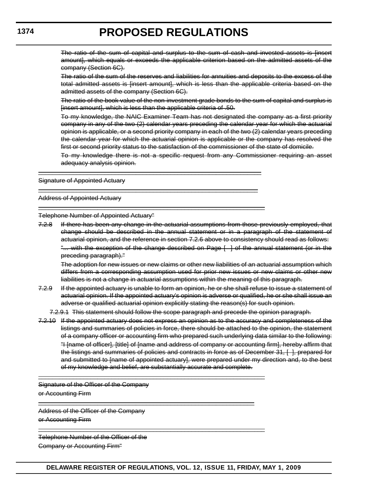The ratio of the sum of capital and surplus to the sum of cash and invested assets is linsert amount], which equals or exceeds the applicable criterion based on the admitted assets of the company (Section 6C).

The ratio of the sum of the reserves and liabilities for annuities and deposits to the excess of the total admitted assets is [insert amount], which is less than the applicable criteria based on the admitted assets of the company (Section 6C).

The ratio of the book value of the non-investment grade bonds to the sum of capital and surplus is [insert amount], which is less than the applicable criteria of .50.

To my knowledge, the NAIC Examiner Team has not designated the company as a first priority company in any of the two (2) calendar years preceding the calendar year for which the actuarial opinion is applicable, or a second priority company in each of the two (2) calendar years preceding the calendar year for which the actuarial opinion is applicable or the company has resolved the first or second priority status to the satisfaction of the commissioner of the state of domicile.

To my knowledge there is not a specific request from any Commissioner requiring an asset adequacy analysis opinion.

Signature of Appointed Actuary

Address of Appointed Actuary

Telephone Number of Appointed Actuary"

7.2.8 If there has been any change in the actuarial assumptions from those previously employed, that change should be described in the annual statement or in a paragraph of the statement of actuarial opinion, and the reference in section 7.2.6 above to consistency should read as follows: "... with the exception of the change described on Page [ ] of the annual statement (or in the preceding paragraph)."

\_\_\_\_\_\_\_\_\_\_\_\_\_\_\_\_\_\_\_\_\_\_\_\_\_\_\_\_\_\_\_\_\_\_\_\_\_\_\_\_\_\_\_\_\_\_\_\_\_\_\_\_\_\_\_\_\_\_\_\_\_\_\_\_

\_\_\_\_\_\_\_\_\_\_\_\_\_\_\_\_\_\_\_\_\_\_\_\_\_\_\_\_\_\_\_\_\_\_\_\_\_\_\_\_\_\_\_\_\_\_\_\_\_\_\_\_\_\_\_\_\_\_\_\_\_\_\_

\_\_\_\_\_\_\_\_\_\_\_\_\_\_\_\_\_\_\_\_\_\_\_\_\_\_\_\_\_\_\_\_\_\_\_\_\_\_\_\_\_\_\_\_\_\_\_\_\_\_\_\_\_\_\_\_\_\_\_\_\_\_\_\_\_

The adoption for new issues or new claims or other new liabilities of an actuarial assumption which differs from a corresponding assumption used for prior new issues or new claims or other new liabilities is not a change in actuarial assumptions within the meaning of this paragraph.

7.2.9 If the appointed actuary is unable to form an opinion, he or she shall refuse to issue a statement of actuarial opinion. If the appointed actuary's opinion is adverse or qualified, he or she shall issue an adverse or qualified actuarial opinion explicitly stating the reason(s) for such opinion.

7.2.9.1 This statement should follow the scope paragraph and precede the opinion paragraph.

7.2.10 If the appointed actuary does not express an opinion as to the accuracy and completeness of the listings and summaries of policies in force, there should be attached to the opinion, the statement of a company officer or accounting firm who prepared such underlying data similar to the following: "I [name of officer], [title] of [name and address of company or accounting firm], hereby affirm that the listings and summaries of policies and contracts in force as of December 31, [ ], prepared for and submitted to [name of appointed actuary], were prepared under my direction and, to the best of my knowledge and belief, are substantially accurate and complete.

Signature of the Officer of the Company or Accounting Firm

Address of the Officer of the Company or Accounting Firm

Telephone Number of the Officer of the Company or Accounting Firm"

\_\_\_\_\_\_\_\_\_\_\_\_\_\_\_\_\_\_\_\_\_\_\_\_\_\_\_\_\_\_\_\_\_\_\_\_\_\_\_\_\_\_\_\_\_\_\_\_\_\_\_\_\_\_\_\_\_\_\_\_\_\_\_\_\_

\_\_\_\_\_\_\_\_\_\_\_\_\_\_\_\_\_\_\_\_\_\_\_\_\_\_\_\_\_\_\_\_\_\_\_\_\_\_\_\_\_\_\_\_\_\_\_\_\_\_\_\_\_\_\_\_\_\_\_\_\_\_\_\_\_

\_\_\_\_\_\_\_\_\_\_\_\_\_\_\_\_\_\_\_\_\_\_\_\_\_\_\_\_\_\_\_\_\_\_\_\_\_\_\_\_\_\_\_\_\_\_\_\_\_\_\_\_\_\_\_\_\_\_\_\_\_\_

**1374**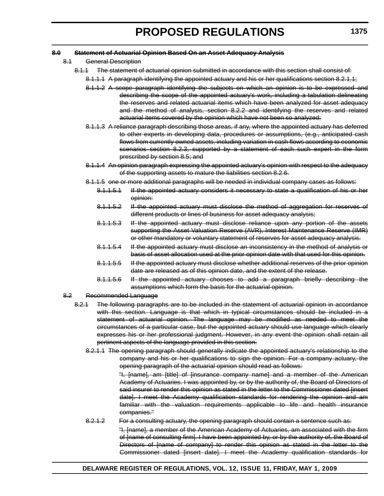- 8.1 General Description
	- 8.1.1 The statement of actuarial opinion submitted in accordance with this section shall consist of:
		- 8.1.1.1 A paragraph identifying the appointed actuary and his or her qualifications section 8.2.1.1;
		- 8.1.1.2 A scope paragraph identifying the subjects on which an opinion is to be expressed and describing the scope of the appointed actuary's work, including a tabulation delineating the reserves and related actuarial items which have been analyzed for asset adequacy and the method of analysis, section 8.2.2 and identifying the reserves and related actuarial items covered by the opinion which have not been so analyzed;
		- 8.1.1.3 A reliance paragraph describing those areas, if any, where the appointed actuary has deferred to other experts in developing data, procedures or assumptions, (e.g., anticipated cash flows from currently owned assets, including variation in cash flows according to economic scenarios section 8.2.3, supported by a statement of each such expert in the form prescribed by section 8.5; and
		- 8.1.1.4 An opinion paragraph expressing the appointed actuary's opinion with respect to the adequacy of the supporting assets to mature the liabilities section 8.2.6.
		- 8.1.1.5 one or more additional paragraphs will be needed in individual company cases as follows:
			- 8.1.1.5.1 If the appointed actuary considers it necessary to state a qualification of his or her opinion:
			- 8.1.1.5.2 If the appointed actuary must disclose the method of aggregation for reserves of different products or lines of business for asset adequacy analysis;
			- 8.1.1.5.3 If the appointed actuary must disclose reliance upon any portion of the assets supporting the Asset Valuation Reserve (AVR), Interest Maintenance Reserve (IMR) or other mandatory or voluntary statement of reserves for asset adequacy analysis.
			- 8.1.1.5.4 If the appointed actuary must disclose an inconsistency in the method of analysis or basis of asset allocation used at the prior opinion date with that used for this opinion.
			- 8.1.1.5.5 If the appointed actuary must disclose whether additional reserves of the prior opinion date are released as of this opinion date, and the extent of the release.
			- 8.1.1.5.6 If the appointed actuary chooses to add a paragraph briefly describing the assumptions which form the basis for the actuarial opinion.
- 8.2 Recommended Language
	- 8.2.1 The following paragraphs are to be included in the statement of actuarial opinion in accordance with this section. Language is that which in typical circumstances should be included in a statement of actuarial opinion. The language may be modified as needed to meet the circumstances of a particular case, but the appointed actuary should use language which clearly expresses his or her professional judgment. However, in any event the opinion shall retain all pertinent aspects of the language provided in this section.
		- 8.2.1.1 The opening paragraph should generally indicate the appointed actuary's relationship to the company and his or her qualifications to sign the opinion. For a company actuary, the opening paragraph of the actuarial opinion should read as follows:

"I, [name], am [title] of [insurance company name] and a member of the American Academy of Actuaries. I was appointed by, or by the authority of, the Board of Directors of said insurer to render this opinion as stated in the letter to the Commissioner dated [insert date]. I meet the Academy qualification standards for rendering the opinion and am familiar with the valuation requirements applicable to life and health insurance companies."

8.2.1.2 For a consulting actuary, the opening paragraph should contain a sentence such as: "I, [name], a member of the American Academy of Actuaries, am associated with the firm

of [name of consulting firm]. I have been appointed by, or by the authority of, the Board of Directors of [name of company] to render this opinion as stated in the letter to the Commissioner dated [insert date]. I meet the Academy qualification standards for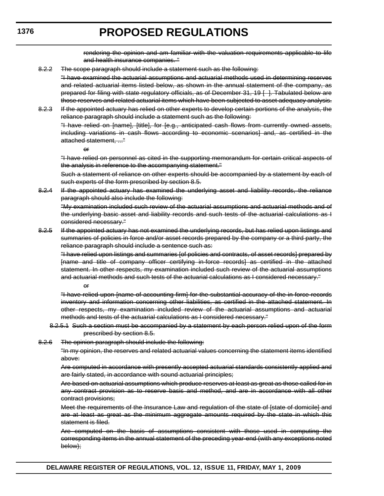rendering the opinion and am familiar with the valuation requirements applicable to life and health insurance companies. "

8.2.2 The scope paragraph should include a statement such as the following:

"I have examined the actuarial assumptions and actuarial methods used in determining reserves and related actuarial items listed below, as shown in the annual statement of the company, as prepared for filing with state regulatory officials, as of December 31, 19 [ ]. Tabulated below are those reserves and related actuarial items which have been subjected to asset adequacy analysis.

8.2.3 If the appointed actuary has relied on other experts to develop certain portions of the analysis, the reliance paragraph should include a statement such as the following:

"I have relied on [name], [title], for [e.g., anticipated cash flows from currently owned assets, including variations in cash flows according to economic scenarios] and, as certified in the attached statement, ..."

or

"I have relied on personnel as cited in the supporting memorandum for certain critical aspects of the analysis in reference to the accompanying statement."

Such a statement of reliance on other experts should be accompanied by a statement by each of such experts of the form prescribed by section 8.5.

8.2.4 If the appointed actuary has examined the underlying asset and liability records, the reliance paragraph should also include the following:

"My examination included such review of the actuarial assumptions and actuarial methods and of the underlying basic asset and liability records and such tests of the actuarial calculations as I considered necessary."

8.2.5 If the appointed actuary has not examined the underlying records, but has relied upon listings and summaries of policies in force and/or asset records prepared by the company or a third party, the reliance paragraph should include a sentence such as:

"I have relied upon listings and summaries [of policies and contracts, of asset records] prepared by [name and title of company officer certifying in-force records] as certified in the attached statement. In other respects, my examination included such review of the actuarial assumptions and actuarial methods and such tests of the actuarial calculations as I considered necessary."

or

"I have relied upon [name of accounting firm] for the substantial accuracy of the in-force records inventory and information concerning other liabilities, as certified in the attached statement. In other respects, my examination included review of the actuarial assumptions and actuarial methods and tests of the actuarial calculations as I considered necessary."

- 8.2.5.1 Such a section must be accompanied by a statement by each person relied upon of the form prescribed by section 8.5.
- 8.2.6 The opinion paragraph should include the following:

"In my opinion, the reserves and related actuarial values concerning the statement items identified above:

Are computed in accordance with presently accepted actuarial standards consistently applied and are fairly stated, in accordance with sound actuarial principles;

Are based on actuarial assumptions which produce reserves at least as great as those called for in any contract provision as to reserve basis and method, and are in accordance with all other contract provisions;

Meet the requirements of the Insurance Law and regulation of the state of [state of domicile] and are at least as great as the minimum aggregate amounts required by the state in which this statement is filed.

Are computed on the basis of assumptions consistent with those used in computing the corresponding items in the annual statement of the preceding year-end (with any exceptions noted below);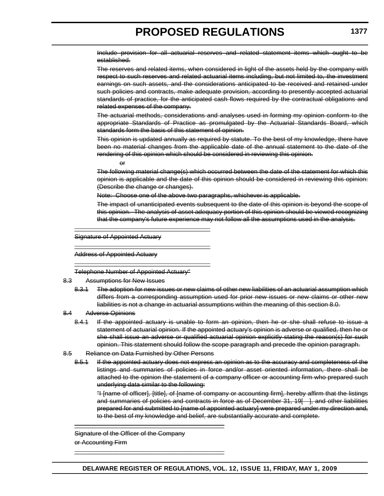Include provision for all actuarial reserves and related statement items which ought to be established.

The reserves and related items, when considered in light of the assets held by the company with respect to such reserves and related actuarial items including, but not limited to, the investment earnings on such assets, and the considerations anticipated to be received and retained under such policies and contracts, make adequate provision, according to presently accepted actuarial standards of practice, for the anticipated cash flows required by the contractual obligations and related expenses of the company.

The actuarial methods, considerations and analyses used in forming my opinion conform to the appropriate Standards of Practice as promulgated by the Actuarial Standards Board, which standards form the basis of this statement of opinion.

This opinion is updated annually as required by statute. To the best of my knowledge, there have been no material changes from the applicable date of the annual statement to the date of the rendering of this opinion which should be considered in reviewing this opinion.

or

The following material change(s) which occurred between the date of the statement for which this opinion is applicable and the date of this opinion should be considered in reviewing this opinion: (Describe the change or changes).

Note: Choose one of the above two paragraphs, whichever is applicable.

The impact of unanticipated events subsequent to the date of this opinion is beyond the scope of this opinion. The analysis of asset adequacy portion of this opinion should be viewed recognizing that the company's future experience may not follow all the assumptions used in the analysis.

Signature of Appointed Actuary

Address of Appointed Actuary

Telephone Number of Appointed Actuary"

\_\_\_\_\_\_\_\_\_\_\_\_\_\_\_\_\_\_\_\_\_\_\_\_\_\_\_\_\_\_\_\_\_\_\_\_\_\_\_

\_\_\_\_\_\_\_\_\_\_\_\_\_\_\_\_\_\_\_\_\_\_\_\_\_\_\_\_\_\_\_\_\_\_\_\_\_\_\_

\_\_\_\_\_\_\_\_\_\_\_\_\_\_\_\_\_\_\_\_\_\_\_\_\_\_\_\_\_\_\_\_\_\_\_\_\_\_\_

- 8.3 Assumptions for New Issues
	- 8.3.1 The adoption for new issues or new claims of other new liabilities of an actuarial assumption which differs from a corresponding assumption used for prior new issues or new claims or other new liabilities is not a change in actuarial assumptions within the meaning of this section 8.0.
- 8.4 Adverse Opinions
	- 8.4.1 If the appointed actuary is unable to form an opinion, then he or she shall refuse to issue a statement of actuarial opinion. If the appointed actuary's opinion is adverse or qualified, then he or she shall issue an adverse or qualified actuarial opinion explicitly stating the reason(s) for such opinion. This statement should follow the scope paragraph and precede the opinion paragraph.
- 8.5 Reliance on Data Furnished by Other Persons
	- 8.5.1 If the appointed actuary does not express an opinion as to the accuracy and completeness of the listings and summaries of policies in force and/or asset oriented information, there shall be attached to the opinion the statement of a company officer or accounting firm who prepared such underlying data similar to the following:

"I [name of officer], [title], of [name of company or accounting firm], hereby affirm that the listings and summaries of policies and contracts in force as of December 31, 19[ ], and other liabilities prepared for and submitted to [name of appointed actuary] were prepared under my direction and, to the best of my knowledge and belief, are substantially accurate and complete.

Signature of the Officer of the Company or Accounting Firm

\_\_\_\_\_\_\_\_\_\_\_\_\_\_\_\_\_\_\_\_\_\_\_\_\_\_\_\_\_\_\_\_\_\_\_\_\_\_\_\_\_\_\_

\_\_\_\_\_\_\_\_\_\_\_\_\_\_\_\_\_\_\_\_\_\_\_\_\_\_\_\_\_\_\_\_\_\_\_\_\_\_\_\_\_\_\_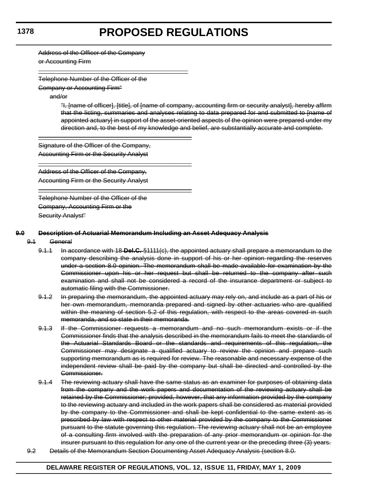Address of the Officer of the Company

or Accounting Firm

Telephone Number of the Officer of the

\_\_\_\_\_\_\_\_\_\_\_\_\_\_\_\_\_\_\_\_\_\_\_\_\_\_\_\_\_\_\_\_\_\_\_\_\_\_\_\_\_\_\_

\_\_\_\_\_\_\_\_\_\_\_\_\_\_\_\_\_\_\_\_\_\_\_\_\_\_\_\_\_\_\_\_\_\_\_\_\_\_\_\_\_\_\_\_

\_\_\_\_\_\_\_\_\_\_\_\_\_\_\_\_\_\_\_\_\_\_\_\_\_\_\_\_\_\_\_\_\_\_\_\_\_\_\_\_\_\_\_\_

\_\_\_\_\_\_\_\_\_\_\_\_\_\_\_\_\_\_\_\_\_\_\_\_\_\_\_\_\_\_\_\_\_\_\_\_\_\_\_\_\_\_\_\_

Company or Accounting Firm"

and/or

"I, [name of officer], [title], of [name of company, accounting firm or security analyst], hereby affirm that the listing, summaries and analyses relating to data prepared for and submitted to [name of appointed actuary] in support of the asset-oriented aspects of the opinion were prepared under my direction and, to the best of my knowledge and belief, are substantially accurate and complete.

Signature of the Officer of the Company, Accounting Firm or the Security Analyst

Address of the Officer of the Company, Accounting Firm or the Security Analyst

Telephone Number of the Officer of the Company, Accounting Firm or the Security Analyst"

#### **9.0 Description of Actuarial Memorandum Including an Asset Adequacy Analysis**

#### 9.1 General

- 9.1.1 In accordance with 18 **Del.C.** §1111(c), the appointed actuary shall prepare a memorandum to the company describing the analysis done in support of his or her opinion regarding the reserves under a section 8.0 opinion. The memorandum shall be made available for examination by the Commissioner upon his or her request but shall be returned to the company after such examination and shall not be considered a record of the insurance department or subject to automatic filing with the Commissioner.
- 9.1.2 In preparing the memorandum, the appointed actuary may rely on, and include as a part of his or her own memorandum, memoranda prepared and signed by other actuaries who are qualified within the meaning of section 5.2 of this regulation, with respect to the areas covered in such memoranda, and so state in their memoranda.
- 9.1.3 If the Commissioner requests a memorandum and no such memorandum exists or if the Commissioner finds that the analysis described in the memorandum fails to meet the standards of the Actuarial Standards Board or the standards and requirements of this regulation, the Commissioner may designate a qualified actuary to review the opinion and prepare such supporting memorandum as is required for review. The reasonable and necessary expense of the independent review shall be paid by the company but shall be directed and controlled by the Commissioner.
- 9.1.4 The reviewing actuary shall have the same status as an examiner for purposes of obtaining data from the company and the work papers and documentation of the reviewing actuary shall be retained by the Commissioner; provided, however, that any information provided by the company to the reviewing actuary and included in the work papers shall be considered as material provided by the company to the Commissioner and shall be kept confidential to the same extent as is prescribed by law with respect to other material provided by the company to the Commissioner pursuant to the statute governing this regulation. The reviewing actuary shall not be an employee of a consulting firm involved with the preparation of any prior memorandum or opinion for the insurer pursuant to this regulation for any one of the current year or the preceding three (3) years.
- 9.2 Details of the Memorandum Section Documenting Asset Adequacy Analysis (section 8.0.

### **DELAWARE REGISTER OF REGULATIONS, VOL. 12, ISSUE 11, FRIDAY, MAY 1, 2009**

#### **1378**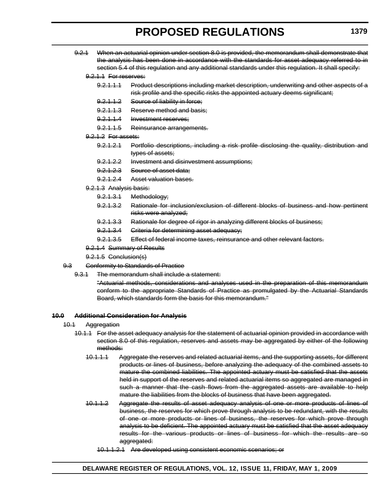9.2.1 When an actuarial opinion under section 8.0 is provided, the memorandum shall demonstrate that the analysis has been done in accordance with the standards for asset adequacy referred to in section 5.4 of this regulation and any additional standards under this regulation. It shall specify:

#### 9.2.1.1 For reserves:

- 9.2.1.1.1 Product descriptions including market description, underwriting and other aspects of a risk profile and the specific risks the appointed actuary deems significant;
- 9.2.1.1.2 Source of liability in force;
- 9.2.1.1.3 Reserve method and basis;
- 9.2.1.1.4 Investment reserves;
- 9.2.1.1.5 Reinsurance arrangements.
- 9.2.1.2 For assets:
	- 9.2.1.2.1 Portfolio descriptions, including a risk profile disclosing the quality, distribution and types of assets;
	- 9.2.1.2.2 Investment and disinvestment assumptions;
	- 9.2.1.2.3 Source of asset data;
	- 9.2.1.2.4 Asset valuation bases.
- 9.2.1.3 Analysis basis:
	- 9.2.1.3.1 Methodology;
	- 9.2.1.3.2 Rationale for inclusion/exclusion of different blocks of business and how pertinent risks were analyzed;
	- 9.2.1.3.3 Rationale for degree of rigor in analyzing different blocks of business;
	- 9.2.1.3.4 Griteria for determining asset adequacy;
	- 9.2.1.3.5 Effect of federal income taxes, reinsurance and other relevant factors.
- 9.2.1.4 Summary of Results
- 9.2.1.5 Conclusion(s)
- 9.3 Conformity to Standards of Practice
	- 9.3.1 The memorandum shall include a statement:

"Actuarial methods, considerations and analyses used in the preparation of this memorandum conform to the appropriate Standards of Practice as promulgated by the Actuarial Standards Board, which standards form the basis for this memorandum."

#### **10.0 Additional Consideration for Analysis**

- 10.1 Aggregation
	- 10.1.1 For the asset adequacy analysis for the statement of actuarial opinion provided in accordance with section 8.0 of this regulation, reserves and assets may be aggregated by either of the following methods:
		- 10.1.1.1 Aggregate the reserves and related actuarial items, and the supporting assets, for different products or lines of business, before analyzing the adequacy of the combined assets to mature the combined liabilities. The appointed actuary must be satisfied that the assets held in support of the reserves and related actuarial items so aggregated are managed in such a manner that the cash flows from the aggregated assets are available to help mature the liabilities from the blocks of business that have been aggregated.
		- 10.1.1.2 Aggregate the results of asset adequacy analysis of one or more products of lines of business, the reserves for which prove through analysis to be redundant, with the results of one or more products or lines of business, the reserves for which prove through analysis to be deficient. The appointed actuary must be satisfied that the asset adequacy results for the various products or lines of business for which the results are so aggregated:
			- 10.1.1.2.1 Are developed using consistent economic scenarios; or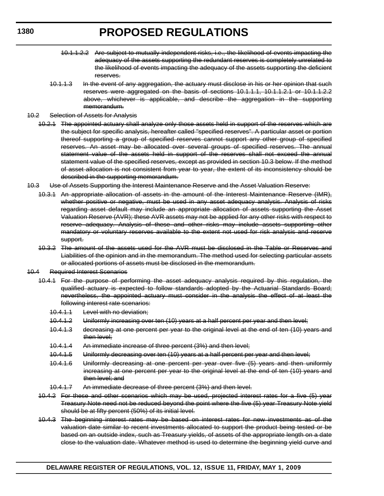- 10.1.1.2.2 Are subject to mutually independent risks, i.e., the likelihood of events impacting the adequacy of the assets supporting the redundant reserves is completely unrelated to the likelihood of events impacting the adequacy of the assets supporting the deficient reserves.
- 10.1.1.3 In the event of any aggregation, the actuary must disclose in his or her opinion that such reserves were aggregated on the basis of sections 10.1.1.1, 10.1.1.2.1 or 10.1.1.2.2 above, whichever is applicable, and describe the aggregation in the supporting memorandum.
- 10.2 Selection of Assets for Analysis
	- 10.2.1 The appointed actuary shall analyze only those assets held in support of the reserves which are the subject for specific analysis, hereafter called "specified reserves". A particular asset or portion thereof supporting a group of specified reserves cannot support any other group of specified reserves. An asset may be allocated over several groups of specified reserves. The annual statement value of the assets held in support of the reserves shall not exceed the annual statement value of the specified reserves, except as provided in section 10.3 below. If the method of asset allocation is not consistent from year to year, the extent of its inconsistency should be described in the supporting memorandum.
- 10.3 Use of Assets Supporting the Interest Maintenance Reserve and the Asset Valuation Reserve:
	- 10.3.1 An appropriate allocation of assets in the amount of the Interest Maintenance Reserve (IMR), whether positive or negative, must be used in any asset adequacy analysis. Analysis of risks regarding asset default may include an appropriate allocation of assets supporting the Asset Valuation Reserve (AVR); these AVR assets may not be applied for any other risks with respect to reserve adequacy. Analysis of these and other risks may include assets supporting other mandatory or voluntary reserves available to the extent not used for risk analysis and reserve support.
		- 10.3.2 The amount of the assets used for the AVR must be disclosed in the Table or Reserves and Liabilities of the opinion and in the memorandum. The method used for selecting particular assets or allocated portions of assets must be disclosed in the memorandum.
- 10.4 Required Interest Scenarios
	- 10.4.1 For the purpose of performing the asset adequacy analysis required by this regulation, the qualified actuary is expected to follow standards adopted by the Actuarial Standards Board; nevertheless, the appointed actuary must consider in the analysis the effect of at least the following interest rate scenarios:
		- 10.4.1.1 Level with no deviation;
		- 10.4.1.2 Uniformly increasing over ten (10) years at a half percent per year and then level;
		- 10.4.1.3 decreasing at one percent per year to the original level at the end of ten (10) years and then level;
		- 10.4.1.4 An immediate increase of three percent (3%) and then level;
		- 10.4.1.5 Uniformly decreasing over ten (10) years at a half percent per year and then level;
		- 10.4.1.6 Uniformly decreasing at one percent per year over five (5) years and then uniformly increasing at one percent per year to the original level at the end of ten (10) years and then level; and
		- 10.4.1.7 An immediate decrease of three percent (3%) and then level.
	- 10.4.2 For these and other scenarios which may be used, projected interest rates for a five (5) year Treasury Note need not be reduced beyond the point where the five (5) year Treasury Note yield should be at fifty percent (50%) of its initial level.
	- 10.4.3 The beginning interest rates may be based on interest rates for new investments as of the valuation date similar to recent investments allocated to support the product being tested or be based on an outside index, such as Treasury yields, of assets of the appropriate length on a date close to the valuation date. Whatever method is used to determine the beginning yield curve and

**1380**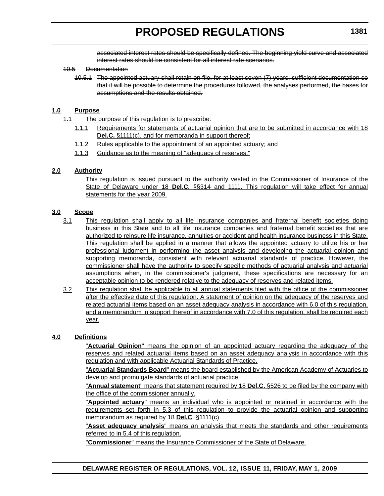associated interest rates should be specifically defined. The beginning yield curve and associated interest rates should be consistent for all interest rate scenarios.

#### 10.5 Documentation

10.5.1 The appointed actuary shall retain on file, for at least seven (7) years, sufficient documentation so that it will be possible to determine the procedures followed, the analyses performed, the bases for assumptions and the results obtained.

### **1.0 Purpose**

- 1.1 The purpose of this regulation is to prescribe:
	- 1.1.1 Requirements for statements of actuarial opinion that are to be submitted in accordance with 18 **Del.C.** §1111(c), and for memoranda in support thereof;
	- 1.1.2 Rules applicable to the appointment of an appointed actuary; and
	- 1.1.3 Guidance as to the meaning of "adequacy of reserves."

### **2.0 Authority**

This regulation is issued pursuant to the authority vested in the Commissioner of Insurance of the State of Delaware under 18 **Del.C.** §§314 and 1111. This regulation will take effect for annual statements for the year 2009.

### **3.0 Scope**

- 3.1 This regulation shall apply to all life insurance companies and fraternal benefit societies doing business in this State and to all life insurance companies and fraternal benefit societies that are authorized to reinsure life insurance, annuities or accident and health insurance business in this State. This regulation shall be applied in a manner that allows the appointed actuary to utilize his or her professional judgment in performing the asset analysis and developing the actuarial opinion and supporting memoranda, consistent with relevant actuarial standards of practice. However, the commissioner shall have the authority to specify specific methods of actuarial analysis and actuarial assumptions when, in the commissioner's judgment, these specifications are necessary for an acceptable opinion to be rendered relative to the adequacy of reserves and related items.
- 3.2 This regulation shall be applicable to all annual statements filed with the office of the commissioner after the effective date of this regulation. A statement of opinion on the adequacy of the reserves and related actuarial items based on an asset adequacy analysis in accordance with 6.0 of this regulation, and a memorandum in support thereof in accordance with 7.0 of this regulation, shall be required each year.

### **4.0 Definitions**

"**Actuarial Opinion**" means the opinion of an appointed actuary regarding the adequacy of the reserves and related actuarial items based on an asset adequacy analysis in accordance with this regulation and with applicable Actuarial Standards of Practice.

"**Actuarial Standards Board**" means the board established by the American Academy of Actuaries to develop and promulgate standards of actuarial practice.

"**Annual statement**" means that statement required by 18 **Del.C.** §526 to be filed by the company with the office of the commissioner annually.

"**Appointed actuary**" means an individual who is appointed or retained in accordance with the requirements set forth in 5.3 of this regulation to provide the actuarial opinion and supporting memorandum as required by 18 **Del.C**. §1111(c).

"**Asset adequacy analysis**" means an analysis that meets the standards and other requirements referred to in 5.4 of this regulation.

"**Commissioner**" means the Insurance Commissioner of the State of Delaware.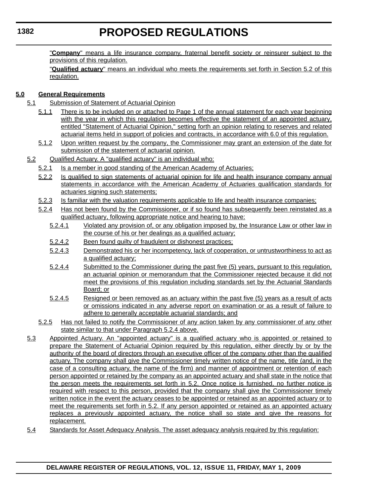"**Company**" means a life insurance company, fraternal benefit society or reinsurer subject to the provisions of this regulation.

"**Qualified actuary**" means an individual who meets the requirements set forth in Section 5.2 of this regulation.

# **5.0 General Requirements**

- 5.1 Submission of Statement of Actuarial Opinion
	- 5.1.1 There is to be included on or attached to Page 1 of the annual statement for each year beginning with the year in which this regulation becomes effective the statement of an appointed actuary, entitled "Statement of Actuarial Opinion," setting forth an opinion relating to reserves and related actuarial items held in support of policies and contracts, in accordance with 6.0 of this regulation.
	- 5.1.2 Upon written request by the company, the Commissioner may grant an extension of the date for submission of the statement of actuarial opinion.
- 5.2 Qualified Actuary. A "qualified actuary" is an individual who:
	- 5.2.1 Is a member in good standing of the American Academy of Actuaries;
	- 5.2.2 Is qualified to sign statements of actuarial opinion for life and health insurance company annual statements in accordance with the American Academy of Actuaries qualification standards for actuaries signing such statements;
	- 5.2.3 Is familiar with the valuation requirements applicable to life and health insurance companies;
	- 5.2.4 Has not been found by the Commissioner, or if so found has subsequently been reinstated as a qualified actuary, following appropriate notice and hearing to have:
		- 5.2.4.1 Violated any provision of, or any obligation imposed by, the Insurance Law or other law in the course of his or her dealings as a qualified actuary;
		- 5.2.4.2 Been found guilty of fraudulent or dishonest practices;
		- 5.2.4.3 Demonstrated his or her incompetency, lack of cooperation, or untrustworthiness to act as a qualified actuary;
		- 5.2.4.4 Submitted to the Commissioner during the past five (5) years, pursuant to this regulation, an actuarial opinion or memorandum that the Commissioner rejected because it did not meet the provisions of this regulation including standards set by the Actuarial Standards Board; or
		- 5.2.4.5 Resigned or been removed as an actuary within the past five (5) years as a result of acts or omissions indicated in any adverse report on examination or as a result of failure to adhere to generally acceptable actuarial standards; and
	- 5.2.5 Has not failed to notify the Commissioner of any action taken by any commissioner of any other state similar to that under Paragraph 5.2.4 above.
- 5.3 Appointed Actuary. An "appointed actuary" is a qualified actuary who is appointed or retained to prepare the Statement of Actuarial Opinion required by this regulation, either directly by or by the authority of the board of directors through an executive officer of the company other than the qualified actuary. The company shall give the Commissioner timely written notice of the name, title (and, in the case of a consulting actuary, the name of the firm) and manner of appointment or retention of each person appointed or retained by the company as an appointed actuary and shall state in the notice that the person meets the requirements set forth in 5.2. Once notice is furnished, no further notice is required with respect to this person, provided that the company shall give the Commissioner timely written notice in the event the actuary ceases to be appointed or retained as an appointed actuary or to meet the requirements set forth in 5.2. If any person appointed or retained as an appointed actuary replaces a previously appointed actuary, the notice shall so state and give the reasons for replacement.
- 5.4 Standards for Asset Adequacy Analysis. The asset adequacy analysis required by this regulation: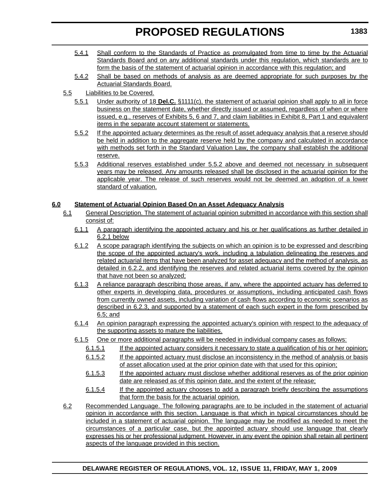- 5.4.1 Shall conform to the Standards of Practice as promulgated from time to time by the Actuarial Standards Board and on any additional standards under this regulation, which standards are to form the basis of the statement of actuarial opinion in accordance with this regulation; and
- 5.4.2 Shall be based on methods of analysis as are deemed appropriate for such purposes by the Actuarial Standards Board.
- 5.5 Liabilities to be Covered.
	- 5.5.1 Under authority of 18 **Del.C.** §1111(c), the statement of actuarial opinion shall apply to all in force business on the statement date, whether directly issued or assumed, regardless of when or where issued, e.g., reserves of Exhibits 5, 6 and 7, and claim liabilities in Exhibit 8, Part 1 and equivalent items in the separate account statement or statements.
	- 5.5.2 If the appointed actuary determines as the result of asset adequacy analysis that a reserve should be held in addition to the aggregate reserve held by the company and calculated in accordance with methods set forth in the Standard Valuation Law, the company shall establish the additional reserve.
	- 5.5.3 Additional reserves established under 5.5.2 above and deemed not necessary in subsequent years may be released. Any amounts released shall be disclosed in the actuarial opinion for the applicable year. The release of such reserves would not be deemed an adoption of a lower standard of valuation.

# **6.0 Statement of Actuarial Opinion Based On an Asset Adequacy Analysis**

- 6.1 General Description. The statement of actuarial opinion submitted in accordance with this section shall consist of:
	- 6.1.1 A paragraph identifying the appointed actuary and his or her qualifications as further detailed in 6.2.1 below
	- 6.1.2 A scope paragraph identifying the subjects on which an opinion is to be expressed and describing the scope of the appointed actuary's work, including a tabulation delineating the reserves and related actuarial items that have been analyzed for asset adequacy and the method of analysis, as detailed in 6.2.2, and identifying the reserves and related actuarial items covered by the opinion that have not been so analyzed;
	- 6.1.3 A reliance paragraph describing those areas, if any, where the appointed actuary has deferred to other experts in developing data, procedures or assumptions, including anticipated cash flows from currently owned assets, including variation of cash flows according to economic scenarios as described in 6.2.3, and supported by a statement of each such expert in the form prescribed by 6.5; and
	- 6.1.4 An opinion paragraph expressing the appointed actuary's opinion with respect to the adequacy of the supporting assets to mature the liabilities.
	- 6.1.5 One or more additional paragraphs will be needed in individual company cases as follows:
		- 6.1.5.1 If the appointed actuary considers it necessary to state a qualification of his or her opinion;
		- 6.1.5.2 If the appointed actuary must disclose an inconsistency in the method of analysis or basis of asset allocation used at the prior opinion date with that used for this opinion;
		- 6.1.5.3 If the appointed actuary must disclose whether additional reserves as of the prior opinion date are released as of this opinion date, and the extent of the release;
		- 6.1.5.4 If the appointed actuary chooses to add a paragraph briefly describing the assumptions that form the basis for the actuarial opinion.
- 6.2 Recommended Language. The following paragraphs are to be included in the statement of actuarial opinion in accordance with this section. Language is that which in typical circumstances should be included in a statement of actuarial opinion. The language may be modified as needed to meet the circumstances of a particular case, but the appointed actuary should use language that clearly expresses his or her professional judgment. However, in any event the opinion shall retain all pertinent aspects of the language provided in this section.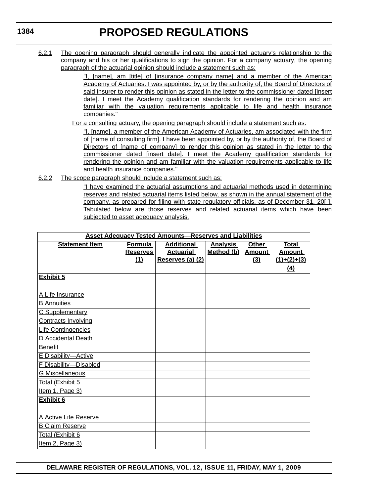6.2.1 The opening paragraph should generally indicate the appointed actuary's relationship to the company and his or her qualifications to sign the opinion. For a company actuary, the opening paragraph of the actuarial opinion should include a statement such as:

> "I, [name], am [title] of [insurance company name] and a member of the American Academy of Actuaries. I was appointed by, or by the authority of, the Board of Directors of said insurer to render this opinion as stated in the letter to the commissioner dated [insert date]. I meet the Academy qualification standards for rendering the opinion and am familiar with the valuation requirements applicable to life and health insurance companies."

For a consulting actuary, the opening paragraph should include a statement such as:

"I, [name], a member of the American Academy of Actuaries, am associated with the firm of [name of consulting firm]. I have been appointed by, or by the authority of, the Board of Directors of [name of company] to render this opinion as stated in the letter to the commissioner dated [insert date]. I meet the Academy qualification standards for rendering the opinion and am familiar with the valuation requirements applicable to life and health insurance companies."

6.2.2 The scope paragraph should include a statement such as:

"I have examined the actuarial assumptions and actuarial methods used in determining reserves and related actuarial items listed below, as shown in the annual statement of the company, as prepared for filing with state regulatory officials, as of December 31, 20[ ]. Tabulated below are those reserves and related actuarial items which have been subjected to asset adequacy analysis.

| <b>Asset Adequacy Tested Amounts-Reserves and Liabilities</b> |                 |                   |                 |               |                |
|---------------------------------------------------------------|-----------------|-------------------|-----------------|---------------|----------------|
| <b>Statement Item</b>                                         | Formula         | <b>Additional</b> | <b>Analysis</b> | Other         | <b>Total</b>   |
|                                                               | <b>Reserves</b> | <b>Actuarial</b>  | Method (b)      | <u>Amount</u> | <u>Amount_</u> |
|                                                               | (1)             | Reserves (a) (2)  |                 | (3)           | $(1)+(2)+(3)$  |
|                                                               |                 |                   |                 |               | (4)            |
| <b>Exhibit 5</b>                                              |                 |                   |                 |               |                |
|                                                               |                 |                   |                 |               |                |
| A Life Insurance                                              |                 |                   |                 |               |                |
| <b>B</b> Annuities                                            |                 |                   |                 |               |                |
| C Supplementary                                               |                 |                   |                 |               |                |
| <b>Contracts Involving</b>                                    |                 |                   |                 |               |                |
| Life Contingencies                                            |                 |                   |                 |               |                |
| D Accidental Death                                            |                 |                   |                 |               |                |
| <b>Benefit</b>                                                |                 |                   |                 |               |                |
| E Disability-Active                                           |                 |                   |                 |               |                |
| F Disability-Disabled                                         |                 |                   |                 |               |                |
| <b>G Miscellaneous</b>                                        |                 |                   |                 |               |                |
| Total (Exhibit 5                                              |                 |                   |                 |               |                |
| Item 1, Page 3)                                               |                 |                   |                 |               |                |
| <b>Exhibit 6</b>                                              |                 |                   |                 |               |                |
|                                                               |                 |                   |                 |               |                |
| A Active Life Reserve                                         |                 |                   |                 |               |                |
| <b>B Claim Reserve</b>                                        |                 |                   |                 |               |                |
| Total (Exhibit 6                                              |                 |                   |                 |               |                |
| Item 2, Page 3)                                               |                 |                   |                 |               |                |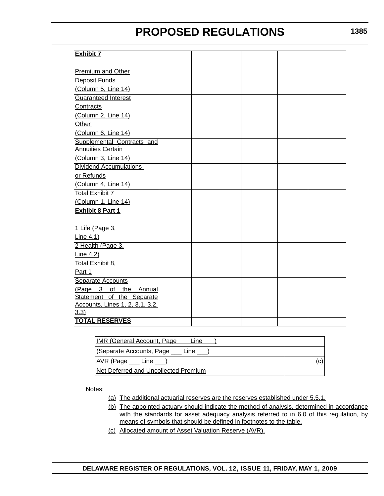| <b>Exhibit 7</b>                        |  |  |  |
|-----------------------------------------|--|--|--|
|                                         |  |  |  |
| Premium and Other                       |  |  |  |
| Deposit Funds                           |  |  |  |
| (Column 5, Line 14)                     |  |  |  |
| <b>Guaranteed Interest</b>              |  |  |  |
| Contracts                               |  |  |  |
| (Column 2, Line 14)                     |  |  |  |
| Other                                   |  |  |  |
| (Column 6, Line 14)                     |  |  |  |
| Supplemental Contracts and              |  |  |  |
| <b>Annuities Certain</b>                |  |  |  |
| (Column 3, Line 14)                     |  |  |  |
| <b>Dividend Accumulations</b>           |  |  |  |
| or Refunds                              |  |  |  |
| (Column 4, Line 14)                     |  |  |  |
| <b>Total Exhibit 7</b>                  |  |  |  |
| (Column 1, Line 14)                     |  |  |  |
| <b>Exhibit 8 Part 1</b>                 |  |  |  |
|                                         |  |  |  |
| 1 Life (Page 3,                         |  |  |  |
| Line $4.1$ )                            |  |  |  |
| 2 Health (Page 3,                       |  |  |  |
| Line 4.2)                               |  |  |  |
| Total Exhibit 8,                        |  |  |  |
| Part 1                                  |  |  |  |
| <b>Separate Accounts</b>                |  |  |  |
| (Page 3 of the Annual                   |  |  |  |
| Statement of the Separate               |  |  |  |
| Accounts, Lines 1, 2, 3.1, 3.2,<br>3.3) |  |  |  |
| <b>TOTAL RESERVES</b>                   |  |  |  |
|                                         |  |  |  |

| <b>IMR (General Account, Page)</b><br>Line |     |
|--------------------------------------------|-----|
| l (Separate Accounts, Page<br>Line         |     |
| AVR (Page<br>Line                          | (C) |
| INet Deferred and Uncollected Premium      |     |

Notes:

- (a) The additional actuarial reserves are the reserves established under 5.5.1.
- (b) The appointed actuary should indicate the method of analysis, determined in accordance with the standards for asset adequacy analysis referred to in 6.0 of this regulation, by means of symbols that should be defined in footnotes to the table.
- (c) Allocated amount of Asset Valuation Reserve (AVR).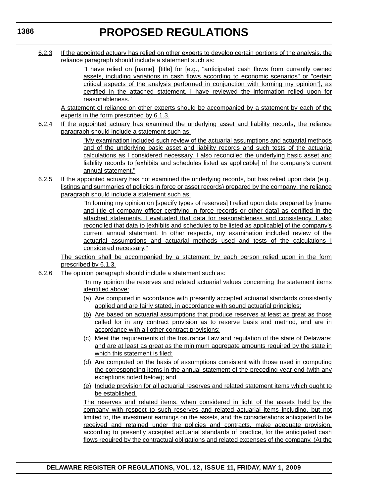6.2.3 If the appointed actuary has relied on other experts to develop certain portions of the analysis, the reliance paragraph should include a statement such as:

> "I have relied on [name], [title] for [e.g., "anticipated cash flows from currently owned assets, including variations in cash flows according to economic scenarios" or "certain critical aspects of the analysis performed in conjunction with forming my opinion"], as certified in the attached statement. I have reviewed the information relied upon for reasonableness."

A statement of reliance on other experts should be accompanied by a statement by each of the experts in the form prescribed by 6.1.3.

6.2.4 If the appointed actuary has examined the underlying asset and liability records, the reliance paragraph should include a statement such as:

> "My examination included such review of the actuarial assumptions and actuarial methods and of the underlying basic asset and liability records and such tests of the actuarial calculations as I considered necessary. I also reconciled the underlying basic asset and liability records to [exhibits and schedules listed as applicable] of the company's current annual statement."

6.2.5 If the appointed actuary has not examined the underlying records, but has relied upon data (e.g., listings and summaries of policies in force or asset records) prepared by the company, the reliance paragraph should include a statement such as:

> "In forming my opinion on [specify types of reserves] I relied upon data prepared by [name and title of company officer certifying in force records or other data] as certified in the attached statements. I evaluated that data for reasonableness and consistency. I also reconciled that data to [exhibits and schedules to be listed as applicable] of the company's current annual statement. In other respects, my examination included review of the actuarial assumptions and actuarial methods used and tests of the calculations I considered necessary."

The section shall be accompanied by a statement by each person relied upon in the form prescribed by 6.1.3.

6.2.6 The opinion paragraph should include a statement such as:

"In my opinion the reserves and related actuarial values concerning the statement items identified above:

- (a) Are computed in accordance with presently accepted actuarial standards consistently applied and are fairly stated, in accordance with sound actuarial principles;
- (b) Are based on actuarial assumptions that produce reserves at least as great as those called for in any contract provision as to reserve basis and method, and are in accordance with all other contract provisions;
- (c) Meet the requirements of the Insurance Law and regulation of the state of Delaware; and are at least as great as the minimum aggregate amounts required by the state in which this statement is filed;
- (d) Are computed on the basis of assumptions consistent with those used in computing the corresponding items in the annual statement of the preceding year-end (with any exceptions noted below); and
- (e) Include provision for all actuarial reserves and related statement items which ought to be established.

The reserves and related items, when considered in light of the assets held by the company with respect to such reserves and related actuarial items including, but not limited to, the investment earnings on the assets, and the considerations anticipated to be received and retained under the policies and contracts, make adequate provision, according to presently accepted actuarial standards of practice, for the anticipated cash flows required by the contractual obligations and related expenses of the company. (At the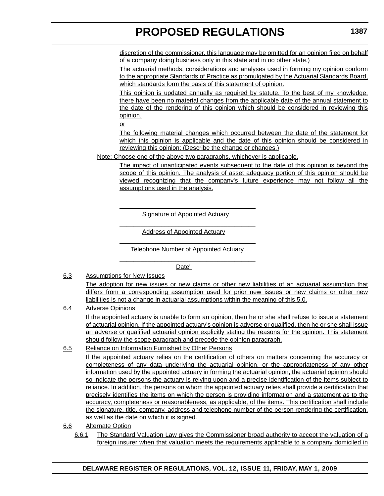discretion of the commissioner, this language may be omitted for an opinion filed on behalf of a company doing business only in this state and in no other state.)

The actuarial methods, considerations and analyses used in forming my opinion conform to the appropriate Standards of Practice as promulgated by the Actuarial Standards Board, which standards form the basis of this statement of opinion.

This opinion is updated annually as required by statute. To the best of my knowledge, there have been no material changes from the applicable date of the annual statement to the date of the rendering of this opinion which should be considered in reviewing this opinion.

or

The following material changes which occurred between the date of the statement for which this opinion is applicable and the date of this opinion should be considered in reviewing this opinion: (Describe the change or changes.)

Note: Choose one of the above two paragraphs, whichever is applicable.

The impact of unanticipated events subsequent to the date of this opinion is beyond the scope of this opinion. The analysis of asset adequacy portion of this opinion should be viewed recognizing that the company's future experience may not follow all the assumptions used in the analysis.

\_\_\_\_\_\_\_\_\_\_\_\_\_\_\_\_\_\_\_\_\_\_\_\_\_\_\_\_\_\_\_\_\_\_\_\_\_\_\_ Signature of Appointed Actuary \_\_\_\_\_\_\_\_\_\_\_\_\_\_\_\_\_\_\_\_\_\_\_\_\_\_\_\_\_\_\_\_\_\_\_\_\_\_\_

Address of Appointed Actuary

\_\_\_\_\_\_\_\_\_\_\_\_\_\_\_\_\_\_\_\_\_\_\_\_\_\_\_\_\_\_\_\_\_\_\_\_\_\_\_ Telephone Number of Appointed Actuary \_\_\_\_\_\_\_\_\_\_\_\_\_\_\_\_\_\_\_\_\_\_\_\_\_\_\_\_\_\_\_\_\_\_\_\_\_\_\_

Date"

6.3 Assumptions for New Issues

The adoption for new issues or new claims or other new liabilities of an actuarial assumption that differs from a corresponding assumption used for prior new issues or new claims or other new liabilities is not a change in actuarial assumptions within the meaning of this 5.0.

6.4 Adverse Opinions

If the appointed actuary is unable to form an opinion, then he or she shall refuse to issue a statement of actuarial opinion. If the appointed actuary's opinion is adverse or qualified, then he or she shall issue an adverse or qualified actuarial opinion explicitly stating the reasons for the opinion. This statement should follow the scope paragraph and precede the opinion paragraph.

### 6.5 Reliance on Information Furnished by Other Persons

If the appointed actuary relies on the certification of others on matters concerning the accuracy or completeness of any data underlying the actuarial opinion, or the appropriateness of any other information used by the appointed actuary in forming the actuarial opinion, the actuarial opinion should so indicate the persons the actuary is relying upon and a precise identification of the items subject to reliance. In addition, the persons on whom the appointed actuary relies shall provide a certification that precisely identifies the items on which the person is providing information and a statement as to the accuracy, completeness or reasonableness, as applicable, of the items. This certification shall include the signature, title, company, address and telephone number of the person rendering the certification, as well as the date on which it is signed.

- 6.6 Alternate Option
	- 6.6.1 The Standard Valuation Law gives the Commissioner broad authority to accept the valuation of a foreign insurer when that valuation meets the requirements applicable to a company domiciled in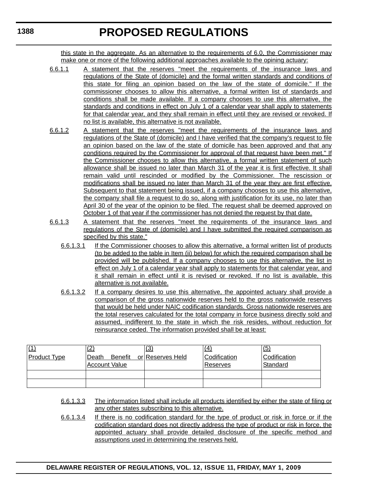this state in the aggregate. As an alternative to the requirements of 6.0, the Commissioner may make one or more of the following additional approaches available to the opining actuary:

- 6.6.1.1 A statement that the reserves "meet the requirements of the insurance laws and regulations of the State of (domicile) and the formal written standards and conditions of this state for filing an opinion based on the law of the state of domicile." If the commissioner chooses to allow this alternative, a formal written list of standards and conditions shall be made available. If a company chooses to use this alternative, the standards and conditions in effect on July 1 of a calendar year shall apply to statements for that calendar year, and they shall remain in effect until they are revised or revoked. If no list is available, this alternative is not available.
- 6.6.1.2 A statement that the reserves "meet the requirements of the insurance laws and regulations of the State of (domicile) and I have verified that the company's request to file an opinion based on the law of the state of domicile has been approved and that any conditions required by the Commissioner for approval of that request have been met." If the Commissioner chooses to allow this alternative, a formal written statement of such allowance shall be issued no later than March 31 of the year it is first effective. It shall remain valid until rescinded or modified by the Commissioner. The rescission or modifications shall be issued no later than March 31 of the year they are first effective. Subsequent to that statement being issued, if a company chooses to use this alternative, the company shall file a request to do so, along with justification for its use, no later than April 30 of the year of the opinion to be filed. The request shall be deemed approved on October 1 of that year if the commissioner has not denied the request by that date.
- 6.6.1.3 A statement that the reserves "meet the requirements of the insurance laws and regulations of the State of (domicile) and I have submitted the required comparison as specified by this state."
	- 6.6.1.3.1 If the Commissioner chooses to allow this alternative, a formal written list of products (to be added to the table in Item (ii) below) for which the required comparison shall be provided will be published. If a company chooses to use this alternative, the list in effect on July 1 of a calendar year shall apply to statements for that calendar year, and it shall remain in effect until it is revised or revoked. If no list is available, this alternative is not available.
	- 6.6.1.3.2 If a company desires to use this alternative, the appointed actuary shall provide a comparison of the gross nationwide reserves held to the gross nationwide reserves that would be held under NAIC codification standards. Gross nationwide reserves are the total reserves calculated for the total company in force business directly sold and assumed, indifferent to the state in which the risk resides, without reduction for reinsurance ceded. The information provided shall be at least:

| $\overline{u}$      | ົ<br>∠                                   | (3)              | $\overline{a}$                  | (5)                      |
|---------------------|------------------------------------------|------------------|---------------------------------|--------------------------|
| <b>Product Type</b> | Benefit<br>Death<br><b>Account Value</b> | or Reserves Held | Codification<br><b>Reserves</b> | Codification<br>Standard |
|                     |                                          |                  |                                 |                          |
|                     |                                          |                  |                                 |                          |

- 6.6.1.3.3 The information listed shall include all products identified by either the state of filing or any other states subscribing to this alternative.
- 6.6.1.3.4 If there is no codification standard for the type of product or risk in force or if the codification standard does not directly address the type of product or risk in force, the appointed actuary shall provide detailed disclosure of the specific method and assumptions used in determining the reserves held.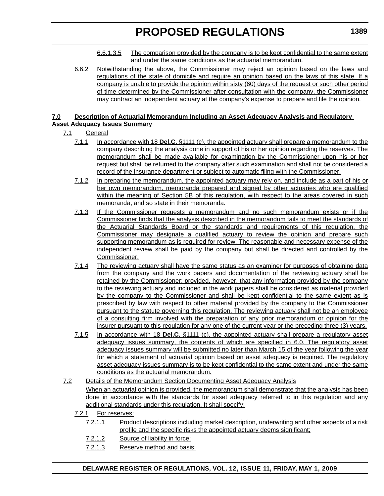- 6.6.1.3.5 The comparison provided by the company is to be kept confidential to the same extent and under the same conditions as the actuarial memorandum.
- 6.6.2 Notwithstanding the above, the Commissioner may reject an opinion based on the laws and regulations of the state of domicile and require an opinion based on the laws of this state. If a company is unable to provide the opinion within sixty (60) days of the request or such other period of time determined by the Commissioner after consultation with the company, the Commissioner may contract an independent actuary at the company's expense to prepare and file the opinion.

### **7.0 Description of Actuarial Memorandum Including an Asset Adequacy Analysis and Regulatory Asset Adequacy Issues Summary**

# 7.1 General

- 7.1.1 In accordance with 18 **Del.C.** §1111 (c), the appointed actuary shall prepare a memorandum to the company describing the analysis done in support of his or her opinion regarding the reserves. The memorandum shall be made available for examination by the Commissioner upon his or her request but shall be returned to the company after such examination and shall not be considered a record of the insurance department or subject to automatic filing with the Commissioner.
- 7.1.2 In preparing the memorandum, the appointed actuary may rely on, and include as a part of his or her own memorandum, memoranda prepared and signed by other actuaries who are qualified within the meaning of Section 5B of this regulation, with respect to the areas covered in such memoranda, and so state in their memoranda.
- 7.1.3 If the Commissioner requests a memorandum and no such memorandum exists or if the Commissioner finds that the analysis described in the memorandum fails to meet the standards of the Actuarial Standards Board or the standards and requirements of this regulation, the Commissioner may designate a qualified actuary to review the opinion and prepare such supporting memorandum as is required for review. The reasonable and necessary expense of the independent review shall be paid by the company but shall be directed and controlled by the Commissioner.
- 7.1.4 The reviewing actuary shall have the same status as an examiner for purposes of obtaining data from the company and the work papers and documentation of the reviewing actuary shall be retained by the Commissioner; provided, however, that any information provided by the company to the reviewing actuary and included in the work papers shall be considered as material provided by the company to the Commissioner and shall be kept confidential to the same extent as is prescribed by law with respect to other material provided by the company to the Commissioner pursuant to the statute governing this regulation. The reviewing actuary shall not be an employee of a consulting firm involved with the preparation of any prior memorandum or opinion for the insurer pursuant to this regulation for any one of the current year or the preceding three (3) years.
- 7.1.5 In accordance with 18 **Del.C.** §1111 (c), the appointed actuary shall prepare a regulatory asset adequacy issues summary, the contents of which are specified in 6.0. The regulatory asset adequacy issues summary will be submitted no later than March 15 of the year following the year for which a statement of actuarial opinion based on asset adequacy is required. The regulatory asset adequacy issues summary is to be kept confidential to the same extent and under the same conditions as the actuarial memorandum.
- 7.2 Details of the Memorandum Section Documenting Asset Adequacy Analysis When an actuarial opinion is provided, the memorandum shall demonstrate that the analysis has been done in accordance with the standards for asset adequacy referred to in this regulation and any additional standards under this regulation. It shall specify:
	- 7.2.1 For reserves:
		- 7.2.1.1 Product descriptions including market description, underwriting and other aspects of a risk profile and the specific risks the appointed actuary deems significant;
		- 7.2.1.2 Source of liability in force;
		- 7.2.1.3 Reserve method and basis;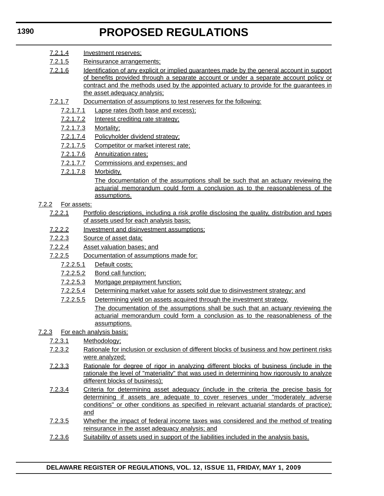- 7.2.1.4 Investment reserves;
- 7.2.1.5 Reinsurance arrangements;
- 7.2.1.6 Identification of any explicit or implied guarantees made by the general account in support of benefits provided through a separate account or under a separate account policy or contract and the methods used by the appointed actuary to provide for the guarantees in the asset adequacy analysis;
- 7.2.1.7 Documentation of assumptions to test reserves for the following:
	- 7.2.1.7.1 Lapse rates (both base and excess);
	- 7.2.1.7.2 Interest crediting rate strategy;
	- 7.2.1.7.3 Mortality;
	- 7.2.1.7.4 Policyholder dividend strategy;
	- 7.2.1.7.5 Competitor or market interest rate;
	- 7.2.1.7.6 Annuitization rates;
	- 7.2.1.7.7 Commissions and expenses; and
	- 7.2.1.7.8 Morbidity.

The documentation of the assumptions shall be such that an actuary reviewing the actuarial memorandum could form a conclusion as to the reasonableness of the assumptions.

- 7.2.2 For assets:
	- 7.2.2.1 Portfolio descriptions, including a risk profile disclosing the quality, distribution and types of assets used for each analysis basis;
	- 7.2.2.2 Investment and disinvestment assumptions;
	- 7.2.2.3 Source of asset data;
	- 7.2.2.4 Asset valuation bases; and
	- 7.2.2.5 Documentation of assumptions made for:
		- 7.2.2.5.1 Default costs;
		- 7.2.2.5.2 Bond call function;
		- 7.2.2.5.3 Mortgage prepayment function;
		- 7.2.2.5.4 Determining market value for assets sold due to disinvestment strategy; and
		- 7.2.2.5.5 Determining yield on assets acquired through the investment strategy. The documentation of the assumptions shall be such that an actuary reviewing the actuarial memorandum could form a conclusion as to the reasonableness of the assumptions.
- 7.2.3 For each analysis basis:
	- 7.2.3.1 Methodology;
	- 7.2.3.2 Rationale for inclusion or exclusion of different blocks of business and how pertinent risks were analyzed;
	- 7.2.3.3 Rationale for degree of rigor in analyzing different blocks of business (include in the rationale the level of "materiality" that was used in determining how rigorously to analyze different blocks of business);
	- 7.2.3.4 Criteria for determining asset adequacy (include in the criteria the precise basis for determining if assets are adequate to cover reserves under "moderately adverse conditions" or other conditions as specified in relevant actuarial standards of practice); and
	- 7.2.3.5 Whether the impact of federal income taxes was considered and the method of treating reinsurance in the asset adequacy analysis; and
	- 7.2.3.6 Suitability of assets used in support of the liabilities included in the analysis basis.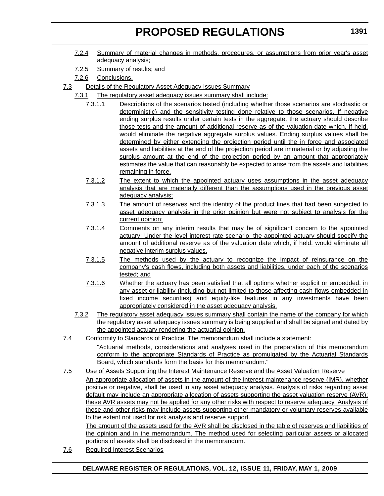- 7.2.4 Summary of material changes in methods, procedures, or assumptions from prior year's asset adequacy analysis;
- 7.2.5 Summary of results; and
- 7.2.6 Conclusions.
- 7.3 Details of the Regulatory Asset Adequacy Issues Summary
	- 7.3.1 The regulatory asset adequacy issues summary shall include:
		- 7.3.1.1 Descriptions of the scenarios tested (including whether those scenarios are stochastic or deterministic) and the sensitivity testing done relative to those scenarios. If negative ending surplus results under certain tests in the aggregate, the actuary should describe those tests and the amount of additional reserve as of the valuation date which, if held, would eliminate the negative aggregate surplus values. Ending surplus values shall be determined by either extending the projection period until the in force and associated assets and liabilities at the end of the projection period are immaterial or by adjusting the surplus amount at the end of the projection period by an amount that appropriately estimates the value that can reasonably be expected to arise from the assets and liabilities remaining in force.
		- 7.3.1.2 The extent to which the appointed actuary uses assumptions in the asset adequacy analysis that are materially different than the assumptions used in the previous asset adequacy analysis;
		- 7.3.1.3 The amount of reserves and the identity of the product lines that had been subjected to asset adequacy analysis in the prior opinion but were not subject to analysis for the current opinion;
		- 7.3.1.4 Comments on any interim results that may be of significant concern to the appointed actuary; Under the level interest rate scenario, the appointed actuary should specify the amount of additional reserve as of the valuation date which, if held, would eliminate all negative interim surplus values.
		- 7.3.1.5 The methods used by the actuary to recognize the impact of reinsurance on the company's cash flows, including both assets and liabilities, under each of the scenarios tested; and
		- 7.3.1.6 Whether the actuary has been satisfied that all options whether explicit or embedded, in any asset or liability (including but not limited to those affecting cash flows embedded in fixed income securities) and equity-like features in any investments have been appropriately considered in the asset adequacy analysis.
		- 7.3.2 The regulatory asset adequacy issues summary shall contain the name of the company for which the regulatory asset adequacy issues summary is being supplied and shall be signed and dated by the appointed actuary rendering the actuarial opinion.
- 7.4 Conformity to Standards of Practice. The memorandum shall include a statement: "Actuarial methods, considerations and analyses used in the preparation of this memorandum conform to the appropriate Standards of Practice as promulgated by the Actuarial Standards Board, which standards form the basis for this memorandum."
- 7.5 Use of Assets Supporting the Interest Maintenance Reserve and the Asset Valuation Reserve An appropriate allocation of assets in the amount of the interest maintenance reserve (IMR), whether positive or negative, shall be used in any asset adequacy analysis. Analysis of risks regarding asset default may include an appropriate allocation of assets supporting the asset valuation reserve (AVR); these AVR assets may not be applied for any other risks with respect to reserve adequacy. Analysis of these and other risks may include assets supporting other mandatory or voluntary reserves available to the extent not used for risk analysis and reserve support.

The amount of the assets used for the AVR shall be disclosed in the table of reserves and liabilities of the opinion and in the memorandum. The method used for selecting particular assets or allocated portions of assets shall be disclosed in the memorandum.

7.6 Required Interest Scenarios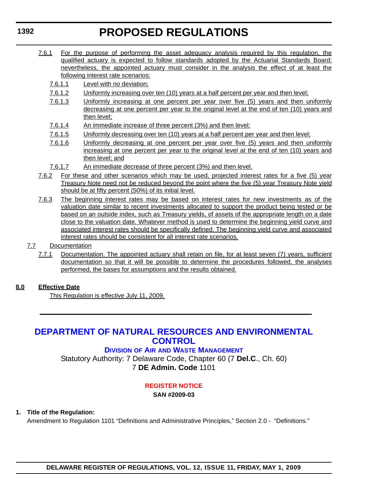- 7.6.1 For the purpose of performing the asset adequacy analysis required by this regulation, the qualified actuary is expected to follow standards adopted by the Actuarial Standards Board; nevertheless, the appointed actuary must consider in the analysis the effect of at least the following interest rate scenarios:
	- 7.6.1.1 Level with no deviation;
	- 7.6.1.2 Uniformly increasing over ten (10) years at a half percent per year and then level;
	- 7.6.1.3 Uniformly increasing at one percent per year over five (5) years and then uniformly decreasing at one percent per year to the original level at the end of ten (10) years and then level;
	- 7.6.1.4 An immediate increase of three percent (3%) and then level;
	- 7.6.1.5 Uniformly decreasing over ten (10) years at a half percent per year and then level;
	- 7.6.1.6 Uniformly decreasing at one percent per year over five (5) years and then uniformly increasing at one percent per year to the original level at the end of ten (10) years and then level; and
	- 7.6.1.7 An immediate decrease of three percent (3%) and then level.
- 7.6.2 For these and other scenarios which may be used, projected interest rates for a five (5) year Treasury Note need not be reduced beyond the point where the five (5) year Treasury Note yield should be at fifty percent (50%) of its initial level.
- 7.6.3 The beginning interest rates may be based on interest rates for new investments as of the valuation date similar to recent investments allocated to support the product being tested or be based on an outside index, such as Treasury yields, of assets of the appropriate length on a date close to the valuation date. Whatever method is used to determine the beginning yield curve and associated interest rates should be specifically defined. The beginning yield curve and associated interest rates should be consistent for all interest rate scenarios.
- 7.7 Documentation
	- 7.7.1 Documentation. The appointed actuary shall retain on file, for at least seven (7) years, sufficient documentation so that it will be possible to determine the procedures followed, the analyses performed, the bases for assumptions and the results obtained.

### **8.0 Effective Date**

This Regulation is effective July 11, 2009.

# **[DEPARTMENT OF NATURAL RESOURCES AND ENVIRONMENTAL](http://www.awm.delaware.gov/Pages/default.aspx)  CONTROL**

# **DIVISION OF AIR AND WASTE MANAGEMENT**

Statutory Authority: 7 Delaware Code, Chapter 60 (7 **Del.C**., Ch. 60) 7 **DE Admin. Code** 1101

### **[REGISTER NOTICE](#page-3-0)**

**SAN #2009-03**

### **1. Title of the Regulation:**

Amendment to Regulation 1101 "Definitions and Administrative Principles," Section 2.0 - "Definitions."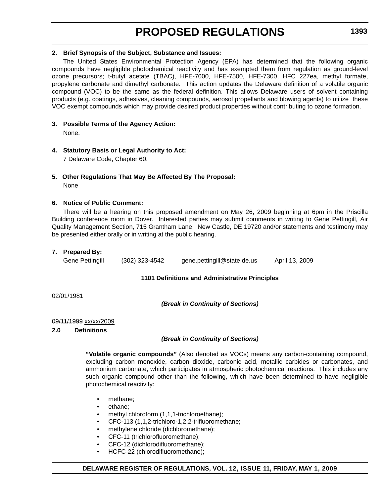### **2. Brief Synopsis of the Subject, Substance and Issues:**

The United States Environmental Protection Agency (EPA) has determined that the following organic compounds have negligible photochemical reactivity and has exempted them from regulation as ground-level ozone precursors; t-butyl acetate (TBAC), HFE-7000, HFE-7500, HFE-7300, HFC 227ea, methyl formate, propylene carbonate and dimethyl carbonate. This action updates the Delaware definition of a volatile organic compound (VOC) to be the same as the federal definition. This allows Delaware users of solvent containing products (e.g. coatings, adhesives, cleaning compounds, aerosol propellants and blowing agents) to utilize these VOC exempt compounds which may provide desired product properties without contributing to ozone formation.

**3. Possible Terms of the Agency Action:**

None.

**4. Statutory Basis or Legal Authority to Act:**

7 Delaware Code, Chapter 60.

**5. Other Regulations That May Be Affected By The Proposal:** None

### **6. Notice of Public Comment:**

There will be a hearing on this proposed amendment on May 26, 2009 beginning at 6pm in the Priscilla Building conference room in Dover. Interested parties may submit comments in writing to Gene Pettingill, Air Quality Management Section, 715 Grantham Lane, New Castle, DE 19720 and/or statements and testimony may be presented either orally or in writing at the public hearing.

# **7. Prepared By:**

Gene Pettingill (302) 323-4542 gene.pettingill@state.de.us April 13, 2009

# **1101 Definitions and Administrative Principles**

02/01/1981

*(Break in Continuity of Sections)*

### 09/11/1999 xx/xx/2009

# **2.0 Definitions**

# *(Break in Continuity of Sections)*

**"Volatile organic compounds"** (Also denoted as VOCs) means any carbon-containing compound, excluding carbon monoxide, carbon dioxide, carbonic acid, metallic carbides or carbonates, and ammonium carbonate, which participates in atmospheric photochemical reactions. This includes any such organic compound other than the following, which have been determined to have negligible photochemical reactivity:

- methane:
- ethane;
- methyl chloroform (1,1,1-trichloroethane);
- CFC-113 (1,1,2-trichloro-1,2,2-trifluoromethane;
- methylene chloride (dichloromethane);
- CFC-11 (trichlorofluoromethane);
- CFC-12 (dichlorodifluoromethane);
- HCFC-22 (chlorodifluoromethane);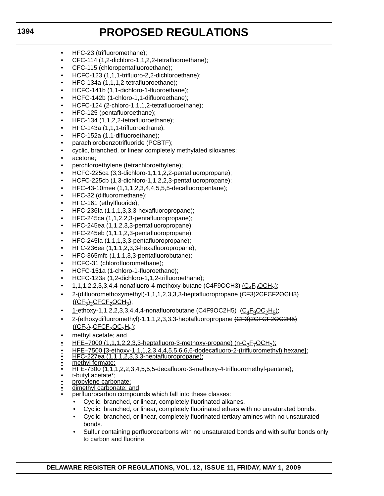- HFC-23 (trifluoromethane);
- CFC-114 (1,2-dichloro-1,1,2,2-tetrafluoroethane);
- CFC-115 (chloropentafluoroethane);
- HCFC-123 (1,1,1-trifluoro-2,2-dichloroethane);
- HFC-134a (1,1,1,2-tetrafluoroethane);
- HCFC-141b (1,1-dichloro-1-fluoroethane);
- HCFC-142b (1-chloro-1,1-difluoroethane);
- HCFC-124 (2-chloro-1,1,1,2-tetrafluoroethane);
- HFC-125 (pentafluoroethane);
- HFC-134 (1,1,2,2-tetrafluoroethane);
- HFC-143a (1,1,1-trifluoroethane);
- HFC-152a (1,1-difluoroethane);
- parachlorobenzotrifluoride (PCBTF);
- cyclic, branched, or linear completely methylated siloxanes;
- acetone;
- perchloroethylene (tetrachloroethylene);
- HCFC-225ca (3,3-dichloro-1,1,1,2,2-pentafluoropropane);
- HCFC-225cb (1,3-dichloro-1,1,2,2,3-pentafluoropropane);
- HFC-43-10 mee  $(1,1,1,2,3,4,4,5,5,5)$ -decafluoropentane);
- HFC-32 (difluoromethane);
- HFC-161 (ethylfluoride);
- HFC-236fa (1,1,1,3,3,3-hexafluoropropane);
- HFC-245ca (1,1,2,2,3-pentafluoropropane);
- HFC-245ea (1,1,2,3,3-pentafluoropropane);
- HFC-245eb (1,1,1,2,3-pentafluoropropane);
- HFC-245fa (1,1,1,3,3-pentafluoropropane);
- HFC-236ea (1,1,1,2,3,3-hexafluoropropane);
- HFC-365mfc (1,1,1,3,3-pentafluorobutane);
- HCFC-31 (chlorofluoromethane);
- HCFC-151a (1-chloro-1-fluoroethane);
- HCFC-123a (1,2-dichloro-1,1,2-trifluoroethane);
- 1,1,1,2,2,3,3,4,4-nonafluoro-4-methoxy-butane  $\overline{(G4F9OCH3)}$   $\overline{(C_4F_9OCH3)}$ ;
- 2-(difluoromethoxymethyl)-1,1,1,2,3,3,3-heptafluoropropane (CF3)2CFCF2OCH3)  $((CF<sub>3</sub>)<sub>2</sub>CFCF<sub>2</sub>OCH<sub>3</sub>);$
- 1-ethoxy-1,1,2,2,3,3,4,4,4-nonafluorobutane (C4F9OC2H5) (C<sub>4</sub>F<sub>9</sub>OC<sub>2</sub>H<sub>5</sub>);
- 2-(ethoxydifluoromethyl)-1,1,1,2,3,3,3-heptafluoropropane (CF3)2CFCF2OC2H5)  $((CF<sub>3</sub>)<sub>2</sub>CFCF<sub>2</sub>OC<sub>2</sub>H<sub>5</sub>);$
- methyl acetate; and
- 
- <u>• HFE–7000 (1,1,1,2,2,3,3-heptafluoro-3-methoxy-propane) (n-C<sub>3</sub>F<sub>Z</sub>OCH<sub>3</sub>);<br>• HFE–7500 [3-ethoxy-1,1,1,2,3,4,4,5,5,6,6,6-dodecafluoro-2-(trifluorometh<sub>)</sub></u> • HFE–7500 [3-ethoxy-1,1,1,2,3,4,4,5,5,6,6,6-dodecafluoro-2-(trifluoromethyl) hexane]; • HFC-227ea (1,1,1,2,3,3,3-heptafluoropropane);
- 
- methyl formate;
- HFE-7300 (1,1,1,2,2,3,4,5,5,5-decafluoro-3-methoxy-4-trifluoromethyl-pentane); t-butyl acetate\*;
- 
- propylene carbonate;
- dimethyl carbonate; and
- perfluorocarbon compounds which fall into these classes:
	- Cyclic, branched, or linear, completely fluorinated alkanes.
	- Cyclic, branched, or linear, completely fluorinated ethers with no unsaturated bonds.
	- Cyclic, branched, or linear, completely fluorinated tertiary amines with no unsaturated bonds.
	- Sulfur containing perfluorocarbons with no unsaturated bonds and with sulfur bonds only to carbon and fluorine.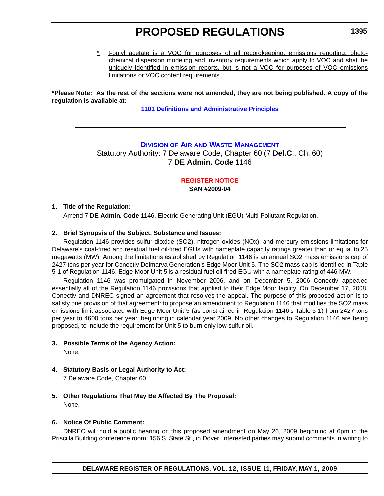\* t-butyl acetate is a VOC for purposes of all recordkeeping, emissions reporting, photochemical dispersion modeling and inventory requirements which apply to VOC and shall be uniquely identified in emission reports, but is not a VOC for purposes of VOC emissions limitations or VOC content requirements.

**\*Please Note: As the rest of the sections were not amended, they are not being published. A copy of the regulation is available at:**

**[1101 Definitions and Administrative Principles](http://regulations.delaware.gov/register/may2009/proposed/12 DE Reg 1392 05-01-09.htm)**

# **DIVISION OF AIR [AND WASTE MANAGEMENT](http://www.awm.delaware.gov/Pages/default.aspx)**

Statutory Authority: 7 Delaware Code, Chapter 60 (7 **Del.C**., Ch. 60) 7 **DE Admin. Code** 1146

# **[REGISTER NOTICE](#page-3-0)**

**SAN #2009-04**

### **1. Title of the Regulation:**

Amend 7 **DE Admin. Code** 1146, Electric Generating Unit (EGU) Multi-Pollutant Regulation.

### **2. Brief Synopsis of the Subject, Substance and Issues:**

Regulation 1146 provides sulfur dioxide (SO2), nitrogen oxides (NOx), and mercury emissions limitations for Delaware's coal-fired and residual fuel oil-fired EGUs with nameplate capacity ratings greater than or equal to 25 megawatts (MW). Among the limitations established by Regulation 1146 is an annual SO2 mass emissions cap of 2427 tons per year for Conectiv Delmarva Generation's Edge Moor Unit 5. The SO2 mass cap is identified in Table 5-1 of Regulation 1146. Edge Moor Unit 5 is a residual fuel-oil fired EGU with a nameplate rating of 446 MW.

Regulation 1146 was promulgated in November 2006, and on December 5, 2006 Conectiv appealed essentially all of the Regulation 1146 provisions that applied to their Edge Moor facility. On December 17, 2008, Conectiv and DNREC signed an agreement that resolves the appeal. The purpose of this proposed action is to satisfy one provision of that agreement: to propose an amendment to Regulation 1146 that modifies the SO2 mass emissions limit associated with Edge Moor Unit 5 (as constrained in Regulation 1146's Table 5-1) from 2427 tons per year to 4600 tons per year, beginning in calendar year 2009. No other changes to Regulation 1146 are being proposed, to include the requirement for Unit 5 to burn only low sulfur oil.

#### **3. Possible Terms of the Agency Action:** None.

- **4. Statutory Basis or Legal Authority to Act:** 7 Delaware Code, Chapter 60.
- **5. Other Regulations That May Be Affected By The Proposal:** None.

### **6. Notice Of Public Comment:**

DNREC will hold a public hearing on this proposed amendment on May 26, 2009 beginning at 6pm in the Priscilla Building conference room, 156 S. State St., in Dover. Interested parties may submit comments in writing to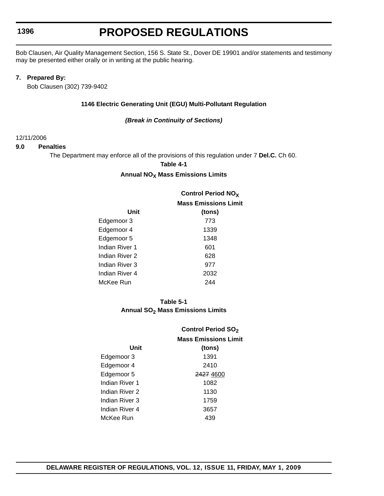# **PROPOSED REGULATIONS**

Bob Clausen, Air Quality Management Section, 156 S. State St., Dover DE 19901 and/or statements and testimony may be presented either orally or in writing at the public hearing.

#### **7. Prepared By:**

Bob Clausen (302) 739-9402

#### **1146 Electric Generating Unit (EGU) Multi-Pollutant Regulation**

#### *(Break in Continuity of Sections)*

#### 12/11/2006

#### **9.0 Penalties**

The Department may enforce all of the provisions of this regulation under 7 **Del.C.** Ch 60.

**Table 4-1**

#### **Annual NO<sub>X</sub> Mass Emissions Limits**

|                | <b>Control Period NO<sub>X</sub></b> |  |  |
|----------------|--------------------------------------|--|--|
|                | <b>Mass Emissions Limit</b>          |  |  |
| Unit           | (tons)                               |  |  |
| Edgemoor 3     | 773                                  |  |  |
| Edgemoor 4     | 1339                                 |  |  |
| Edgemoor 5     | 1348                                 |  |  |
| Indian River 1 | 601                                  |  |  |
| Indian River 2 | 628                                  |  |  |
| Indian River 3 | 977                                  |  |  |
| Indian River 4 | 2032                                 |  |  |
| McKee Run      | 244                                  |  |  |

### **Table 5-1** Annual SO<sub>2</sub> Mass Emissions Limits

|                | <b>Control Period SO<sub>2</sub></b> |  |  |
|----------------|--------------------------------------|--|--|
|                | <b>Mass Emissions Limit</b>          |  |  |
| Unit           | (tons)                               |  |  |
| Edgemoor 3     | 1391                                 |  |  |
| Edgemoor 4     | 2410                                 |  |  |
| Edgemoor 5     | 2427 4600                            |  |  |
| Indian River 1 | 1082                                 |  |  |
| Indian River 2 | 1130                                 |  |  |
| Indian River 3 | 1759                                 |  |  |
| Indian River 4 | 3657                                 |  |  |
| McKee Run      | 439                                  |  |  |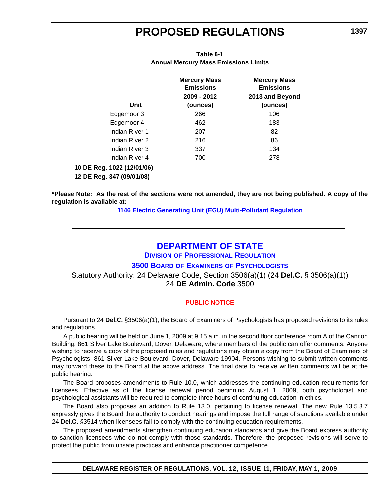| Unit                                                    | <b>Mercury Mass</b><br><b>Emissions</b><br>2009 - 2012<br>(ounces) | <b>Mercury Mass</b><br><b>Emissions</b><br>2013 and Beyond<br>(ounces) |
|---------------------------------------------------------|--------------------------------------------------------------------|------------------------------------------------------------------------|
| Edgemoor 3                                              | 266                                                                | 106                                                                    |
| Edgemoor 4                                              | 462                                                                | 183                                                                    |
| Indian River 1                                          | 207                                                                | 82                                                                     |
| Indian River 2                                          | 216                                                                | 86                                                                     |
| Indian River 3                                          | 337                                                                | 134                                                                    |
| Indian River 4                                          | 700                                                                | 278                                                                    |
| 10 DE Reg. 1022 (12/01/06)<br>12 DE Reg. 347 (09/01/08) |                                                                    |                                                                        |

### **Table 6-1 Annual Mercury Mass Emissions Limits**

**\*Please Note: As the rest of the sections were not amended, they are not being published. A copy of the regulation is available at:**

**[1146 Electric Generating Unit \(EGU\) Multi-Pollutant Regulation](http://regulations.delaware.gov/register/may2009/proposed/12 DE Reg 1395 05-01-09.htm)**

# **[DEPARTMENT OF STATE](http://dpr.delaware.gov/boards/psychology/index.shtml)**

**DIVISION OF PROFESSIONAL REGULATION**

# **3500 BOARD OF EXAMINERS OF PSYCHOLOGISTS**

Statutory Authority: 24 Delaware Code, Section 3506(a)(1) (24 **Del.C.** § 3506(a)(1)) 24 **DE Admin. Code** 3500

### **[PUBLIC NOTICE](#page-3-0)**

Pursuant to 24 **Del.C.** §3506(a)(1), the Board of Examiners of Psychologists has proposed revisions to its rules and regulations.

A public hearing will be held on June 1, 2009 at 9:15 a.m. in the second floor conference room A of the Cannon Building, 861 Silver Lake Boulevard, Dover, Delaware, where members of the public can offer comments. Anyone wishing to receive a copy of the proposed rules and regulations may obtain a copy from the Board of Examiners of Psychologists, 861 Silver Lake Boulevard, Dover, Delaware 19904. Persons wishing to submit written comments may forward these to the Board at the above address. The final date to receive written comments will be at the public hearing.

The Board proposes amendments to Rule 10.0, which addresses the continuing education requirements for licensees. Effective as of the license renewal period beginning August 1, 2009, both psychologist and psychological assistants will be required to complete three hours of continuing education in ethics.

The Board also proposes an addition to Rule 13.0, pertaining to license renewal. The new Rule 13.5.3.7 expressly gives the Board the authority to conduct hearings and impose the full range of sanctions available under 24 **Del.C.** §3514 when licensees fail to comply with the continuing education requirements.

The proposed amendments strengthen continuing education standards and give the Board express authority to sanction licensees who do not comply with those standards. Therefore, the proposed revisions will serve to protect the public from unsafe practices and enhance practitioner competence.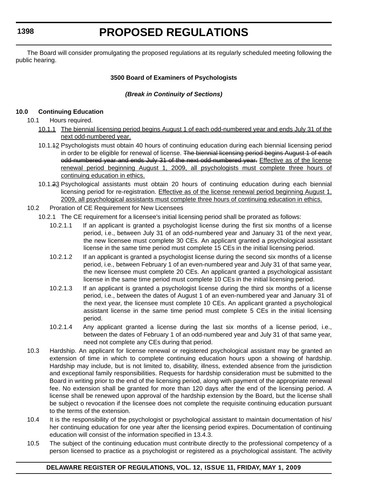# **PROPOSED REGULATIONS**

The Board will consider promulgating the proposed regulations at its regularly scheduled meeting following the public hearing.

### **3500 Board of Examiners of Psychologists**

### *(Break in Continuity of Sections)*

### **10.0 Continuing Education**

- 10.1 Hours required.
	- 10.1.1 The biennial licensing period begins August 1 of each odd-numbered year and ends July 31 of the next odd-numbered year.
	- 10.1.12 Psychologists must obtain 40 hours of continuing education during each biennial licensing period in order to be eligible for renewal of license. The biennial licensing period begins August 1 of each odd-numbered year and ends July 31 of the next odd-numbered year. Effective as of the license renewal period beginning August 1, 2009, all psychologists must complete three hours of continuing education in ethics.
	- 10.1.23 Psychological assistants must obtain 20 hours of continuing education during each biennial licensing period for re-registration. Effective as of the license renewal period beginning August 1, 2009, all psychological assistants must complete three hours of continuing education in ethics.
- 10.2 Proration of CE Requirement for New Licensees
	- 10.2.1 The CE requirement for a licensee's initial licensing period shall be prorated as follows:
		- 10.2.1.1 If an applicant is granted a psychologist license during the first six months of a license period, i.e., between July 31 of an odd-numbered year and January 31 of the next year, the new licensee must complete 30 CEs. An applicant granted a psychological assistant license in the same time period must complete 15 CEs in the initial licensing period.
		- 10.2.1.2 If an applicant is granted a psychologist license during the second six months of a license period, i.e., between February 1 of an even-numbered year and July 31 of that same year, the new licensee must complete 20 CEs. An applicant granted a psychological assistant license in the same time period must complete 10 CEs in the initial licensing period.
		- 10.2.1.3 If an applicant is granted a psychologist license during the third six months of a license period, i.e., between the dates of August 1 of an even-numbered year and January 31 of the next year, the licensee must complete 10 CEs. An applicant granted a psychological assistant license in the same time period must complete 5 CEs in the initial licensing period.
		- 10.2.1.4 Any applicant granted a license during the last six months of a license period, i.e., between the dates of February 1 of an odd-numbered year and July 31 of that same year, need not complete any CEs during that period.
- 10.3 Hardship. An applicant for license renewal or registered psychological assistant may be granted an extension of time in which to complete continuing education hours upon a showing of hardship. Hardship may include, but is not limited to, disability, illness, extended absence from the jurisdiction and exceptional family responsibilities. Requests for hardship consideration must be submitted to the Board in writing prior to the end of the licensing period, along with payment of the appropriate renewal fee. No extension shall be granted for more than 120 days after the end of the licensing period. A license shall be renewed upon approval of the hardship extension by the Board, but the license shall be subject o revocation if the licensee does not complete the requisite continuing education pursuant to the terms of the extension.
- 10.4 It is the responsibility of the psychologist or psychological assistant to maintain documentation of his/ her continuing education for one year after the licensing period expires. Documentation of continuing education will consist of the information specified in 13.4.3.
- 10.5 The subject of the continuing education must contribute directly to the professional competency of a person licensed to practice as a psychologist or registered as a psychological assistant. The activity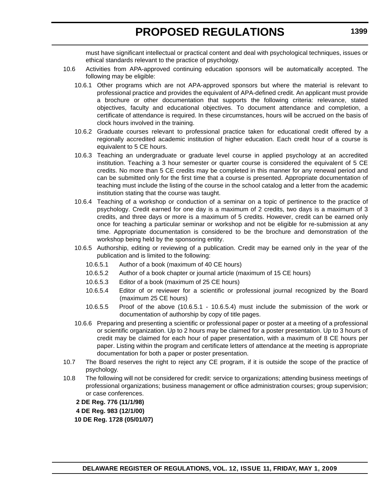must have significant intellectual or practical content and deal with psychological techniques, issues or ethical standards relevant to the practice of psychology.

- 10.6 Activities from APA-approved continuing education sponsors will be automatically accepted. The following may be eligible:
	- 10.6.1 Other programs which are not APA-approved sponsors but where the material is relevant to professional practice and provides the equivalent of APA-defined credit. An applicant must provide a brochure or other documentation that supports the following criteria: relevance, stated objectives, faculty and educational objectives. To document attendance and completion, a certificate of attendance is required. In these circumstances, hours will be accrued on the basis of clock hours involved in the training.
	- 10.6.2 Graduate courses relevant to professional practice taken for educational credit offered by a regionally accredited academic institution of higher education. Each credit hour of a course is equivalent to 5 CE hours.
	- 10.6.3 Teaching an undergraduate or graduate level course in applied psychology at an accredited institution. Teaching a 3 hour semester or quarter course is considered the equivalent of 5 CE credits. No more than 5 CE credits may be completed in this manner for any renewal period and can be submitted only for the first time that a course is presented. Appropriate documentation of teaching must include the listing of the course in the school catalog and a letter from the academic institution stating that the course was taught.
	- 10.6.4 Teaching of a workshop or conduction of a seminar on a topic of pertinence to the practice of psychology. Credit earned for one day is a maximum of 2 credits, two days is a maximum of 3 credits, and three days or more is a maximum of 5 credits. However, credit can be earned only once for teaching a particular seminar or workshop and not be eligible for re-submission at any time. Appropriate documentation is considered to be the brochure and demonstration of the workshop being held by the sponsoring entity.
	- 10.6.5 Authorship, editing or reviewing of a publication. Credit may be earned only in the year of the publication and is limited to the following:
		- 10.6.5.1 Author of a book (maximum of 40 CE hours)
		- 10.6.5.2 Author of a book chapter or journal article (maximum of 15 CE hours)
		- 10.6.5.3 Editor of a book (maximum of 25 CE hours)
		- 10.6.5.4 Editor of or reviewer for a scientific or professional journal recognized by the Board (maximum 25 CE hours)
		- 10.6.5.5 Proof of the above (10.6.5.1 10.6.5.4) must include the submission of the work or documentation of authorship by copy of title pages.
	- 10.6.6 Preparing and presenting a scientific or professional paper or poster at a meeting of a professional or scientific organization. Up to 2 hours may be claimed for a poster presentation. Up to 3 hours of credit may be claimed for each hour of paper presentation, with a maximum of 8 CE hours per paper. Listing within the program and certificate letters of attendance at the meeting is appropriate documentation for both a paper or poster presentation.
- 10.7 The Board reserves the right to reject any CE program, if it is outside the scope of the practice of psychology.
- 10.8 The following will not be considered for credit: service to organizations; attending business meetings of professional organizations; business management or office administration courses; group supervision; or case conferences.
	- **2 DE Reg. 776 (11/1/98)**
	- **4 DE Reg. 983 (12/1/00)**
	- **10 DE Reg. 1728 (05/01/07)**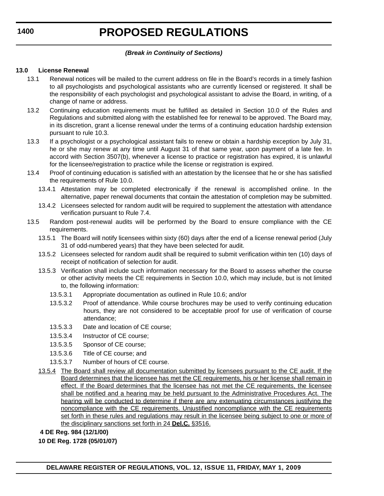# *(Break in Continuity of Sections)*

### **13.0 License Renewal**

- 13.1 Renewal notices will be mailed to the current address on file in the Board's records in a timely fashion to all psychologists and psychological assistants who are currently licensed or registered. It shall be the responsibility of each psychologist and psychological assistant to advise the Board, in writing, of a change of name or address.
- 13.2 Continuing education requirements must be fulfilled as detailed in Section 10.0 of the Rules and Regulations and submitted along with the established fee for renewal to be approved. The Board may, in its discretion, grant a license renewal under the terms of a continuing education hardship extension pursuant to rule 10.3.
- 13.3 If a psychologist or a psychological assistant fails to renew or obtain a hardship exception by July 31, he or she may renew at any time until August 31 of that same year, upon payment of a late fee. In accord with Section 3507(b), whenever a license to practice or registration has expired, it is unlawful for the licensee/registration to practice while the license or registration is expired.
- 13.4 Proof of continuing education is satisfied with an attestation by the licensee that he or she has satisfied the requirements of Rule 10.0.
	- 13.4.1 Attestation may be completed electronically if the renewal is accomplished online. In the alternative, paper renewal documents that contain the attestation of completion may be submitted.
	- 13.4.2 Licensees selected for random audit will be required to supplement the attestation with attendance verification pursuant to Rule 7.4.
- 13.5 Random post-renewal audits will be performed by the Board to ensure compliance with the CE requirements.
	- 13.5.1 The Board will notify licensees within sixty (60) days after the end of a license renewal period (July 31 of odd-numbered years) that they have been selected for audit.
	- 13.5.2 Licensees selected for random audit shall be required to submit verification within ten (10) days of receipt of notification of selection for audit.
	- 13.5.3 Verification shall include such information necessary for the Board to assess whether the course or other activity meets the CE requirements in Section 10.0, which may include, but is not limited to, the following information:
		- 13.5.3.1 Appropriate documentation as outlined in Rule 10.6; and/or
		- 13.5.3.2 Proof of attendance. While course brochures may be used to verify continuing education hours, they are not considered to be acceptable proof for use of verification of course attendance;
		- 13.5.3.3 Date and location of CE course;
		- 13.5.3.4 Instructor of CE course;
		- 13.5.3.5 Sponsor of CE course;
		- 13.5.3.6 Title of CE course; and
		- 13.5.3.7 Number of hours of CE course.
	- 13.5.4 The Board shall review all documentation submitted by licensees pursuant to the CE audit. If the Board determines that the licensee has met the CE requirements, his or her license shall remain in effect. If the Board determines that the licensee has not met the CE requirements, the licensee shall be notified and a hearing may be held pursuant to the Administrative Procedures Act. The hearing will be conducted to determine if there are any extenuating circumstances justifying the noncompliance with the CE requirements. Unjustified noncompliance with the CE requirements set forth in these rules and regulations may result in the licensee being subject to one or more of the disciplinary sanctions set forth in 24 **Del.C.** §3516.
	- **4 DE Reg. 984 (12/1/00)**
	- **10 DE Reg. 1728 (05/01/07)**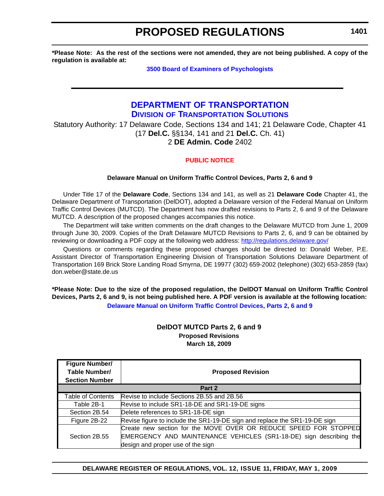**\*Please Note: As the rest of the sections were not amended, they are not being published. A copy of the regulation is available at:**

**[3500 Board of Examiners of Psychologists](http://regulations.delaware.gov/register/may2009/proposed/12 DE Reg 1397 05-01-09.htm)**

# **[DEPARTMENT OF TRANSPORTATION](http://www.deldot.gov/home/divisions/) DIVISION OF TRANSPORTATION SOLUTIONS**

Statutory Authority: 17 Delaware Code, Sections 134 and 141; 21 Delaware Code, Chapter 41 (17 **Del.C.** §§134, 141 and 21 **Del.C.** Ch. 41) 2 **DE Admin. Code** 2402

### **[PUBLIC NOTICE](#page-3-0)**

#### **Delaware Manual on Uniform Traffic Control Devices, Parts 2, 6 and 9**

Under Title 17 of the **Delaware Code**, Sections 134 and 141, as well as 21 **Delaware Code** Chapter 41, the Delaware Department of Transportation (DelDOT), adopted a Delaware version of the Federal Manual on Uniform Traffic Control Devices (MUTCD). The Department has now drafted revisions to Parts 2, 6 and 9 of the Delaware MUTCD. A description of the proposed changes accompanies this notice.

The Department will take written comments on the draft changes to the Delaware MUTCD from June 1, 2009 through June 30, 2009. Copies of the Draft Delaware MUTCD Revisions to Parts 2, 6, and 9 can be obtained by reviewing or downloading a PDF copy at the following web address: <http://regulations.delaware.gov/>

Questions or comments regarding these proposed changes should be directed to: Donald Weber, P.E. Assistant Director of Transportation Engineering Division of Transportation Solutions Delaware Department of Transportation 169 Brick Store Landing Road Smyrna, DE 19977 (302) 659-2002 (telephone) (302) 653-2859 (fax) don.weber@state.de.us

**\*Please Note: Due to the size of the proposed regulation, the DelDOT Manual on Uniform Traffic Control Devices, Parts 2, 6 and 9, is not being published here. A PDF version is available at the following location: [Delaware Manual on Uniform Traffic Control Devices, Parts 2, 6 and 9](http://regulations.delaware.gov/register/may2009/proposed/mutcd.pdf)**

### **DelDOT MUTCD Parts 2, 6 and 9 Proposed Revisions March 18, 2009**

| <b>Figure Number/</b>    |                                                                            |
|--------------------------|----------------------------------------------------------------------------|
| Table Number/            | <b>Proposed Revision</b>                                                   |
| <b>Section Number</b>    |                                                                            |
|                          | Part 2                                                                     |
| <b>Table of Contents</b> | Revise to include Sections 2B.55 and 2B.56                                 |
| Table 2B-1               | Revise to include SR1-18-DE and SR1-19-DE signs                            |
| Section 2B.54            | Delete references to SR1-18-DE sign                                        |
| Figure 2B-22             | Revise figure to include the SR1-19-DE sign and replace the SR1-19-DE sign |
|                          | Create new section for the MOVE OVER OR REDUCE SPEED FOR STOPPED           |
| Section 2B.55            | EMERGENCY AND MAINTENANCE VEHICLES (SR1-18-DE) sign describing the         |
|                          | design and proper use of the sign                                          |

**DELAWARE REGISTER OF REGULATIONS, VOL. 12, ISSUE 11, FRIDAY, MAY 1, 2009**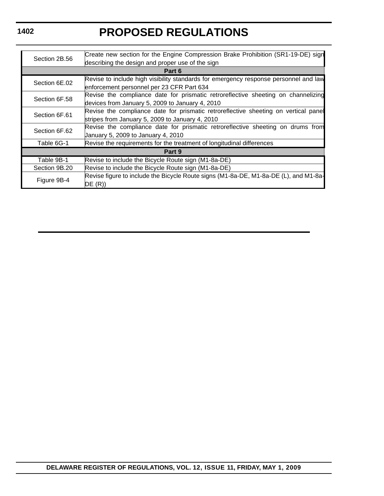# **PROPOSED REGULATIONS**

| Section 2B.56 | Create new section for the Engine Compression Brake Prohibition (SR1-19-DE) sign     |
|---------------|--------------------------------------------------------------------------------------|
|               | describing the design and proper use of the sign                                     |
|               | Part 6                                                                               |
| Section 6E.02 | Revise to include high visibility standards for emergency response personnel and law |
|               | enforcement personnel per 23 CFR Part 634                                            |
| Section 6F.58 | Revise the compliance date for prismatic retroreflective sheeting on channelizing    |
|               | devices from January 5, 2009 to January 4, 2010                                      |
| Section 6F.61 | Revise the compliance date for prismatic retroreflective sheeting on vertical pane   |
|               | stripes from January 5, 2009 to January 4, 2010                                      |
| Section 6F.62 | Revise the compliance date for prismatic retroreflective sheeting on drums from      |
|               | January 5, 2009 to January 4, 2010                                                   |
| Table 6G-1    | Revise the requirements for the treatment of longitudinal differences                |
|               | Part 9                                                                               |
| Table 9B-1    | Revise to include the Bicycle Route sign (M1-8a-DE)                                  |
| Section 9B.20 | Revise to include the Bicycle Route sign (M1-8a-DE)                                  |
|               | Revise figure to include the Bicycle Route signs (M1-8a-DE, M1-8a-DE (L), and M1-8a- |
| Figure 9B-4   | DE(R)                                                                                |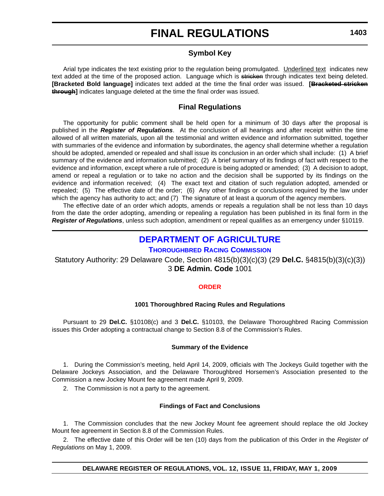# **Symbol Key**

Arial type indicates the text existing prior to the regulation being promulgated. Underlined text indicates new text added at the time of the proposed action. Language which is stricken through indicates text being deleted. **[Bracketed Bold language]** indicates text added at the time the final order was issued. **[Bracketed stricken through]** indicates language deleted at the time the final order was issued.

# **Final Regulations**

The opportunity for public comment shall be held open for a minimum of 30 days after the proposal is published in the *Register of Regulations*. At the conclusion of all hearings and after receipt within the time allowed of all written materials, upon all the testimonial and written evidence and information submitted, together with summaries of the evidence and information by subordinates, the agency shall determine whether a regulation should be adopted, amended or repealed and shall issue its conclusion in an order which shall include: (1) A brief summary of the evidence and information submitted; (2) A brief summary of its findings of fact with respect to the evidence and information, except where a rule of procedure is being adopted or amended; (3) A decision to adopt, amend or repeal a regulation or to take no action and the decision shall be supported by its findings on the evidence and information received; (4) The exact text and citation of such regulation adopted, amended or repealed; (5) The effective date of the order; (6) Any other findings or conclusions required by the law under which the agency has authority to act; and (7) The signature of at least a quorum of the agency members.

The effective date of an order which adopts, amends or repeals a regulation shall be not less than 10 days from the date the order adopting, amending or repealing a regulation has been published in its final form in the *Register of Regulations*, unless such adoption, amendment or repeal qualifies as an emergency under §10119.

# **[DEPARTMENT OF AGRICULTURE](http://dda.delaware.gov/thoroughbred/index.shtml)**

### **THOROUGHBRED RACING COMMISSION**

Statutory Authority: 29 Delaware Code, Section 4815(b)(3)(c)(3) (29 **Del.C.** §4815(b)(3)(c)(3)) 3 **DE Admin. Code** 1001

### **[ORDER](#page-3-0)**

#### **1001 Thoroughbred Racing Rules and Regulations**

Pursuant to 29 **Del.C.** §10108(c) and 3 **Del.C.** §10103, the Delaware Thoroughbred Racing Commission issues this Order adopting a contractual change to Section 8.8 of the Commission's Rules.

#### **Summary of the Evidence**

1. During the Commission's meeting, held April 14, 2009, officials with The Jockeys Guild together with the Delaware Jockeys Association, and the Delaware Thoroughbred Horsemen's Association presented to the Commission a new Jockey Mount fee agreement made April 9, 2009.

2. The Commission is not a party to the agreement.

#### **Findings of Fact and Conclusions**

1. The Commission concludes that the new Jockey Mount fee agreement should replace the old Jockey Mount fee agreement in Section 8.8 of the Commission Rules.

2. The effective date of this Order will be ten (10) days from the publication of this Order in the *Register of Regulations* on May 1, 2009.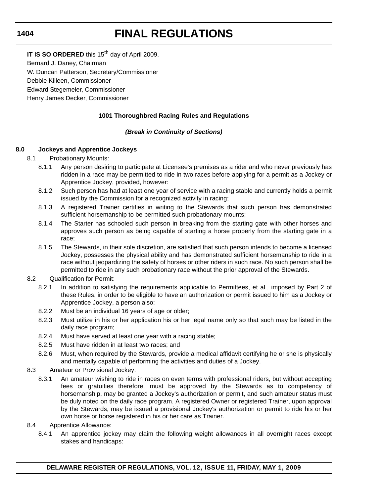**IT IS SO ORDERED** this 15<sup>th</sup> day of April 2009.

Bernard J. Daney, Chairman

W. Duncan Patterson, Secretary/Commissioner

Debbie Killeen, Commissioner

Edward Stegemeier, Commissioner

Henry James Decker, Commissioner

# **1001 Thoroughbred Racing Rules and Regulations**

# *(Break in Continuity of Sections)*

# **8.0 Jockeys and Apprentice Jockeys**

- 8.1 Probationary Mounts:
	- 8.1.1 Any person desiring to participate at Licensee's premises as a rider and who never previously has ridden in a race may be permitted to ride in two races before applying for a permit as a Jockey or Apprentice Jockey, provided, however:
	- 8.1.2 Such person has had at least one year of service with a racing stable and currently holds a permit issued by the Commission for a recognized activity in racing;
	- 8.1.3 A registered Trainer certifies in writing to the Stewards that such person has demonstrated sufficient horsemanship to be permitted such probationary mounts;
	- 8.1.4 The Starter has schooled such person in breaking from the starting gate with other horses and approves such person as being capable of starting a horse properly from the starting gate in a race;
	- 8.1.5 The Stewards, in their sole discretion, are satisfied that such person intends to become a licensed Jockey, possesses the physical ability and has demonstrated sufficient horsemanship to ride in a race without jeopardizing the safety of horses or other riders in such race. No such person shall be permitted to ride in any such probationary race without the prior approval of the Stewards.
- 8.2 Qualification for Permit:
	- 8.2.1 In addition to satisfying the requirements applicable to Permittees, et al., imposed by Part 2 of these Rules, in order to be eligible to have an authorization or permit issued to him as a Jockey or Apprentice Jockey, a person also:
	- 8.2.2 Must be an individual 16 years of age or older;
	- 8.2.3 Must utilize in his or her application his or her legal name only so that such may be listed in the daily race program;
	- 8.2.4 Must have served at least one year with a racing stable;
	- 8.2.5 Must have ridden in at least two races; and
	- 8.2.6 Must, when required by the Stewards, provide a medical affidavit certifying he or she is physically and mentally capable of performing the activities and duties of a Jockey.
- 8.3 Amateur or Provisional Jockey:
	- 8.3.1 An amateur wishing to ride in races on even terms with professional riders, but without accepting fees or gratuities therefore, must be approved by the Stewards as to competency of horsemanship, may be granted a Jockey's authorization or permit, and such amateur status must be duly noted on the daily race program. A registered Owner or registered Trainer, upon approval by the Stewards, may be issued a provisional Jockey's authorization or permit to ride his or her own horse or horse registered in his or her care as Trainer.
- 8.4 Apprentice Allowance:
	- 8.4.1 An apprentice jockey may claim the following weight allowances in all overnight races except stakes and handicaps:

### **DELAWARE REGISTER OF REGULATIONS, VOL. 12, ISSUE 11, FRIDAY, MAY 1, 2009**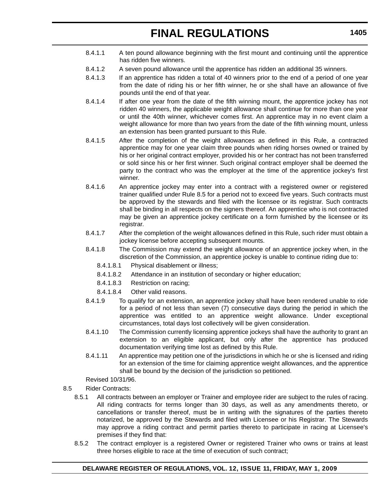- 8.4.1.1 A ten pound allowance beginning with the first mount and continuing until the apprentice has ridden five winners.
- 8.4.1.2 A seven pound allowance until the apprentice has ridden an additional 35 winners.
- 8.4.1.3 If an apprentice has ridden a total of 40 winners prior to the end of a period of one year from the date of riding his or her fifth winner, he or she shall have an allowance of five pounds until the end of that year.
- 8.4.1.4 If after one year from the date of the fifth winning mount, the apprentice jockey has not ridden 40 winners, the applicable weight allowance shall continue for more than one year or until the 40th winner, whichever comes first. An apprentice may in no event claim a weight allowance for more than two years from the date of the fifth winning mount, unless an extension has been granted pursuant to this Rule.
- 8.4.1.5 After the completion of the weight allowances as defined in this Rule, a contracted apprentice may for one year claim three pounds when riding horses owned or trained by his or her original contract employer, provided his or her contract has not been transferred or sold since his or her first winner. Such original contract employer shall be deemed the party to the contract who was the employer at the time of the apprentice jockey's first winner.
- 8.4.1.6 An apprentice jockey may enter into a contract with a registered owner or registered trainer qualified under Rule 8.5 for a period not to exceed five years. Such contracts must be approved by the stewards and filed with the licensee or its registrar. Such contracts shall be binding in all respects on the signers thereof. An apprentice who is not contracted may be given an apprentice jockey certificate on a form furnished by the licensee or its registrar.
- 8.4.1.7 After the completion of the weight allowances defined in this Rule, such rider must obtain a jockey license before accepting subsequent mounts.
- 8.4.1.8 The Commission may extend the weight allowance of an apprentice jockey when, in the discretion of the Commission, an apprentice jockey is unable to continue riding due to:
	- 8.4.1.8.1 Physical disablement or illness;
	- 8.4.1.8.2 Attendance in an institution of secondary or higher education;
	- 8.4.1.8.3 Restriction on racing;
	- 8.4.1.8.4 Other valid reasons.
- 8.4.1.9 To qualify for an extension, an apprentice jockey shall have been rendered unable to ride for a period of not less than seven (7) consecutive days during the period in which the apprentice was entitled to an apprentice weight allowance. Under exceptional circumstances, total days lost collectively will be given consideration.
- 8.4.1.10 The Commission currently licensing apprentice jockeys shall have the authority to grant an extension to an eligible applicant, but only after the apprentice has produced documentation verifying time lost as defined by this Rule.
- 8.4.1.11 An apprentice may petition one of the jurisdictions in which he or she is licensed and riding for an extension of the time for claiming apprentice weight allowances, and the apprentice shall be bound by the decision of the jurisdiction so petitioned.

Revised 10/31/96.

# 8.5 Rider Contracts:

- 8.5.1 All contracts between an employer or Trainer and employee rider are subject to the rules of racing. All riding contracts for terms longer than 30 days, as well as any amendments thereto, or cancellations or transfer thereof, must be in writing with the signatures of the parties thereto notarized, be approved by the Stewards and filed with Licensee or his Registrar. The Stewards may approve a riding contract and permit parties thereto to participate in racing at Licensee's premises if they find that:
- 8.5.2 The contract employer is a registered Owner or registered Trainer who owns or trains at least three horses eligible to race at the time of execution of such contract;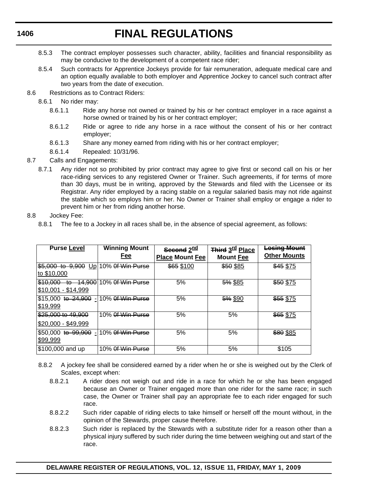- 8.5.3 The contract employer possesses such character, ability, facilities and financial responsibility as may be conducive to the development of a competent race rider;
- 8.5.4 Such contracts for Apprentice Jockeys provide for fair remuneration, adequate medical care and an option equally available to both employer and Apprentice Jockey to cancel such contract after two years from the date of execution.
- 8.6 Restrictions as to Contract Riders:
	- 8.6.1 No rider may:
		- 8.6.1.1 Ride any horse not owned or trained by his or her contract employer in a race against a horse owned or trained by his or her contract employer;
		- 8.6.1.2 Ride or agree to ride any horse in a race without the consent of his or her contract employer;
		- 8.6.1.3 Share any money earned from riding with his or her contract employer;
		- 8.6.1.4 Repealed: 10/31/96.
- 8.7 Calls and Engagements:
	- 8.7.1 Any rider not so prohibited by prior contract may agree to give first or second call on his or her race-riding services to any registered Owner or Trainer. Such agreements, if for terms of more than 30 days, must be in writing, approved by the Stewards and filed with the Licensee or its Registrar. Any rider employed by a racing stable on a regular salaried basis may not ride against the stable which so employs him or her. No Owner or Trainer shall employ or engage a rider to prevent him or her from riding another horse.
- 8.8 Jockey Fee:
	- 8.8.1 The fee to a Jockey in all races shall be, in the absence of special agreement, as follows:

| <b>Purse Level</b>                                | <b>Winning Mount</b><br>Fee | Second 2nd<br><b>Place Mount Fee</b> | Third 3 <sup>rd</sup> Place<br><b>Mount Fee</b> | <b>Losing Mount</b><br><b>Other Mounts</b> |
|---------------------------------------------------|-----------------------------|--------------------------------------|-------------------------------------------------|--------------------------------------------|
| $$5,000$ to $9,900$<br>to \$10,000                | Up 10% Of Win Purse         | \$65 \$100                           | \$50 \$85                                       | \$45 \$75                                  |
| \$10,000<br>to-<br>\$10,001 - \$14.999            | 14,900 10% of Win Purse     | 5%                                   | 5% \$85                                         | \$50 \$75                                  |
| \$15,000 to 24,900 - 10% of Win Purse<br>\$19,999 |                             | 5%                                   | 5% \$90                                         | \$55 \$75                                  |
| \$25,000 to 49,900<br>\$20,000 - \$49,999         | 10% Of Win Purse            | 5%                                   | 5%                                              | \$65 \$75                                  |
| I\$50.000 <del>to 99.900</del><br>÷I.<br>\$99,999 | 10% Of Win Purse            | 5%                                   | 5%                                              | \$80 \$85                                  |
| \$100,000 and up                                  | 10% Of Win Purse            | 5%                                   | 5%                                              | \$105                                      |

- 8.8.2 A jockey fee shall be considered earned by a rider when he or she is weighed out by the Clerk of Scales, except when:
	- 8.8.2.1 A rider does not weigh out and ride in a race for which he or she has been engaged because an Owner or Trainer engaged more than one rider for the same race; in such case, the Owner or Trainer shall pay an appropriate fee to each rider engaged for such race.
	- 8.8.2.2 Such rider capable of riding elects to take himself or herself off the mount without, in the opinion of the Stewards, proper cause therefore.
	- 8.8.2.3 Such rider is replaced by the Stewards with a substitute rider for a reason other than a physical injury suffered by such rider during the time between weighing out and start of the race.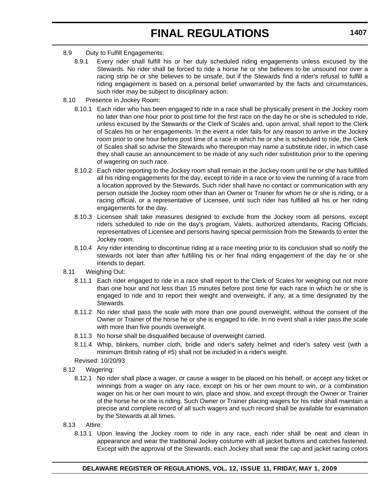- 8.9 Duty to Fulfill Engagements:
	- 8.9.1 Every rider shall fulfill his or her duly scheduled riding engagements unless excused by the Stewards. No rider shall be forced to ride a horse he or she believes to be unsound nor over a racing strip he or she believes to be unsafe, but if the Stewards find a rider's refusal to fulfill a riding engagement is based on a personal belief unwarranted by the facts and circumstances, such rider may be subject to disciplinary action.
- 8.10 Presence in Jockey Room:
	- 8.10.1 Each rider who has been engaged to ride in a race shall be physically present in the Jockey room no later than one hour prior to post time for the first race on the day he or she is scheduled to ride, unless excused by the Stewards or the Clerk of Scales and, upon arrival, shall report to the Clerk of Scales his or her engagements. In the event a rider fails for any reason to arrive in the Jockey room prior to one hour before post time of a race in which he or she is scheduled to ride, the Clerk of Scales shall so advise the Stewards who thereupon may name a substitute rider, in which case they shall cause an announcement to be made of any such rider substitution prior to the opening of wagering on such race.
	- 8.10.2 Each rider reporting to the Jockey room shall remain in the Jockey room until he or she has fulfilled all his riding engagements for the day, except to ride in a race or to view the running of a race from a location approved by the Stewards. Such rider shall have no contact or communication with any person outside the Jockey room other than an Owner or Trainer for whom he or she is riding, or a racing official, or a representative of Licensee, until such rider has fulfilled all his or her riding engagements for the day.
	- 8.10.3 Licensee shall take measures designed to exclude from the Jockey room all persons, except riders scheduled to ride on the day's program, Valets, authorized attendants, Racing Officials, representatives of Licensee and persons having special permission from the Stewards to enter the Jockey room.
	- 8.10.4 Any rider intending to discontinue riding at a race meeting prior to its conclusion shall so notify the stewards not later than after fulfilling his or her final riding engagement of the day he or she intends to depart.
- 8.11 Weighing Out:
	- 8.11.1 Each rider engaged to ride in a race shall report to the Clerk of Scales for weighing out not more than one hour and not less than 15 minutes before post time for each race in which he or she is engaged to ride and to report their weight and overweight, if any, at a time designated by the Stewards.
	- 8.11.2 No rider shall pass the scale with more than one pound overweight, without the consent of the Owner or Trainer of the horse he or she is engaged to ride. In no event shall a rider pass the scale with more than five pounds overweight.
	- 8.11.3 No horse shall be disqualified because of overweight carried.
	- 8.11.4 Whip, blinkers, number cloth, bridle and rider's safety helmet and rider's safety vest (with a minimum British rating of #5) shall not be included in a rider's weight.
	- Revised: 10/20/93
- 8.12 Wagering:
	- 8.12.1 No rider shall place a wager, or cause a wager to be placed on his behalf, or accept any ticket or winnings from a wager on any race, except on his or her own mount to win, or a combination wager on his or her own mount to win, place and show, and except through the Owner or Trainer of the horse he or she is riding. Such Owner or Trainer placing wagers for his rider shall maintain a precise and complete record of all such wagers and such record shall be available for examination by the Stewards at all times.
- 8.13 Attire:
	- 8.13.1 Upon leaving the Jockey room to ride in any race, each rider shall be neat and clean in appearance and wear the traditional Jockey costume with all jacket buttons and catches fastened. Except with the approval of the Stewards, each Jockey shall wear the cap and jacket racing colors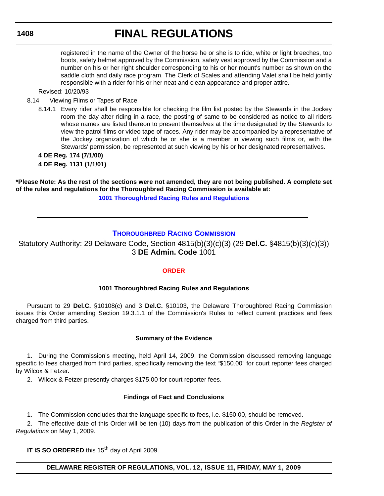# **FINAL REGULATIONS**

registered in the name of the Owner of the horse he or she is to ride, white or light breeches, top boots, safety helmet approved by the Commission, safety vest approved by the Commission and a number on his or her right shoulder corresponding to his or her mount's number as shown on the saddle cloth and daily race program. The Clerk of Scales and attending Valet shall be held jointly responsible with a rider for his or her neat and clean appearance and proper attire.

### Revised: 10/20/93

- 8.14 Viewing Films or Tapes of Race
	- 8.14.1 Every rider shall be responsible for checking the film list posted by the Stewards in the Jockey room the day after riding in a race, the posting of same to be considered as notice to all riders whose names are listed thereon to present themselves at the time designated by the Stewards to view the patrol films or video tape of races. Any rider may be accompanied by a representative of the Jockey organization of which he or she is a member in viewing such films or, with the Stewards' permission, be represented at such viewing by his or her designated representatives.

**4 DE Reg. 174 (7/1/00) 4 DE Reg. 1131 (1/1/01)**

**\*Please Note: As the rest of the sections were not amended, they are not being published. A complete set of the rules and regulations for the Thoroughbred Racing Commission is available at: [1001 Thoroughbred Racing Rules and Regulations](http://regulations.delaware.gov/AdminCode/title3/1000/1001/index.shtml#TopOfPage)**

# **[THOROUGHBRED RACING COMMISSION](http://dda.delaware.gov/thoroughbred/index.shtml)**

Statutory Authority: 29 Delaware Code, Section 4815(b)(3)(c)(3) (29 **Del.C.** §4815(b)(3)(c)(3)) 3 **DE Admin. Code** 1001

### **[ORDER](#page-3-0)**

### **1001 Thoroughbred Racing Rules and Regulations**

Pursuant to 29 **Del.C.** §10108(c) and 3 **Del.C.** §10103, the Delaware Thoroughbred Racing Commission issues this Order amending Section 19.3.1.1 of the Commission's Rules to reflect current practices and fees charged from third parties.

#### **Summary of the Evidence**

1. During the Commission's meeting, held April 14, 2009, the Commission discussed removing language specific to fees charged from third parties, specifically removing the text "\$150.00" for court reporter fees charged by Wilcox & Fetzer.

2. Wilcox & Fetzer presently charges \$175.00 for court reporter fees.

#### **Findings of Fact and Conclusions**

1. The Commission concludes that the language specific to fees, i.e. \$150.00, should be removed.

2. The effective date of this Order will be ten (10) days from the publication of this Order in the *Register of Regulations* on May 1, 2009.

**IT IS SO ORDERED** this 15<sup>th</sup> day of April 2009.

### **DELAWARE REGISTER OF REGULATIONS, VOL. 12, ISSUE 11, FRIDAY, MAY 1, 2009**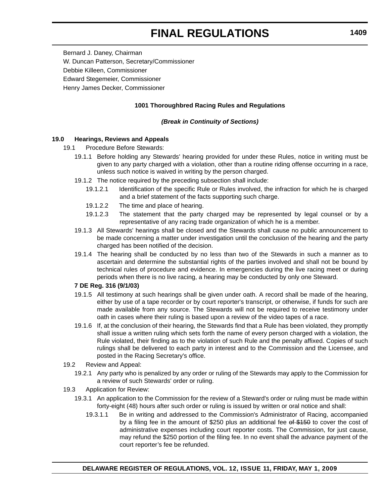Bernard J. Daney, Chairman W. Duncan Patterson, Secretary/Commissioner Debbie Killeen, Commissioner Edward Stegemeier, Commissioner Henry James Decker, Commissioner

# **1001 Thoroughbred Racing Rules and Regulations**

#### *(Break in Continuity of Sections)*

#### **19.0 Hearings, Reviews and Appeals**

- 19.1 Procedure Before Stewards:
	- 19.1.1 Before holding any Stewards' hearing provided for under these Rules, notice in writing must be given to any party charged with a violation, other than a routine riding offense occurring in a race, unless such notice is waived in writing by the person charged.
	- 19.1.2 The notice required by the preceding subsection shall include:
		- 19.1.2.1 Identification of the specific Rule or Rules involved, the infraction for which he is charged and a brief statement of the facts supporting such charge.
		- 19.1.2.2 The time and place of hearing.
		- 19.1.2.3 The statement that the party charged may be represented by legal counsel or by a representative of any racing trade organization of which he is a member.
	- 19.1.3 All Stewards' hearings shall be closed and the Stewards shall cause no public announcement to be made concerning a matter under investigation until the conclusion of the hearing and the party charged has been notified of the decision.
	- 19.1.4 The hearing shall be conducted by no less than two of the Stewards in such a manner as to ascertain and determine the substantial rights of the parties involved and shall not be bound by technical rules of procedure and evidence. In emergencies during the live racing meet or during periods when there is no live racing, a hearing may be conducted by only one Steward.

#### **7 DE Reg. 316 (9/1/03)**

- 19.1.5 All testimony at such hearings shall be given under oath. A record shall be made of the hearing, either by use of a tape recorder or by court reporter's transcript, or otherwise, if funds for such are made available from any source. The Stewards will not be required to receive testimony under oath in cases where their ruling is based upon a review of the video tapes of a race.
- 19.1.6 If, at the conclusion of their hearing, the Stewards find that a Rule has been violated, they promptly shall issue a written ruling which sets forth the name of every person charged with a violation, the Rule violated, their finding as to the violation of such Rule and the penalty affixed. Copies of such rulings shall be delivered to each party in interest and to the Commission and the Licensee, and posted in the Racing Secretary's office.
- 19.2 Review and Appeal:
	- 19.2.1 Any party who is penalized by any order or ruling of the Stewards may apply to the Commission for a review of such Stewards' order or ruling.
- 19.3 Application for Review:
	- 19.3.1 An application to the Commission for the review of a Steward's order or ruling must be made within forty-eight (48) hours after such order or ruling is issued by written or oral notice and shall:
		- 19.3.1.1 Be in writing and addressed to the Commission's Administrator of Racing, accompanied by a filing fee in the amount of \$250 plus an additional fee of \$150 to cover the cost of administrative expenses including court reporter costs. The Commission, for just cause, may refund the \$250 portion of the filing fee. In no event shall the advance payment of the court reporter's fee be refunded.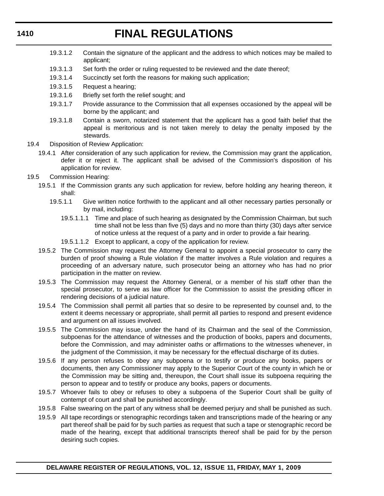- 19.3.1.2 Contain the signature of the applicant and the address to which notices may be mailed to applicant;
- 19.3.1.3 Set forth the order or ruling requested to be reviewed and the date thereof;
- 19.3.1.4 Succinctly set forth the reasons for making such application;
- 19.3.1.5 Request a hearing;
- 19.3.1.6 Briefly set forth the relief sought; and
- 19.3.1.7 Provide assurance to the Commission that all expenses occasioned by the appeal will be borne by the applicant; and
- 19.3.1.8 Contain a sworn, notarized statement that the applicant has a good faith belief that the appeal is meritorious and is not taken merely to delay the penalty imposed by the stewards.
- 19.4 Disposition of Review Application:
	- 19.4.1 After consideration of any such application for review, the Commission may grant the application, defer it or reject it. The applicant shall be advised of the Commission's disposition of his application for review.
- 19.5 Commission Hearing:
	- 19.5.1 If the Commission grants any such application for review, before holding any hearing thereon, it shall:
		- 19.5.1.1 Give written notice forthwith to the applicant and all other necessary parties personally or by mail, including:
			- 19.5.1.1.1 Time and place of such hearing as designated by the Commission Chairman, but such time shall not be less than five (5) days and no more than thirty (30) days after service of notice unless at the request of a party and in order to provide a fair hearing.
			- 19.5.1.1.2 Except to applicant, a copy of the application for review.
	- 19.5.2 The Commission may request the Attorney General to appoint a special prosecutor to carry the burden of proof showing a Rule violation if the matter involves a Rule violation and requires a proceeding of an adversary nature, such prosecutor being an attorney who has had no prior participation in the matter on review.
	- 19.5.3 The Commission may request the Attorney General, or a member of his staff other than the special prosecutor, to serve as law officer for the Commission to assist the presiding officer in rendering decisions of a judicial nature.
	- 19.5.4 The Commission shall permit all parties that so desire to be represented by counsel and, to the extent it deems necessary or appropriate, shall permit all parties to respond and present evidence and argument on all issues involved.
	- 19.5.5 The Commission may issue, under the hand of its Chairman and the seal of the Commission, subpoenas for the attendance of witnesses and the production of books, papers and documents, before the Commission, and may administer oaths or affirmations to the witnesses whenever, in the judgment of the Commission, it may be necessary for the effectual discharge of its duties.
	- 19.5.6 If any person refuses to obey any subpoena or to testify or produce any books, papers or documents, then any Commissioner may apply to the Superior Court of the county in which he or the Commission may be sitting and, thereupon, the Court shall issue its subpoena requiring the person to appear and to testify or produce any books, papers or documents.
	- 19.5.7 Whoever fails to obey or refuses to obey a subpoena of the Superior Court shall be guilty of contempt of court and shall be punished accordingly.
	- 19.5.8 False swearing on the part of any witness shall be deemed perjury and shall be punished as such.
	- 19.5.9 All tape recordings or stenographic recordings taken and transcriptions made of the hearing or any part thereof shall be paid for by such parties as request that such a tape or stenographic record be made of the hearing, except that additional transcripts thereof shall be paid for by the person desiring such copies.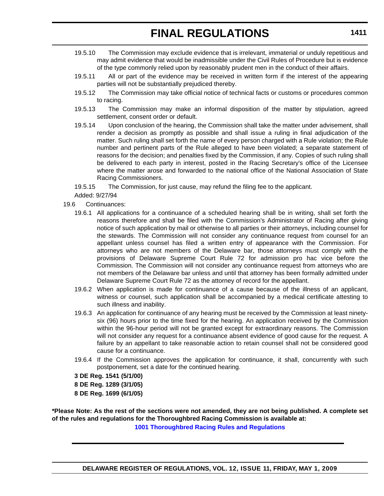- 19.5.10 The Commission may exclude evidence that is irrelevant, immaterial or unduly repetitious and may admit evidence that would be inadmissible under the Civil Rules of Procedure but is evidence of the type commonly relied upon by reasonably prudent men in the conduct of their affairs.
- 19.5.11 All or part of the evidence may be received in written form if the interest of the appearing parties will not be substantially prejudiced thereby.
- 19.5.12 The Commission may take official notice of technical facts or customs or procedures common to racing.
- 19.5.13 The Commission may make an informal disposition of the matter by stipulation, agreed settlement, consent order or default.
- 19.5.14 Upon conclusion of the hearing, the Commission shall take the matter under advisement, shall render a decision as promptly as possible and shall issue a ruling in final adjudication of the matter. Such ruling shall set forth the name of every person charged with a Rule violation; the Rule number and pertinent parts of the Rule alleged to have been violated; a separate statement of reasons for the decision; and penalties fixed by the Commission, if any. Copies of such ruling shall be delivered to each party in interest, posted in the Racing Secretary's office of the Licensee where the matter arose and forwarded to the national office of the National Association of State Racing Commissioners.
- 19.5.15 The Commission, for just cause, may refund the filing fee to the applicant.
- Added: 9/27/94
- 19.6 Continuances:
	- 19.6.1 All applications for a continuance of a scheduled hearing shall be in writing, shall set forth the reasons therefore and shall be filed with the Commission's Administrator of Racing after giving notice of such application by mail or otherwise to all parties or their attorneys, including counsel for the stewards. The Commission will not consider any continuance request from counsel for an appellant unless counsel has filed a written entry of appearance with the Commission. For attorneys who are not members of the Delaware bar, those attorneys must comply with the provisions of Delaware Supreme Court Rule 72 for admission pro hac vice before the Commission. The Commission will not consider any continuance request from attorneys who are not members of the Delaware bar unless and until that attorney has been formally admitted under Delaware Supreme Court Rule 72 as the attorney of record for the appellant.
	- 19.6.2 When application is made for continuance of a cause because of the illness of an applicant, witness or counsel, such application shall be accompanied by a medical certificate attesting to such illness and inability.
	- 19.6.3 An application for continuance of any hearing must be received by the Commission at least ninetysix (96) hours prior to the time fixed for the hearing. An application received by the Commission within the 96-hour period will not be granted except for extraordinary reasons. The Commission will not consider any request for a continuance absent evidence of good cause for the request. A failure by an appellant to take reasonable action to retain counsel shall not be considered good cause for a continuance.
	- 19.6.4 If the Commission approves the application for continuance, it shall, concurrently with such postponement, set a date for the continued hearing.

**3 DE Reg. 1541 (5/1/00)**

- **8 DE Reg. 1289 (3/1/05) 8 DE Reg. 1699 (6/1/05)**
- **\*Please Note: As the rest of the sections were not amended, they are not being published. A complete set of the rules and regulations for the Thoroughbred Racing Commission is available at:**

**[1001 Thoroughbred Racing Rules and Regulations](http://regulations.delaware.gov/AdminCode/title3/1000/1001/index.shtml#TopOfPage)**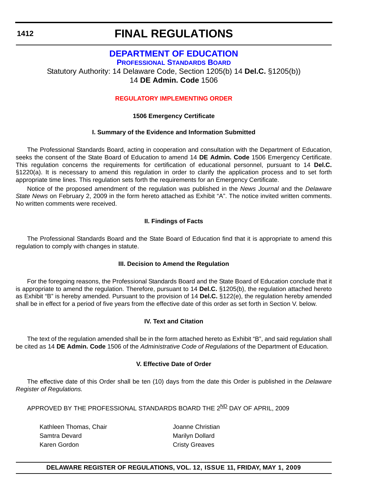# **FINAL REGULATIONS**

# **[DEPARTMENT OF EDUCATION](http://www.doe.k12.de.us/)**

**PROFESSIONAL STANDARDS BOARD**

Statutory Authority: 14 Delaware Code, Section 1205(b) 14 **Del.C.** §1205(b))

14 **DE Admin. Code** 1506

# **[REGULATORY IMPLEMENTING ORDER](#page-3-0)**

### **1506 Emergency Certificate**

### **I. Summary of the Evidence and Information Submitted**

The Professional Standards Board, acting in cooperation and consultation with the Department of Education, seeks the consent of the State Board of Education to amend 14 **DE Admin. Code** 1506 Emergency Certificate. This regulation concerns the requirements for certification of educational personnel, pursuant to 14 **Del.C.** §1220(a). It is necessary to amend this regulation in order to clarify the application process and to set forth appropriate time lines. This regulation sets forth the requirements for an Emergency Certificate.

Notice of the proposed amendment of the regulation was published in the *News Journal* and the *Delaware State News* on February 2, 2009 in the form hereto attached as Exhibit "A". The notice invited written comments. No written comments were received.

# **II. Findings of Facts**

The Professional Standards Board and the State Board of Education find that it is appropriate to amend this regulation to comply with changes in statute.

# **III. Decision to Amend the Regulation**

For the foregoing reasons, the Professional Standards Board and the State Board of Education conclude that it is appropriate to amend the regulation. Therefore, pursuant to 14 **Del.C.** §1205(b), the regulation attached hereto as Exhibit "B" is hereby amended. Pursuant to the provision of 14 **Del.C.** §122(e), the regulation hereby amended shall be in effect for a period of five years from the effective date of this order as set forth in Section V. below.

### **IV. Text and Citation**

The text of the regulation amended shall be in the form attached hereto as Exhibit "B", and said regulation shall be cited as 14 **DE Admin. Code** 1506 of the *Administrative Code of Regulations* of the Department of Education.

### **V. Effective Date of Order**

The effective date of this Order shall be ten (10) days from the date this Order is published in the *Delaware Register of Regulations.*

APPROVED BY THE PROFESSIONAL STANDARDS BOARD THE 2ND DAY OF APRIL. 2009

Kathleen Thomas, Chair **Mathleen Thomas**, Chair Samtra Devard **Marilyn Dollard** Marilyn Dollard Karen Gordon **Cristy Greaves** 

# **DELAWARE REGISTER OF REGULATIONS, VOL. 12, ISSUE 11, FRIDAY, MAY 1, 2009**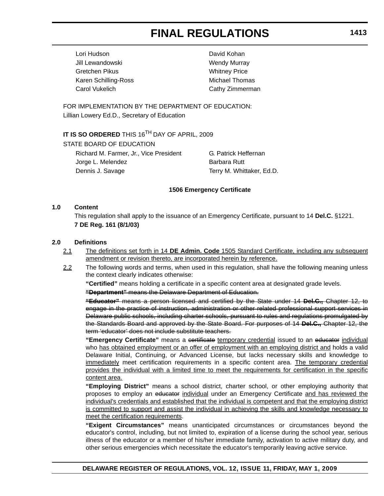Lori Hudson David Kohan Jill Lewandowski **Wendy Murray** Gretchen Pikus **Whitney Price** Karen Schilling-Ross Michael Thomas Carol Vukelich Cathy Zimmerman

FOR IMPLEMENTATION BY THE DEPARTMENT OF EDUCATION: Lillian Lowery Ed.D., Secretary of Education

# **IT IS SO ORDERED** THIS 16<sup>TH</sup> DAY OF APRIL, 2009

STATE BOARD OF EDUCATION

Richard M. Farmer, Jr., Vice President **G. Patrick Heffernan** Jorge L. Melendez **Barbara Rutt** Dennis J. Savage Terry M. Whittaker, Ed.D.

### **1506 Emergency Certificate**

### **1.0 Content**

This regulation shall apply to the issuance of an Emergency Certificate, pursuant to 14 **Del.C.** §1221. **7 DE Reg. 161 (8/1/03)**

### **2.0 Definitions**

- 2.1 The definitions set forth in 14 **DE Admin. Code** 1505 Standard Certificate, including any subsequent amendment or revision thereto, are incorporated herein by reference.
- 2.2 The following words and terms, when used in this regulation, shall have the following meaning unless the context clearly indicates otherwise:

**"Certified"** means holding a certificate in a specific content area at designated grade levels.

**"Department"** means the Delaware Department of Education.

**"Educator"** means a person licensed and certified by the State under 14 **Del.C.,** Chapter 12, to engage in the practice of instruction, administration or other related professional support services in Delaware public schools, including charter schools, pursuant to rules and regulations promulgated by the Standards Board and approved by the State Board. For purposes of 14 **Del.C.,** Chapter 12, the term 'educator' does not include substitute teachers.

**"Emergency Certificate"** means a certificate temporary credential issued to an educator individual who has obtained employment or an offer of employment with an employing district and holds a valid Delaware Initial, Continuing, or Advanced License, but lacks necessary skills and knowledge to immediately meet certification requirements in a specific content area. The temporary credential provides the individual with a limited time to meet the requirements for certification in the specific content area.

**"Employing District"** means a school district, charter school, or other employing authority that proposes to employ an educator individual under an Emergency Certificate and has reviewed the individual's credentials and established that the individual is competent and that the employing district is committed to support and assist the individual in achieving the skills and knowledge necessary to meet the certification requirements.

**"Exigent Circumstances"** means unanticipated circumstances or circumstances beyond the educator's control, including, but not limited to, expiration of a license during the school year, serious illness of the educator or a member of his/her immediate family, activation to active military duty, and other serious emergencies which necessitate the educator's temporarily leaving active service.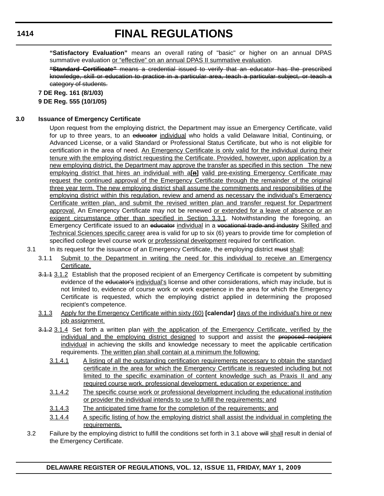# **FINAL REGULATIONS**

**"Satisfactory Evaluation"** means an overall rating of "basic" or higher on an annual DPAS summative evaluation or "effective" on an annual DPAS II summative evaluation.

**"Standard Certificate"** means a credential issued to verify that an educator has the prescribed knowledge, skill or education to practice in a particular area, teach a particular subject, or teach a category of students.

**7 DE Reg. 161 (8/1/03)**

**9 DE Reg. 555 (10/1/05)**

### **3.0 Issuance of Emergency Certificate**

Upon request from the employing district, the Department may issue an Emergency Certificate, valid for up to three years, to an educator individual who holds a valid Delaware Initial, Continuing, or Advanced License, or a valid Standard or Professional Status Certificate, but who is not eligible for certification in the area of need. An Emergency Certificate is only valid for the individual during their tenure with the employing district requesting the Certificate. Provided, however, upon application by a new employing district, the Department may approve the transfer as specified in this section The new employing district that hires an individual with a<sup>[n]</sup> valid pre-existing Emergency Certificate may request the continued approval of the Emergency Certificate through the remainder of the original three year term. The new employing district shall assume the commitments and responsibilities of the employing district within this regulation, review and amend as necessary the individual's Emergency Certificate written plan, and submit the revised written plan and transfer request for Department approval. An Emergency Certificate may not be renewed or extended for a leave of absence or an exigent circumstance other than specified in Section 3.3.1. Notwithstanding the foregoing, an Emergency Certificate issued to an educator individual in a vocational trade and industry Skilled and Technical Sciences specific career area is valid for up to six (6) years to provide time for completion of specified college level course work or professional development required for certification.

- 3.1 In its request for the issuance of an Emergency Certificate, the employing district must shall:
	- 3.1.1 Submit to the Department in writing the need for this individual to receive an Emergency Certificate.
	- 3.1.1 3.1.2 Establish that the proposed recipient of an Emergency Certificate is competent by submitting evidence of the educator's individual's license and other considerations, which may include, but is not limited to, evidence of course work or work experience in the area for which the Emergency Certificate is requested, which the employing district applied in determining the proposed recipient's competence.
	- 3.1.3 Apply for the Emergency Certificate within sixty (60) **[calendar]** days of the individual's hire or new job assignment.
	- 3.1.2 3.1.4 Set forth a written plan with the application of the Emergency Certificate, verified by the individual and the employing district designed to support and assist the proposed recipient individual in achieving the skills and knowledge necessary to meet the applicable certification requirements. The written plan shall contain at a minimum the following:
		- 3.1.4.1 A listing of all the outstanding certification requirements necessary to obtain the standard certificate in the area for which the Emergency Certificate is requested including but not limited to the specific examination of content knowledge such as Praxis II and any required course work, professional development, education or experience; and
		- 3.1.4.2 The specific course work or professional development including the educational institution or provider the individual intends to use to fulfill the requirements; and
		- 3.1.4.3 The anticipated time frame for the completion of the requirements; and
		- 3.1.4.4 A specific listing of how the employing district shall assist the individual in completing the requirements.
- 3.2 Failure by the employing district to fulfill the conditions set forth in 3.1 above will shall result in denial of the Emergency Certificate.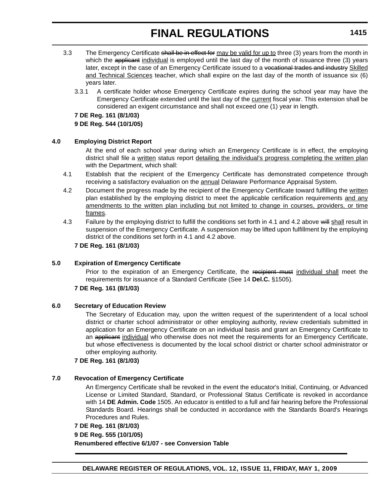- 3.3 The Emergency Certificate shall be in effect for may be valid for up to three (3) years from the month in which the applicant individual is employed until the last day of the month of issuance three (3) years later, except in the case of an Emergency Certificate issued to a vocational trades and industry Skilled and Technical Sciences teacher, which shall expire on the last day of the month of issuance six (6) years later.
	- 3.3.1 A certificate holder whose Emergency Certificate expires during the school year may have the Emergency Certificate extended until the last day of the current fiscal year. This extension shall be considered an exigent circumstance and shall not exceed one (1) year in length.

**7 DE Reg. 161 (8/1/03) 9 DE Reg. 544 (10/1/05)**

### **4.0 Employing District Report**

At the end of each school year during which an Emergency Certificate is in effect, the employing district shall file a written status report detailing the individual's progress completing the written plan with the Department, which shall:

- 4.1 Establish that the recipient of the Emergency Certificate has demonstrated competence through receiving a satisfactory evaluation on the **annual Delaware Performance Appraisal System**.
- 4.2 Document the progress made by the recipient of the Emergency Certificate toward fulfilling the written plan established by the employing district to meet the applicable certification requirements and any amendments to the written plan including but not limited to change in courses, providers, or time frames.
- 4.3 Failure by the employing district to fulfill the conditions set forth in 4.1 and 4.2 above will shall result in suspension of the Emergency Certificate. A suspension may be lifted upon fulfillment by the employing district of the conditions set forth in 4.1 and 4.2 above.

### **7 DE Reg. 161 (8/1/03)**

### **5.0 Expiration of Emergency Certificate**

Prior to the expiration of an Emergency Certificate, the recipient must individual shall meet the requirements for issuance of a Standard Certificate (See 14 **Del.C.** §1505).

### **7 DE Reg. 161 (8/1/03)**

### **6.0 Secretary of Education Review**

The Secretary of Education may, upon the written request of the superintendent of a local school district or charter school administrator or other employing authority, review credentials submitted in application for an Emergency Certificate on an individual basis and grant an Emergency Certificate to an applicant individual who otherwise does not meet the requirements for an Emergency Certificate, but whose effectiveness is documented by the local school district or charter school administrator or other employing authority.

### **7 DE Reg. 161 (8/1/03)**

### **7.0 Revocation of Emergency Certificate**

An Emergency Certificate shall be revoked in the event the educator's Initial, Continuing, or Advanced License or Limited Standard, Standard, or Professional Status Certificate is revoked in accordance with 14 **DE Admin. Code** 1505. An educator is entitled to a full and fair hearing before the Professional Standards Board. Hearings shall be conducted in accordance with the Standards Board's Hearings Procedures and Rules.

# **7 DE Reg. 161 (8/1/03) 9 DE Reg. 555 (10/1/05) Renumbered effective 6/1/07 - see Conversion Table**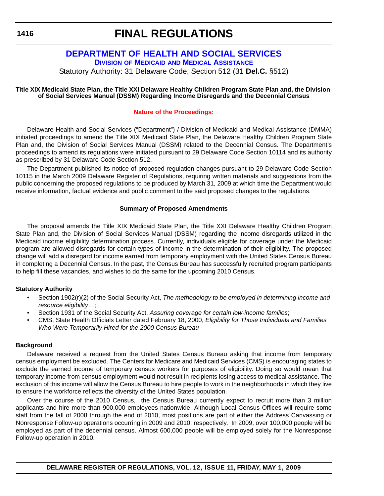# **FINAL REGULATIONS**

# **[DEPARTMENT OF HEALTH AND SOCIAL SERVICES](http://www.dhss.delaware.gov/dhss/dmma/index.html)**

**DIVISION OF MEDICAID AND MEDICAL ASSISTANCE**

Statutory Authority: 31 Delaware Code, Section 512 (31 **Del.C.** §512)

#### **Title XIX Medicaid State Plan, the Title XXI Delaware Healthy Children Program State Plan and, the Division of Social Services Manual (DSSM) Regarding Income Disregards and the Decennial Census**

### **[Nature of the Proceedings:](#page-3-0)**

Delaware Health and Social Services ("Department") / Division of Medicaid and Medical Assistance (DMMA) initiated proceedings to amend the Title XIX Medicaid State Plan, the Delaware Healthy Children Program State Plan and, the Division of Social Services Manual (DSSM) related to the Decennial Census. The Department's proceedings to amend its regulations were initiated pursuant to 29 Delaware Code Section 10114 and its authority as prescribed by 31 Delaware Code Section 512.

The Department published its notice of proposed regulation changes pursuant to 29 Delaware Code Section 10115 in the March 2009 Delaware Register of Regulations, requiring written materials and suggestions from the public concerning the proposed regulations to be produced by March 31, 2009 at which time the Department would receive information, factual evidence and public comment to the said proposed changes to the regulations.

### **Summary of Proposed Amendments**

The proposal amends the Title XIX Medicaid State Plan, the Title XXI Delaware Healthy Children Program State Plan and, the Division of Social Services Manual (DSSM) regarding the income disregards utilized in the Medicaid income eligibility determination process. Currently, individuals eligible for coverage under the Medicaid program are allowed disregards for certain types of income in the determination of their eligibility. The proposed change will add a disregard for income earned from temporary employment with the United States Census Bureau in completing a Decennial Census. In the past, the Census Bureau has successfully recruited program participants to help fill these vacancies, and wishes to do the same for the upcoming 2010 Census.

# **Statutory Authority**

- Section 1902(r)(2) of the Social Security Act, *The methodology to be employed in determining income and resource eligibility…*;
- Section 1931 of the Social Security Act, *Assuring coverage for certain low-income families*;
- CMS, State Health Officials Letter dated February 18, 2000, *Eligibility for Those Individuals and Families Who Were Temporarily Hired for the 2000 Census Bureau*

### **Background**

Delaware received a request from the United States Census Bureau asking that income from temporary census employment be excluded. The Centers for Medicare and Medicaid Services (CMS) is encouraging states to exclude the earned income of temporary census workers for purposes of eligibility. Doing so would mean that temporary income from census employment would not result in recipients losing access to medical assistance. The exclusion of this income will allow the Census Bureau to hire people to work in the neighborhoods in which they live to ensure the workforce reflects the diversity of the United States population.

Over the course of the 2010 Census, the Census Bureau currently expect to recruit more than 3 million applicants and hire more than 900,000 employees nationwide. Although Local Census Offices will require some staff from the fall of 2008 through the end of 2010, most positions are part of either the Address Canvassing or Nonresponse Follow-up operations occurring in 2009 and 2010, respectively. In 2009, over 100,000 people will be employed as part of the decennial census. Almost 600,000 people will be employed solely for the Nonresponse Follow-up operation in 2010.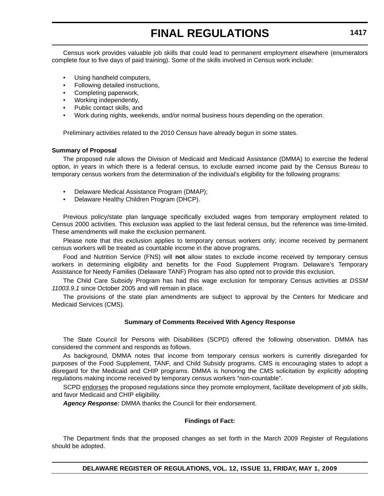Census work provides valuable job skills that could lead to permanent employment elsewhere (enumerators complete four to five days of paid training). Some of the skills involved in Census work include:

- Using handheld computers.
- Following detailed instructions,
- Completing paperwork,
- Working independently,
- Public contact skills, and
- Work during nights, weekends, and/or normal business hours depending on the operation.

Preliminary activities related to the 2010 Census have already begun in some states.

#### **Summary of Proposal**

The proposed rule allows the Division of Medicaid and Medicaid Assistance (DMMA) to exercise the federal option, in years in which there is a federal census, to exclude earned income paid by the Census Bureau to temporary census workers from the determination of the individual's eligibility for the following programs:

- Delaware Medical Assistance Program (DMAP);
- Delaware Healthy Children Program (DHCP).

Previous policy/state plan language specifically excluded wages from temporary employment related to Census 2000 activities. This exclusion was applied to the last federal census, but the reference was time-limited. These amendments will make the exclusion permanent.

Please note that this exclusion applies to temporary census workers only; income received by permanent census workers will be treated as countable income in the above programs.

Food and Nutrition Service (FNS) will **not** allow states to exclude income received by temporary census workers in determining eligibility and benefits for the Food Supplement Program. Delaware's Temporary Assistance for Needy Families (Delaware TANF) Program has also opted not to provide this exclusion.

The Child Care Subsidy Program has had this wage exclusion for temporary Census activities at *DSSM 11003.9.1* since October 2005 and will remain in place.

The provisions of the state plan amendments are subject to approval by the Centers for Medicare and Medicaid Services (CMS).

#### **Summary of Comments Received With Agency Response**

The State Council for Persons with Disabilities (SCPD) offered the following observation. DMMA has considered the comment and responds as follows.

As background, DMMA notes that income from temporary census workers is currently disregarded for purposes of the Food Supplement, TANF, and Child Subsidy programs. CMS is encouraging states to adopt a disregard for the Medicaid and CHIP programs. DMMA is honoring the CMS solicitation by explicitly adopting regulations making income received by temporary census workers "non-countable".

SCPD endorses the proposed regulations since they promote employment, facilitate development of job skills, and favor Medicaid and CHIP eligibility.

*Agency Response:* DMMA thanks the Council for their endorsement.

#### **Findings of Fact:**

The Department finds that the proposed changes as set forth in the March 2009 Register of Regulations should be adopted.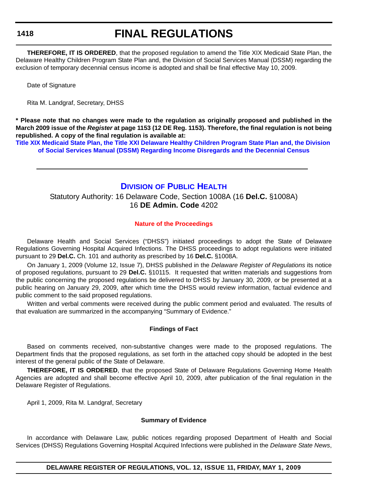## **FINAL REGULATIONS**

**THEREFORE, IT IS ORDERED**, that the proposed regulation to amend the Title XIX Medicaid State Plan, the Delaware Healthy Children Program State Plan and, the Division of Social Services Manual (DSSM) regarding the exclusion of temporary decennial census income is adopted and shall be final effective May 10, 2009.

Date of Signature

Rita M. Landgraf, Secretary, DHSS

**\* Please note that no changes were made to the regulation as originally proposed and published in the March 2009 issue of the** *Register* **at page 1153 (12 DE Reg. 1153). Therefore, the final regulation is not being republished. A copy of the final regulation is available at:**

**[Title XIX Medicaid State Plan, the Title XXI Delaware Healthy Children Program State Plan and, the Division](http://regulations.delaware.gov/register/may2009/final/12 DE Reg 1416 05-01-09.htm)  of Social Services Manual (DSSM) Regarding Income Disregards and the Decennial Census**

### **DIVISION [OF PUBLIC HEALTH](http://www.dhss.delaware.gov/dhss/dph/index.html)**

Statutory Authority: 16 Delaware Code, Section 1008A (16 **Del.C.** §1008A) 16 **DE Admin. Code** 4202

#### **[Nature of the Proceedings](#page-4-0)**

Delaware Health and Social Services ("DHSS") initiated proceedings to adopt the State of Delaware Regulations Governing Hospital Acquired Infections. The DHSS proceedings to adopt regulations were initiated pursuant to 29 **Del.C.** Ch. 101 and authority as prescribed by 16 **Del.C.** §1008A.

On January 1, 2009 (Volume 12, Issue 7), DHSS published in the *Delaware Register of Regulations* its notice of proposed regulations, pursuant to 29 **Del.C.** §10115. It requested that written materials and suggestions from the public concerning the proposed regulations be delivered to DHSS by January 30, 2009, or be presented at a public hearing on January 29, 2009, after which time the DHSS would review information, factual evidence and public comment to the said proposed regulations.

Written and verbal comments were received during the public comment period and evaluated. The results of that evaluation are summarized in the accompanying "Summary of Evidence."

#### **Findings of Fact**

Based on comments received, non-substantive changes were made to the proposed regulations. The Department finds that the proposed regulations, as set forth in the attached copy should be adopted in the best interest of the general public of the State of Delaware.

**THEREFORE, IT IS ORDERED**, that the proposed State of Delaware Regulations Governing Home Health Agencies are adopted and shall become effective April 10, 2009, after publication of the final regulation in the Delaware Register of Regulations.

April 1, 2009, Rita M. Landgraf, Secretary

#### **Summary of Evidence**

In accordance with Delaware Law, public notices regarding proposed Department of Health and Social Services (DHSS) Regulations Governing Hospital Acquired Infections were published in the *Delaware State News*,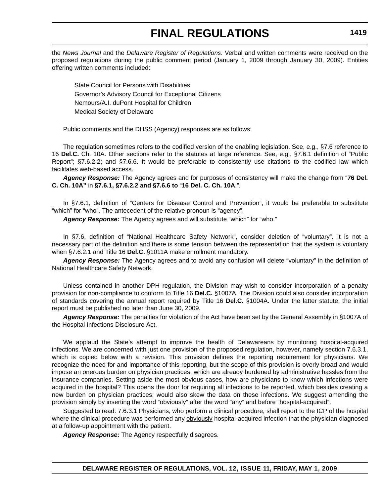the *News Journal* and the *Delaware Register of Regulations*. Verbal and written comments were received on the proposed regulations during the public comment period (January 1, 2009 through January 30, 2009). Entities offering written comments included:

State Council for Persons with Disabilities Governor's Advisory Council for Exceptional Citizens Nemours/A.I. duPont Hospital for Children Medical Society of Delaware

Public comments and the DHSS (Agency) responses are as follows:

The regulation sometimes refers to the codified version of the enabling legislation. See, e.g., §7.6 reference to 16 **Del.C.** Ch. 10A. Other sections refer to the statutes at large reference. See, e.g., §7.6.1 definition of "Public Report"; §7.6.2.2; and §7.6.6. It would be preferable to consistently use citations to the codified law which facilitates web-based access.

*Agency Response:* The Agency agrees and for purposes of consistency will make the change from "**76 Del. C. Ch. 10A"** in **§7.6.1, §7.6.2.2 and §7.6.6 to** "**16 Del. C. Ch. 10A**.".

In §7.6.1, definition of "Centers for Disease Control and Prevention", it would be preferable to substitute "which" for "who". The antecedent of the relative pronoun is "agency".

*Agency Response:* The Agency agrees and will substitute "which" for "who."

In §7.6, definition of "National Healthcare Safety Network", consider deletion of "voluntary". It is not a necessary part of the definition and there is some tension between the representation that the system is voluntary when §7.6.2.1 and Title 16 **Del.C.** §1011A make enrollment mandatory.

*Agency Response:* The Agency agrees and to avoid any confusion will delete "voluntary" in the definition of National Healthcare Safety Network.

Unless contained in another DPH regulation, the Division may wish to consider incorporation of a penalty provision for non-compliance to conform to Title 16 **Del.C.** §1007A. The Division could also consider incorporation of standards covering the annual report required by Title 16 **Del.C.** §1004A. Under the latter statute, the initial report must be published no later than June 30, 2009.

*Agency Response:* The penalties for violation of the Act have been set by the General Assembly in §1007A of the Hospital Infections Disclosure Act.

We applaud the State's attempt to improve the health of Delawareans by monitoring hospital-acquired infections. We are concerned with just one provision of the proposed regulation, however, namely section 7.6.3.1, which is copied below with a revision. This provision defines the reporting requirement for physicians. We recognize the need for and importance of this reporting, but the scope of this provision is overly broad and would impose an onerous burden on physician practices, which are already burdened by administrative hassles from the insurance companies. Setting aside the most obvious cases, how are physicians to know which infections were acquired in the hospital? This opens the door for requiring all infections to be reported, which besides creating a new burden on physician practices, would also skew the data on these infections. We suggest amending the provision simply by inserting the word "obviously" after the word "any" and before "hospital-acquired".

Suggested to read: 7.6.3.1 Physicians, who perform a clinical procedure, shall report to the ICP of the hospital where the clinical procedure was performed any **obviously** hospital-acquired infection that the physician diagnosed at a follow-up appointment with the patient.

*Agency Response:* The Agency respectfully disagrees.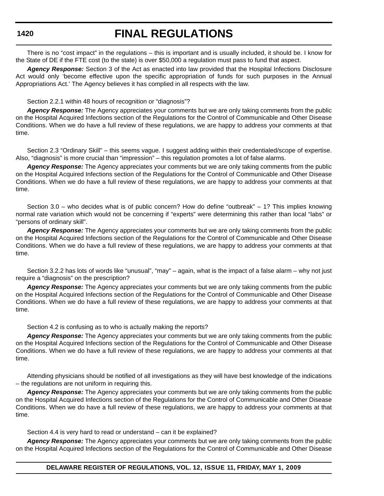## **FINAL REGULATIONS**

There is no "cost impact" in the regulations – this is important and is usually included, it should be. I know for the State of DE if the FTE cost (to the state) is over \$50,000 a regulation must pass to fund that aspect.

*Agency Response:* Section 3 of the Act as enacted into law provided that the Hospital Infections Disclosure Act would only 'become effective upon the specific appropriation of funds for such purposes in the Annual Appropriations Act.' The Agency believes it has complied in all respects with the law.

Section 2.2.1 within 48 hours of recognition or "diagnosis"?

*Agency Response:* The Agency appreciates your comments but we are only taking comments from the public on the Hospital Acquired Infections section of the Regulations for the Control of Communicable and Other Disease Conditions. When we do have a full review of these regulations, we are happy to address your comments at that time.

Section 2.3 "Ordinary Skill" – this seems vague. I suggest adding within their credentialed/scope of expertise. Also, "diagnosis" is more crucial than "impression" – this regulation promotes a lot of false alarms.

*Agency Response:* The Agency appreciates your comments but we are only taking comments from the public on the Hospital Acquired Infections section of the Regulations for the Control of Communicable and Other Disease Conditions. When we do have a full review of these regulations, we are happy to address your comments at that time.

Section 3.0 – who decides what is of public concern? How do define "outbreak" – 1? This implies knowing normal rate variation which would not be concerning if "experts" were determining this rather than local "labs" or "persons of ordinary skill".

*Agency Response:* The Agency appreciates your comments but we are only taking comments from the public on the Hospital Acquired Infections section of the Regulations for the Control of Communicable and Other Disease Conditions. When we do have a full review of these regulations, we are happy to address your comments at that time.

Section 3.2.2 has lots of words like "unusual", "may" – again, what is the impact of a false alarm – why not just require a "diagnosis" on the prescription?

*Agency Response:* The Agency appreciates your comments but we are only taking comments from the public on the Hospital Acquired Infections section of the Regulations for the Control of Communicable and Other Disease Conditions. When we do have a full review of these regulations, we are happy to address your comments at that time.

Section 4.2 is confusing as to who is actually making the reports?

*Agency Response:* The Agency appreciates your comments but we are only taking comments from the public on the Hospital Acquired Infections section of the Regulations for the Control of Communicable and Other Disease Conditions. When we do have a full review of these regulations, we are happy to address your comments at that time.

Attending physicians should be notified of all investigations as they will have best knowledge of the indications – the regulations are not uniform in requiring this.

*Agency Response:* The Agency appreciates your comments but we are only taking comments from the public on the Hospital Acquired Infections section of the Regulations for the Control of Communicable and Other Disease Conditions. When we do have a full review of these regulations, we are happy to address your comments at that time.

Section 4.4 is very hard to read or understand – can it be explained?

*Agency Response:* The Agency appreciates your comments but we are only taking comments from the public on the Hospital Acquired Infections section of the Regulations for the Control of Communicable and Other Disease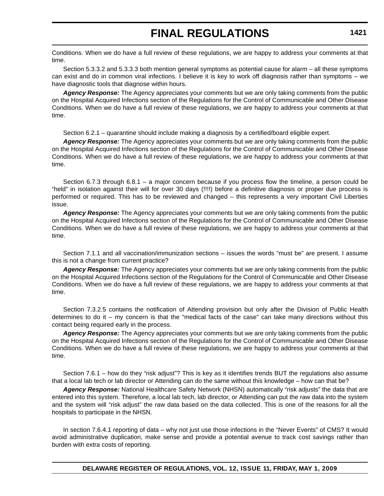Conditions. When we do have a full review of these regulations, we are happy to address your comments at that time.

Section 5.3.3.2 and 5.3.3.3 both mention general symptoms as potential cause for alarm – all these symptoms can exist and do in common viral infections. I believe it is key to work off diagnosis rather than symptoms – we have diagnostic tools that diagnose within hours.

*Agency Response:* The Agency appreciates your comments but we are only taking comments from the public on the Hospital Acquired Infections section of the Regulations for the Control of Communicable and Other Disease Conditions. When we do have a full review of these regulations, we are happy to address your comments at that time.

Section 6.2.1 – quarantine should include making a diagnosis by a certified/board eligible expert.

*Agency Response:* The Agency appreciates your comments but we are only taking comments from the public on the Hospital Acquired Infections section of the Regulations for the Control of Communicable and Other Disease Conditions. When we do have a full review of these regulations, we are happy to address your comments at that time.

Section 6.7.3 through 6.8.1 – a major concern because if you process flow the timeline, a person could be "held" in isolation against their will for over 30 days (!!!!) before a definitive diagnosis or proper due process is performed or required. This has to be reviewed and changed – this represents a very important Civil Liberties issue.

*Agency Response:* The Agency appreciates your comments but we are only taking comments from the public on the Hospital Acquired Infections section of the Regulations for the Control of Communicable and Other Disease Conditions. When we do have a full review of these regulations, we are happy to address your comments at that time.

Section 7.1.1 and all vaccination/immunization sections – issues the words "must be" are present. I assume this is not a change from current practice?

*Agency Response:* The Agency appreciates your comments but we are only taking comments from the public on the Hospital Acquired Infections section of the Regulations for the Control of Communicable and Other Disease Conditions. When we do have a full review of these regulations, we are happy to address your comments at that time.

Section 7.3.2.5 contains the notification of Attending provision but only after the Division of Public Health determines to do it – my concern is that the "medical facts of the case" can take many directions without this contact being required early in the process.

*Agency Response:* The Agency appreciates your comments but we are only taking comments from the public on the Hospital Acquired Infections section of the Regulations for the Control of Communicable and Other Disease Conditions. When we do have a full review of these regulations, we are happy to address your comments at that time.

Section 7.6.1 – how do they "risk adjust"? This is key as it identifies trends BUT the regulations also assume that a local lab tech or lab director or Attending can do the same without this knowledge – how can that be?

*Agency Response:* National Healthcare Safety Network (NHSN) automatically "risk adjusts" the data that are entered into this system. Therefore, a local lab tech, lab director, or Attending can put the raw data into the system and the system will "risk adjust" the raw data based on the data collected. This is one of the reasons for all the hospitals to participate in the NHSN.

In section 7.6.4.1 reporting of data – why not just use those infections in the "Never Events" of CMS? It would avoid administrative duplication, make sense and provide a potential avenue to track cost savings rather than burden with extra costs of reporting.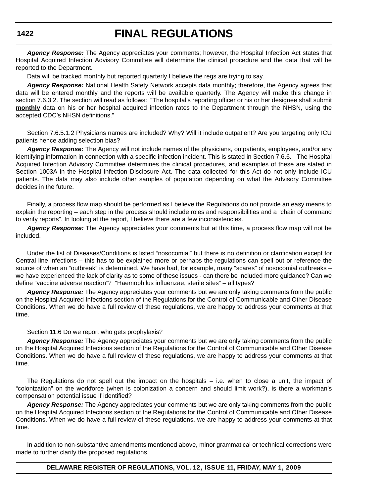## **FINAL REGULATIONS**

*Agency Response:* The Agency appreciates your comments; however, the Hospital Infection Act states that Hospital Acquired Infection Advisory Committee will determine the clinical procedure and the data that will be reported to the Department.

Data will be tracked monthly but reported quarterly I believe the regs are trying to say.

*Agency Response:* National Health Safety Network accepts data monthly; therefore, the Agency agrees that data will be entered monthly and the reports will be available quarterly. The Agency will make this change in section 7.6.3.2. The section will read as follows: "The hospital's reporting officer or his or her designee shall submit **monthly** data on his or her hospital acquired infection rates to the Department through the NHSN, using the accepted CDC's NHSN definitions."

Section 7.6.5.1.2 Physicians names are included? Why? Will it include outpatient? Are you targeting only ICU patients hence adding selection bias?

*Agency Response:* The Agency will not include names of the physicians, outpatients, employees, and/or any identifying information in connection with a specific infection incident. This is stated in Section 7.6.6. The Hospital Acquired Infection Advisory Committee determines the clinical procedures, and examples of these are stated in Section 1003A in the Hospital Infection Disclosure Act. The data collected for this Act do not only include ICU patients. The data may also include other samples of population depending on what the Advisory Committee decides in the future.

Finally, a process flow map should be performed as I believe the Regulations do not provide an easy means to explain the reporting – each step in the process should include roles and responsibilities and a "chain of command to verify reports". In looking at the report, I believe there are a few inconsistencies.

*Agency Response:* The Agency appreciates your comments but at this time, a process flow map will not be included.

Under the list of Diseases/Conditions is listed "nosocomial" but there is no definition or clarification except for Central line infections – this has to be explained more or perhaps the regulations can spell out or reference the source of when an "outbreak" is determined. We have had, for example, many "scares" of nosocomial outbreaks we have experienced the lack of clarity as to some of these issues - can there be included more guidance? Can we define "vaccine adverse reaction"? "Haemophilus influenzae, sterile sites" – all types?

*Agency Response:* The Agency appreciates your comments but we are only taking comments from the public on the Hospital Acquired Infections section of the Regulations for the Control of Communicable and Other Disease Conditions. When we do have a full review of these regulations, we are happy to address your comments at that time.

#### Section 11.6 Do we report who gets prophylaxis?

*Agency Response:* The Agency appreciates your comments but we are only taking comments from the public on the Hospital Acquired Infections section of the Regulations for the Control of Communicable and Other Disease Conditions. When we do have a full review of these regulations, we are happy to address your comments at that time.

The Regulations do not spell out the impact on the hospitals – i.e. when to close a unit, the impact of "colonization" on the workforce (when is colonization a concern and should limit work?), is there a workman's compensation potential issue if identified?

*Agency Response:* The Agency appreciates your comments but we are only taking comments from the public on the Hospital Acquired Infections section of the Regulations for the Control of Communicable and Other Disease Conditions. When we do have a full review of these regulations, we are happy to address your comments at that time.

In addition to non-substantive amendments mentioned above, minor grammatical or technical corrections were made to further clarify the proposed regulations.

#### **DELAWARE REGISTER OF REGULATIONS, VOL. 12, ISSUE 11, FRIDAY, MAY 1, 2009**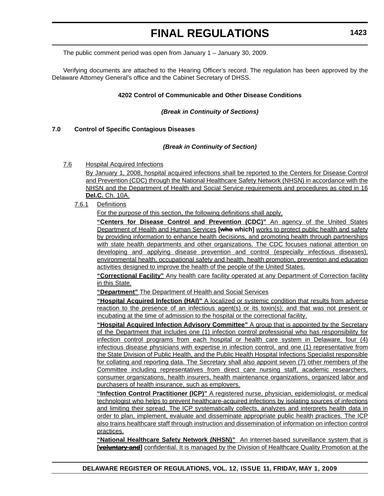The public comment period was open from January 1 – January 30, 2009.

Verifying documents are attached to the Hearing Officer's record. The regulation has been approved by the Delaware Attorney General's office and the Cabinet Secretary of DHSS.

#### **4202 Control of Communicable and Other Disease Conditions**

#### *(Break in Continuity of Sections)*

#### **7.0 Control of Specific Contagious Diseases**

#### *(Break in Continuity of Section)*

7.6 Hospital Acquired Infections

By January 1, 2008, hospital acquired infections shall be reported to the Centers for Disease Control and Prevention (CDC) through the National Healthcare Safety Network (NHSN) in accordance with the NHSN and the Department of Health and Social Service requirements and procedures as cited in 16 **Del.C.** Ch. 10A.

7.6.1 Definitions

For the purpose of this section, the following definitions shall apply.

**"Centers for Disease Control and Prevention (CDC)"** An agency of the United States Department of Health and Human Services **[who which]** works to protect public health and safety by providing information to enhance health decisions, and promoting health through partnerships with state health departments and other organizations. The CDC focuses national attention on developing and applying disease prevention and control (especially infectious diseases), environmental health, occupational safety and health, health promotion, prevention and education activities designed to improve the health of the people of the United States.

**"Correctional Facility"** Any health care facility operated at any Department of Correction facility in this State.

**"Department"** The Department of Health and Social Services

**"Hospital Acquired Infection (HAI)"** A localized or systemic condition that results from adverse reaction to the presence of an infectious agent(s) or its toxin(s); and that was not present or incubating at the time of admission to the hospital or the correctional facility.

**"Hospital Acquired Infection Advisory Committee"** A group that is appointed by the Secretary of the Department that includes one (1) infection control professional who has responsibility for infection control programs from each hospital or health care system in Delaware, four (4) infectious disease physicians with expertise in infection control, and one (1) representative from the State Division of Public Health, and the Public Health Hospital Infections Specialist responsible for collating and reporting data. The Secretary shall also appoint seven (7) other members of the Committee including representatives from direct care nursing staff, academic researchers, consumer organizations, health insurers, health maintenance organizations, organized labor and purchasers of health insurance, such as employers.

**"Infection Control Practitioner (ICP)"** A registered nurse, physician, epidemiologist, or medical technologist who helps to prevent healthcare-acquired infections by isolating sources of infections and limiting their spread. The ICP systematically collects, analyzes and interprets health data in order to plan, implement, evaluate and disseminate appropriate public health practices. The ICP also trains healthcare staff through instruction and dissemination of information on infection control practices.

**"National Healthcare Safety Network (NHSN)"** An internet-based surveillance system that is **[yoluntary and]** confidential. It is managed by the Division of Healthcare Quality Promotion at the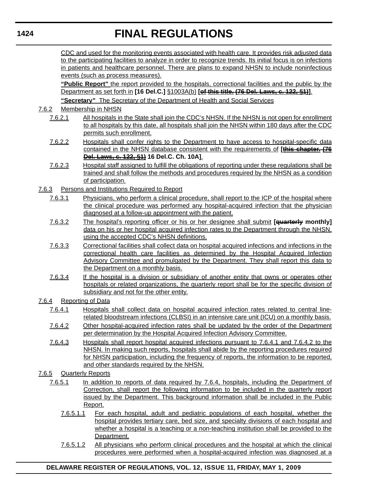# **FINAL REGULATIONS**

CDC and used for the monitoring events associated with health care. It provides risk adjusted data to the participating facilities to analyze in order to recognize trends. Its initial focus is on infections in patients and healthcare personnel. There are plans to expand NHSN to include noninfectious events (such as process measures).

**"Public Report"** the report provided to the hospitals, correctional facilities and the public by the Department as set forth in **[16 Del.C.]** §1003A(b) **[of this title. (76 Del. Laws, c. 122, §1)]**. **"Secretary"** The Secretary of the Department of Health and Social Services

### 7.6.2 Membership in NHSN

- 7.6.2.1 All hospitals in the State shall join the CDC's NHSN. If the NHSN is not open for enrollment to all hospitals by this date, all hospitals shall join the NHSN within 180 days after the CDC permits such enrollment.
- 7.6.2.2 Hospitals shall confer rights to the Department to have access to hospital-specific data contained in the NHSN database consistent with the requirements of **[this chapter. (76 Del. Laws, c. 122, §1) 16 Del.C. Ch. 10A]**.
- 7.6.2.3 Hospital staff assigned to fulfill the obligations of reporting under these regulations shall be trained and shall follow the methods and procedures required by the NHSN as a condition of participation.
- 7.6.3 Persons and Institutions Required to Report
	- 7.6.3.1 Physicians, who perform a clinical procedure, shall report to the ICP of the hospital where the clinical procedure was performed any hospital-acquired infection that the physician diagnosed at a follow-up appointment with the patient.
	- 7.6.3.2 The hospital's reporting officer or his or her designee shall submit **[quarterly monthly]** data on his or her hospital acquired infection rates to the Department through the NHSN, using the accepted CDC's NHSN definitions.
	- 7.6.3.3 Correctional facilities shall collect data on hospital acquired infections and infections in the correctional health care facilities as determined by the Hospital Acquired Infection Advisory Committee and promulgated by the Department. They shall report this data to the Department on a monthly basis.
	- 7.6.3.4 If the hospital is a division or subsidiary of another entity that owns or operates other hospitals or related organizations, the quarterly report shall be for the specific division of subsidiary and not for the other entity.
- 7.6.4 Reporting of Data
	- 7.6.4.1 Hospitals shall collect data on hospital acquired infection rates related to central linerelated bloodstream infections (CLBSI) in an intensive care unit (ICU) on a monthly basis.
	- 7.6.4.2 Other hospital-acquired infection rates shall be updated by the order of the Department per determination by the Hospital Acquired Infection Advisory Committee.
	- 7.6.4.3 Hospitals shall report hospital acquired infections pursuant to 7.6.4.1 and 7.6.4.2 to the NHSN. In making such reports, hospitals shall abide by the reporting procedures required for NHSN participation, including the frequency of reports, the information to be reported, and other standards required by the NHSN.
- 7.6.5 Quarterly Reports
	- 7.6.5.1 In addition to reports of data required by 7.6.4, hospitals, including the Department of Correction, shall report the following information to be included in the quarterly report issued by the Department. This background information shall be included in the Public Report.
		- 7.6.5.1.1 For each hospital, adult and pediatric populations of each hospital, whether the hospital provides tertiary care, bed size, and specialty divisions of each hospital and whether a hospital is a teaching or a non-teaching institution shall be provided to the Department.
		- 7.6.5.1.2 All physicians who perform clinical procedures and the hospital at which the clinical procedures were performed when a hospital-acquired infection was diagnosed at a

### **DELAWARE REGISTER OF REGULATIONS, VOL. 12, ISSUE 11, FRIDAY, MAY 1, 2009**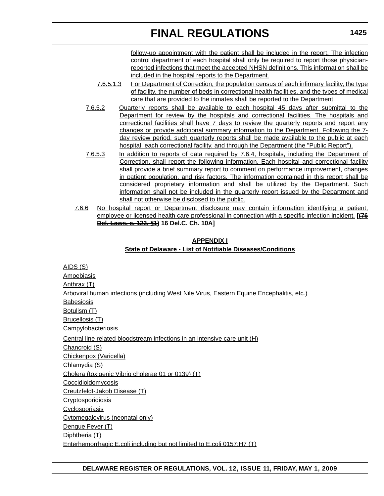follow-up appointment with the patient shall be included in the report. The infection control department of each hospital shall only be required to report those physicianreported infections that meet the accepted NHSN definitions. This information shall be included in the hospital reports to the Department.

- 7.6.5.1.3 For Department of Correction, the population census of each infirmary facility, the type of facility, the number of beds in correctional health facilities, and the types of medical care that are provided to the inmates shall be reported to the Department.
- 7.6.5.2 Quarterly reports shall be available to each hospital 45 days after submittal to the Department for review by the hospitals and correctional facilities. The hospitals and correctional facilities shall have 7 days to review the quarterly reports and report any changes or provide additional summary information to the Department. Following the 7 day review period, such quarterly reports shall be made available to the public at each hospital, each correctional facility, and through the Department (the "Public Report").
- 7.6.5.3 In addition to reports of data required by 7.6.4, hospitals, including the Department of Correction, shall report the following information. Each hospital and correctional facility shall provide a brief summary report to comment on performance improvement, changes in patient population, and risk factors. The information contained in this report shall be considered proprietary information and shall be utilized by the Department. Such information shall not be included in the quarterly report issued by the Department and shall not otherwise be disclosed to the public.
- 7.6.6 No hospital report or Department disclosure may contain information identifying a patient, employee or licensed health care professional in connection with a specific infection incident. **[(76 Del. Laws, c. 122, §1) 16 Del.C. Ch. 10A]**

### **APPENDIX I State of Delaware - List of Notifiable Diseases/Conditions**

AIDS (S) **Amoebiasis** Anthrax (T) Arboviral human infections (including West Nile Virus, Eastern Equine Encephalitis, etc.) **Babesiosis** Botulism (T) Brucellosis (T) **Campylobacteriosis** Central line related bloodstream infections in an intensive care unit (H) Chancroid (S) Chickenpox (Varicella) Chlamydia (S) Cholera (toxigenic Vibrio cholerae 01 or 0139) (T) Coccidioidomycosis Creutzfeldt-Jakob Disease (T) **Cryptosporidiosis Cyclosporiasis** Cytomegalovirus (neonatal only) Dengue Fever (T) Diphtheria (T) Enterhemorrhagic E.coli including but not limited to E.coli 0157:H7 (T)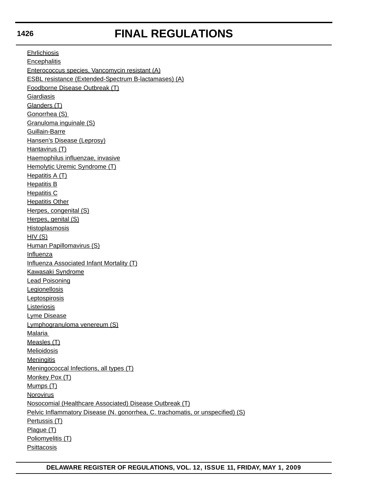# **FINAL REGULATIONS**

Ehrlichiosis **Encephalitis** Enterococcus species, Vancomycin resistant (A) ESBL resistance (Extended-Spectrum B-lactamases) (A) Foodborne Disease Outbreak (T) **Giardiasis** Glanders (T) Gonorrhea (S) Granuloma inguinale (S) Guillain-Barre Hansen's Disease (Leprosy) Hantavirus (T) Haemophilus influenzae, invasive Hemolytic Uremic Syndrome (T) Hepatitis A (T) Hepatitis B **Hepatitis C** Hepatitis Other Herpes, congenital (S) Herpes, genital (S) Histoplasmosis  $HIV(S)$ Human Papillomavirus (S) Influenza Influenza Associated Infant Mortality (T) Kawasaki Syndrome Lead Poisoning **Legionellosis Leptospirosis Listeriosis** Lyme Disease Lymphogranuloma venereum (S) Malaria Measles (T) **Melioidosis Meningitis** Meningococcal Infections, all types (T) Monkey Pox (T) Mumps (T) Norovirus Nosocomial (Healthcare Associated) Disease Outbreak (T) Pelvic Inflammatory Disease (N. gonorrhea, C. trachomatis, or unspecified) (S) Pertussis (T) Plague (T) Poliomyelitis (T) **Psittacosis**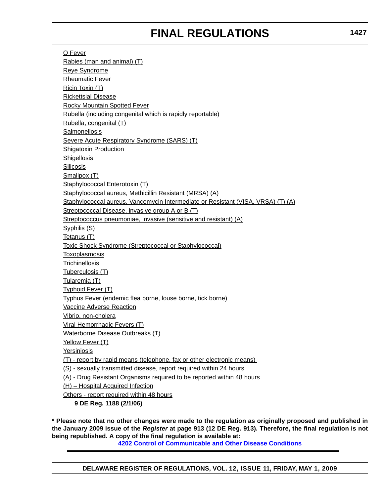Q Fever Rabies (man and animal) (T) Reye Syndrome Rheumatic Fever Ricin Toxin (T) Rickettsial Disease Rocky Mountain Spotted Fever Rubella (including congenital which is rapidly reportable) Rubella, congenital (T) **Salmonellosis** Severe Acute Respiratory Syndrome (SARS) (T) Shigatoxin Production **Shigellosis Silicosis** Smallpox (T) Staphylococcal Enterotoxin (T) Staphylococcal aureus, Methicillin Resistant (MRSA) (A) Staphylococcal aureus, Vancomycin Intermediate or Resistant (VISA, VRSA) (T) (A) Streptococcal Disease, invasive group A or B (T) Streptococcus pneumoniae, invasive (sensitive and resistant) (A) Syphilis (S) Tetanus (T) Toxic Shock Syndrome (Streptococcal or Staphylococcal) **Toxoplasmosis Trichinellosis** Tuberculosis (T) Tularemia (T) Typhoid Fever (T) Typhus Fever (endemic flea borne, louse borne, tick borne) Vaccine Adverse Reaction Vibrio, non-cholera Viral Hemorrhagic Fevers (T) Waterborne Disease Outbreaks (T) Yellow Fever (T) Yersiniosis (T) - report by rapid means (telephone, fax or other electronic means) (S) - sexually transmitted disease, report required within 24 hours (A) - Drug Resistant Organisms required to be reported within 48 hours (H) – Hospital Acquired Infection Others - report required within 48 hours **9 DE Reg. 1188 (2/1/06)**

**\* Please note that no other changes were made to the regulation as originally proposed and published in the January 2009 issue of the** *Register* **at page 913 (12 DE Reg. 913). Therefore, the final regulation is not being republished. A copy of the final regulation is available at:**

**[4202 Control of Communicable and Other Disease Conditions](http://regulations.delaware.gov/register/may2009/final/12 DE Reg 1418 05-01-09.htm)**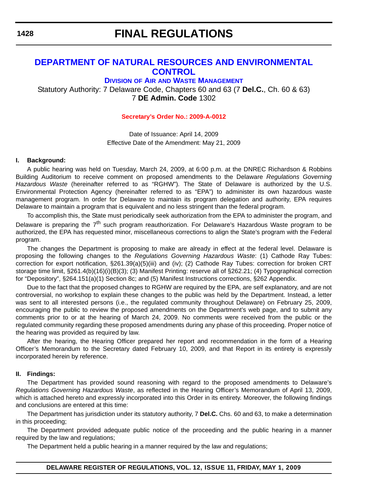## **FINAL REGULATIONS**

### **[DEPARTMENT OF NATURAL RESOURCES AND ENVIRONMENTAL](http://www.awm.delaware.gov/Pages/default.aspx)  CONTROL**

**DIVISION OF AIR AND WASTE MANAGEMENT**

Statutory Authority: 7 Delaware Code, Chapters 60 and 63 (7 **Del.C.**, Ch. 60 & 63) 7 **DE Admin. Code** 1302

#### **[Secretary's Order No.: 2009-A-0012](#page-4-0)**

Date of Issuance: April 14, 2009 Effective Date of the Amendment: May 21, 2009

#### **I. Background:**

A public hearing was held on Tuesday, March 24, 2009, at 6:00 p.m. at the DNREC Richardson & Robbins Building Auditorium to receive comment on proposed amendments to the Delaware *Regulations Governing Hazardous Waste* (hereinafter referred to as "RGHW")*.* The State of Delaware is authorized by the U.S. Environmental Protection Agency (hereinafter referred to as "EPA") to administer its own hazardous waste management program. In order for Delaware to maintain its program delegation and authority, EPA requires Delaware to maintain a program that is equivalent and no less stringent than the federal program.

To accomplish this, the State must periodically seek authorization from the EPA to administer the program, and Delaware is preparing the 7<sup>th</sup> such program reauthorization. For Delaware's Hazardous Waste program to be authorized, the EPA has requested minor, miscellaneous corrections to align the State's program with the Federal program.

The changes the Department is proposing to make are already in effect at the federal level. Delaware is proposing the following changes to the *Regulations Governing Hazardous Waste*: (1) Cathode Ray Tubes: correction for export notification, §261.39(a)(5)(iii) and (iv); (2) Cathode Ray Tubes: correction for broken CRT storage time limit, §261.4(b)(16)(i)(B)(3); (3) Manifest Printing: reserve all of §262.21; (4) Typographical correction for "Depository", §264.151(a)(1) Section 8c; and (5) Manifest Instructions corrections, §262 Appendix.

Due to the fact that the proposed changes to RGHW are required by the EPA, are self explanatory, and are not controversial, no workshop to explain these changes to the public was held by the Department. Instead, a letter was sent to all interested persons (i.e., the regulated community throughout Delaware) on February 25, 2009, encouraging the public to review the proposed amendments on the Department's web page, and to submit any comments prior to or at the hearing of March 24, 2009. No comments were received from the public or the regulated community regarding these proposed amendments during any phase of this proceeding. Proper notice of the hearing was provided as required by law.

After the hearing, the Hearing Officer prepared her report and recommendation in the form of a Hearing Officer's Memorandum to the Secretary dated February 10, 2009, and that Report in its entirety is expressly incorporated herein by reference.

#### **II. Findings:**

The Department has provided sound reasoning with regard to the proposed amendments to Delaware's *Regulations Governing Hazardous Waste*, as reflected in the Hearing Officer's Memorandum of April 13, 2009, which is attached hereto and expressly incorporated into this Order in its entirety. Moreover, the following findings and conclusions are entered at this time:

The Department has jurisdiction under its statutory authority, 7 **Del.C.** Chs. 60 and 63, to make a determination in this proceeding;

The Department provided adequate public notice of the proceeding and the public hearing in a manner required by the law and regulations;

The Department held a public hearing in a manner required by the law and regulations;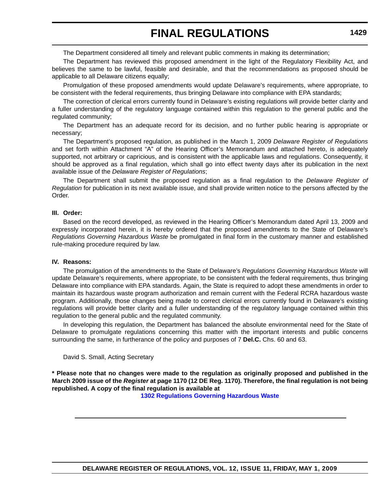The Department considered all timely and relevant public comments in making its determination;

The Department has reviewed this proposed amendment in the light of the Regulatory Flexibility Act, and believes the same to be lawful, feasible and desirable, and that the recommendations as proposed should be applicable to all Delaware citizens equally;

Promulgation of these proposed amendments would update Delaware's requirements, where appropriate, to be consistent with the federal requirements, thus bringing Delaware into compliance with EPA standards;

The correction of clerical errors currently found in Delaware's existing regulations will provide better clarity and a fuller understanding of the regulatory language contained within this regulation to the general public and the regulated community;

The Department has an adequate record for its decision, and no further public hearing is appropriate or necessary;

The Department's proposed regulation, as published in the March 1, 2009 *Delaware Register of Regulations* and set forth within Attachment "A" of the Hearing Officer's Memorandum and attached hereto, is adequately supported, not arbitrary or capricious, and is consistent with the applicable laws and regulations. Consequently, it should be approved as a final regulation, which shall go into effect twenty days after its publication in the next available issue of the *Delaware Register of Regulations*;

The Department shall submit the proposed regulation as a final regulation to the *Delaware Register of Regulation* for publication in its next available issue, and shall provide written notice to the persons affected by the Order.

#### **III. Order:**

Based on the record developed, as reviewed in the Hearing Officer's Memorandum dated April 13, 2009 and expressly incorporated herein, it is hereby ordered that the proposed amendments to the State of Delaware's *Regulations Governing Hazardous Waste* be promulgated in final form in the customary manner and established rule-making procedure required by law.

#### **IV. Reasons:**

The promulgation of the amendments to the State of Delaware's *Regulations Governing Hazardous Waste* will update Delaware's requirements, where appropriate, to be consistent with the federal requirements, thus bringing Delaware into compliance with EPA standards. Again, the State is required to adopt these amendments in order to maintain its hazardous waste program authorization and remain current with the Federal RCRA hazardous waste program. Additionally, those changes being made to correct clerical errors currently found in Delaware's existing regulations will provide better clarity and a fuller understanding of the regulatory language contained within this regulation to the general public and the regulated community.

In developing this regulation, the Department has balanced the absolute environmental need for the State of Delaware to promulgate regulations concerning this matter with the important interests and public concerns surrounding the same, in furtherance of the policy and purposes of 7 **Del.C.** Chs. 60 and 63.

#### David S. Small, Acting Secretary

**\* Please note that no changes were made to the regulation as originally proposed and published in the March 2009 issue of the** *Register* **at page 1170 (12 DE Reg. 1170). Therefore, the final regulation is not being republished. A copy of the final regulation is available at**

**[1302 Regulations Governing Hazardous Waste](http://regulations.delaware.gov/register/may2009/final/12 DE Reg 1428 05-01-09.htm)**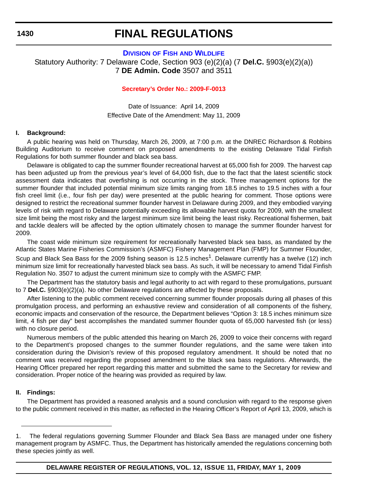## **FINAL REGULATIONS**

### **DIVISION OF FISH [AND WILDLIFE](http://fw.delaware.gov/Pages/FWPortal.aspx)** Statutory Authority: 7 Delaware Code, Section 903 (e)(2)(a) (7 **Del.C.** §903(e)(2)(a)) 7 **DE Admin. Code** 3507 and 3511

#### **[Secretary's Order No.:](#page-4-0) 2009-F-0013**

Date of Issuance: April 14, 2009 Effective Date of the Amendment: May 11, 2009

#### **I. Background:**

A public hearing was held on Thursday, March 26, 2009, at 7:00 p.m. at the DNREC Richardson & Robbins Building Auditorium to receive comment on proposed amendments to the existing Delaware Tidal Finfish Regulations for both summer flounder and black sea bass.

Delaware is obligated to cap the summer flounder recreational harvest at 65,000 fish for 2009. The harvest cap has been adjusted up from the previous year's level of 64,000 fish, due to the fact that the latest scientific stock assessment data indicates that overfishing is not occurring in the stock. Three management options for the summer flounder that included potential minimum size limits ranging from 18.5 inches to 19.5 inches with a four fish creel limit (i.e., four fish per day) were presented at the public hearing for comment. Those options were designed to restrict the recreational summer flounder harvest in Delaware during 2009, and they embodied varying levels of risk with regard to Delaware potentially exceeding its allowable harvest quota for 2009, with the smallest size limit being the most risky and the largest minimum size limit being the least risky. Recreational fishermen, bait and tackle dealers will be affected by the option ultimately chosen to manage the summer flounder harvest for 2009.

The coast wide minimum size requirement for recreationally harvested black sea bass, as mandated by the Atlantic States Marine Fisheries Commission's (ASMFC) Fishery Management Plan (FMP) for Summer Flounder, Scup and Black Sea Bass for the 2009 fishing season is 12.5 inches<sup>1</sup>. Delaware currently has a twelve (12) inch minimum size limit for recreationally harvested black sea bass. As such, it will be necessary to amend Tidal Finfish Regulation No. 3507 to adjust the current minimum size to comply with the ASMFC FMP.

The Department has the statutory basis and legal authority to act with regard to these promulgations, pursuant to 7 **Del.C.** §903(e)(2)(a). No other Delaware regulations are affected by these proposals.

After listening to the public comment received concerning summer flounder proposals during all phases of this promulgation process, and performing an exhaustive review and consideration of all components of the fishery, economic impacts and conservation of the resource, the Department believes "Option 3: 18.5 inches minimum size limit, 4 fish per day" best accomplishes the mandated summer flounder quota of 65,000 harvested fish (or less) with no closure period.

Numerous members of the public attended this hearing on March 26, 2009 to voice their concerns with regard to the Department's proposed changes to the summer flounder regulations, and the same were taken into consideration during the Division's review of this proposed regulatory amendment. It should be noted that no comment was received regarding the proposed amendment to the black sea bass regulations. Afterwards, the Hearing Officer prepared her report regarding this matter and submitted the same to the Secretary for review and consideration. Proper notice of the hearing was provided as required by law.

#### **II. Findings:**

The Department has provided a reasoned analysis and a sound conclusion with regard to the response given to the public comment received in this matter, as reflected in the Hearing Officer's Report of April 13, 2009, which is

<sup>1.</sup> The federal regulations governing Summer Flounder and Black Sea Bass are managed under one fishery management program by ASMFC. Thus, the Department has historically amended the regulations concerning both these species jointly as well.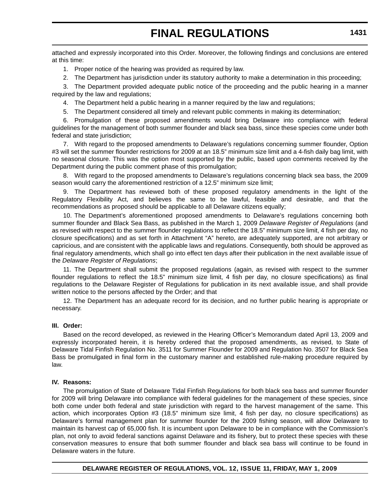attached and expressly incorporated into this Order. Moreover, the following findings and conclusions are entered at this time:

- 1. Proper notice of the hearing was provided as required by law.
- 2. The Department has jurisdiction under its statutory authority to make a determination in this proceeding;

3. The Department provided adequate public notice of the proceeding and the public hearing in a manner required by the law and regulations;

4. The Department held a public hearing in a manner required by the law and regulations;

5. The Department considered all timely and relevant public comments in making its determination;

6. Promulgation of these proposed amendments would bring Delaware into compliance with federal guidelines for the management of both summer flounder and black sea bass, since these species come under both federal and state jurisdiction:

7. With regard to the proposed amendments to Delaware's regulations concerning summer flounder, Option #3 will set the summer flounder restrictions for 2009 at an 18.5" minimum size limit and a 4-fish daily bag limit, with no seasonal closure. This was the option most supported by the public, based upon comments received by the Department during the public comment phase of this promulgation;

8. With regard to the proposed amendments to Delaware's regulations concerning black sea bass, the 2009 season would carry the aforementioned restriction of a 12.5" minimum size limit;

The Department has reviewed both of these proposed regulatory amendments in the light of the Regulatory Flexibility Act, and believes the same to be lawful, feasible and desirable, and that the recommendations as proposed should be applicable to all Delaware citizens equally;

10. The Department's aforementioned proposed amendments to Delaware's regulations concerning both summer flounder and Black Sea Bass, as published in the March 1, 2009 *Delaware Register of Regulations* (and as revised with respect to the summer flounder regulations to reflect the 18.5" minimum size limit, 4 fish per day, no closure specifications) and as set forth in Attachment "A" hereto, are adequately supported, are not arbitrary or capricious, and are consistent with the applicable laws and regulations. Consequently, both should be approved as final regulatory amendments, which shall go into effect ten days after their publication in the next available issue of the *Delaware Register of Regulations*;

11. The Department shall submit the proposed regulations (again, as revised with respect to the summer flounder regulations to reflect the 18.5" minimum size limit, 4 fish per day, no closure specifications) as final regulations to the Delaware Register of Regulations for publication in its next available issue, and shall provide written notice to the persons affected by the Order; and that

12. The Department has an adequate record for its decision, and no further public hearing is appropriate or necessary.

#### **III. Order:**

Based on the record developed, as reviewed in the Hearing Officer's Memorandum dated April 13, 2009 and expressly incorporated herein, it is hereby ordered that the proposed amendments, as revised, to State of Delaware Tidal Finfish Regulation No. 3511 for Summer Flounder for 2009 and Regulation No. 3507 for Black Sea Bass be promulgated in final form in the customary manner and established rule-making procedure required by law.

#### **IV. Reasons:**

The promulgation of State of Delaware Tidal Finfish Regulations for both black sea bass and summer flounder for 2009 will bring Delaware into compliance with federal guidelines for the management of these species, since both come under both federal and state jurisdiction with regard to the harvest management of the same. This action, which incorporates Option #3 (18.5" minimum size limit, 4 fish per day, no closure specifications) as Delaware's formal management plan for summer flounder for the 2009 fishing season, will allow Delaware to maintain its harvest cap of 65,000 fish. It is incumbent upon Delaware to be in compliance with the Commission's plan, not only to avoid federal sanctions against Delaware and its fishery, but to protect these species with these conservation measures to ensure that both summer flounder and black sea bass will continue to be found in Delaware waters in the future.

#### **DELAWARE REGISTER OF REGULATIONS, VOL. 12, ISSUE 11, FRIDAY, MAY 1, 2009**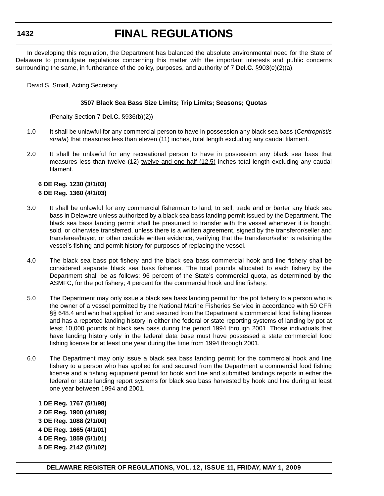## **FINAL REGULATIONS**

In developing this regulation, the Department has balanced the absolute environmental need for the State of Delaware to promulgate regulations concerning this matter with the important interests and public concerns surrounding the same, in furtherance of the policy, purposes, and authority of 7 **Del.C.** §903(e)(2)(a).

David S. Small, Acting Secretary

#### **3507 Black Sea Bass Size Limits; Trip Limits; Seasons; Quotas**

(Penalty Section 7 **Del.C.** §936(b)(2))

- 1.0 It shall be unlawful for any commercial person to have in possession any black sea bass (*Centropristis striata*) that measures less than eleven (11) inches, total length excluding any caudal filament.
- 2.0 It shall be unlawful for any recreational person to have in possession any black sea bass that measures less than twelve (12) twelve and one-half (12.5) inches total length excluding any caudal filament.

#### **6 DE Reg. 1230 (3/1/03) 6 DE Reg. 1360 (4/1/03)**

- 3.0 It shall be unlawful for any commercial fisherman to land, to sell, trade and or barter any black sea bass in Delaware unless authorized by a black sea bass landing permit issued by the Department. The black sea bass landing permit shall be presumed to transfer with the vessel whenever it is bought, sold, or otherwise transferred, unless there is a written agreement, signed by the transferor/seller and transferee/buyer, or other credible written evidence, verifying that the transferor/seller is retaining the vessel's fishing and permit history for purposes of replacing the vessel.
- 4.0 The black sea bass pot fishery and the black sea bass commercial hook and line fishery shall be considered separate black sea bass fisheries. The total pounds allocated to each fishery by the Department shall be as follows: 96 percent of the State's commercial quota, as determined by the ASMFC, for the pot fishery; 4 percent for the commercial hook and line fishery.
- 5.0 The Department may only issue a black sea bass landing permit for the pot fishery to a person who is the owner of a vessel permitted by the National Marine Fisheries Service in accordance with 50 CFR §§ 648.4 and who had applied for and secured from the Department a commercial food fishing license and has a reported landing history in either the federal or state reporting systems of landing by pot at least 10,000 pounds of black sea bass during the period 1994 through 2001. Those individuals that have landing history only in the federal data base must have possessed a state commercial food fishing license for at least one year during the time from 1994 through 2001.
- 6.0 The Department may only issue a black sea bass landing permit for the commercial hook and line fishery to a person who has applied for and secured from the Department a commercial food fishing license and a fishing equipment permit for hook and line and submitted landings reports in either the federal or state landing report systems for black sea bass harvested by hook and line during at least one year between 1994 and 2001.
	- **1 DE Reg. 1767 (5/1/98) 2 DE Reg. 1900 (4/1/99) 3 DE Reg. 1088 (2/1/00) 4 DE Reg. 1665 (4/1/01) 4 DE Reg. 1859 (5/1/01) 5 DE Reg. 2142 (5/1/02)**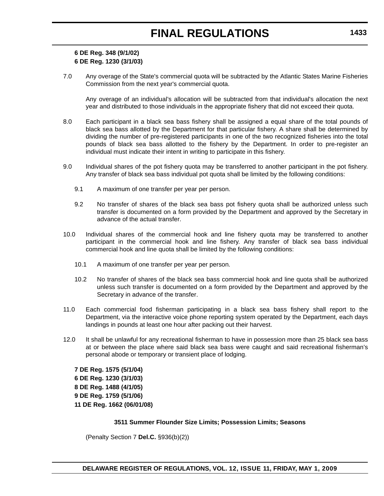### **6 DE Reg. 348 (9/1/02) 6 DE Reg. 1230 (3/1/03)**

7.0 Any overage of the State's commercial quota will be subtracted by the Atlantic States Marine Fisheries Commission from the next year's commercial quota.

Any overage of an individual's allocation will be subtracted from that individual's allocation the next year and distributed to those individuals in the appropriate fishery that did not exceed their quota.

- 8.0 Each participant in a black sea bass fishery shall be assigned a equal share of the total pounds of black sea bass allotted by the Department for that particular fishery. A share shall be determined by dividing the number of pre-registered participants in one of the two recognized fisheries into the total pounds of black sea bass allotted to the fishery by the Department. In order to pre-register an individual must indicate their intent in writing to participate in this fishery.
- 9.0 Individual shares of the pot fishery quota may be transferred to another participant in the pot fishery. Any transfer of black sea bass individual pot quota shall be limited by the following conditions:
	- 9.1 A maximum of one transfer per year per person.
	- 9.2 No transfer of shares of the black sea bass pot fishery quota shall be authorized unless such transfer is documented on a form provided by the Department and approved by the Secretary in advance of the actual transfer.
- 10.0 Individual shares of the commercial hook and line fishery quota may be transferred to another participant in the commercial hook and line fishery. Any transfer of black sea bass individual commercial hook and line quota shall be limited by the following conditions:
	- 10.1 A maximum of one transfer per year per person.
	- 10.2 No transfer of shares of the black sea bass commercial hook and line quota shall be authorized unless such transfer is documented on a form provided by the Department and approved by the Secretary in advance of the transfer.
- 11.0 Each commercial food fisherman participating in a black sea bass fishery shall report to the Department, via the interactive voice phone reporting system operated by the Department, each days landings in pounds at least one hour after packing out their harvest.
- 12.0 It shall be unlawful for any recreational fisherman to have in possession more than 25 black sea bass at or between the place where said black sea bass were caught and said recreational fisherman's personal abode or temporary or transient place of lodging.

**7 DE Reg. 1575 (5/1/04) 6 DE Reg. 1230 (3/1/03) 8 DE Reg. 1488 (4/1/05) 9 DE Reg. 1759 (5/1/06) 11 DE Reg. 1662 (06/01/08)**

#### **3511 Summer Flounder Size Limits; Possession Limits; Seasons**

(Penalty Section 7 **Del.C.** §936(b)(2))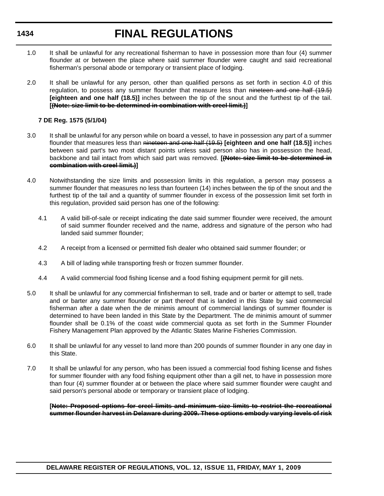# **FINAL REGULATIONS**

- 1.0 It shall be unlawful for any recreational fisherman to have in possession more than four (4) summer flounder at or between the place where said summer flounder were caught and said recreational fisherman's personal abode or temporary or transient place of lodging.
- 2.0 It shall be unlawful for any person, other than qualified persons as set forth in section 4.0 of this regulation, to possess any summer flounder that measure less than nineteen and one half (19.5) **[eighteen and one half (18.5)]** inches between the tip of the snout and the furthest tip of the tail. **[(Note: size limit to be determined in combination with creel limit.)]**

#### **7 DE Reg. 1575 (5/1/04)**

- 3.0 It shall be unlawful for any person while on board a vessel, to have in possession any part of a summer flounder that measures less than nineteen and one half (19.5) **[eighteen and one half (18.5)]** inches between said part's two most distant points unless said person also has in possession the head, backbone and tail intact from which said part was removed. **[(Note: size limit to be determined in combination with creel limit.)]**
- 4.0 Notwithstanding the size limits and possession limits in this regulation, a person may possess a summer flounder that measures no less than fourteen (14) inches between the tip of the snout and the furthest tip of the tail and a quantity of summer flounder in excess of the possession limit set forth in this regulation, provided said person has one of the following:
	- 4.1 A valid bill-of-sale or receipt indicating the date said summer flounder were received, the amount of said summer flounder received and the name, address and signature of the person who had landed said summer flounder;
	- 4.2 A receipt from a licensed or permitted fish dealer who obtained said summer flounder; or
	- 4.3 A bill of lading while transporting fresh or frozen summer flounder.
	- 4.4 A valid commercial food fishing license and a food fishing equipment permit for gill nets.
- 5.0 It shall be unlawful for any commercial finfisherman to sell, trade and or barter or attempt to sell, trade and or barter any summer flounder or part thereof that is landed in this State by said commercial fisherman after a date when the de minimis amount of commercial landings of summer flounder is determined to have been landed in this State by the Department. The de minimis amount of summer flounder shall be 0.1% of the coast wide commercial quota as set forth in the Summer Flounder Fishery Management Plan approved by the Atlantic States Marine Fisheries Commission.
- 6.0 It shall be unlawful for any vessel to land more than 200 pounds of summer flounder in any one day in this State.
- 7.0 It shall be unlawful for any person, who has been issued a commercial food fishing license and fishes for summer flounder with any food fishing equipment other than a gill net, to have in possession more than four (4) summer flounder at or between the place where said summer flounder were caught and said person's personal abode or temporary or transient place of lodging.

**[Note: Proposed options for creel limits and minimum size limits to restrict the recreational summer flounder harvest in Delaware during 2009. These options embody varying levels of risk**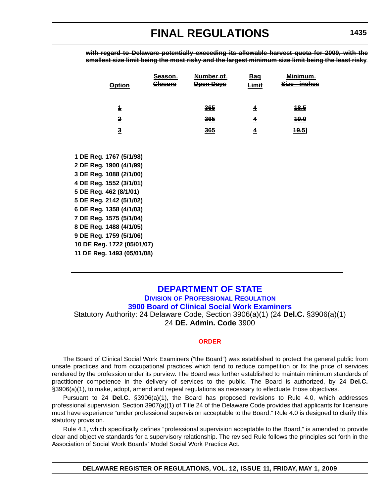**with regard to Delaware potentially exceeding its allowable harvest quota for 2009, with the smallest size limit being the most risky and the largest minimum size limit being the least risky**.

| <del>Option</del>       | <u>Season</u><br><del>Closure</del> | <del>Number of</del><br><u> Əpen Davs</u> | Bae<br><del>Limit</del> | Minimum<br>,,,,,,,,,,,,,,,,<br>محنع<br><del>- inches</del><br>ாச |
|-------------------------|-------------------------------------|-------------------------------------------|-------------------------|------------------------------------------------------------------|
|                         |                                     |                                           |                         |                                                                  |
| $\overline{\mathbf{1}}$ |                                     | 365                                       | 4                       | <u> 18.5</u>                                                     |
| $\overline{2}$          |                                     | 365                                       | 4                       | <u> 19.0</u>                                                     |
| $\overline{\mathbf{3}}$ |                                     | 365                                       | 4                       | 19.5                                                             |
|                         |                                     |                                           |                         |                                                                  |
| 1 DE Reg. 1767 (5/1/98) |                                     |                                           |                         |                                                                  |
| 2 DE Reg. 1900 (4/1/99) |                                     |                                           |                         |                                                                  |
| 3 DE Reg. 1088 (2/1/00) |                                     |                                           |                         |                                                                  |
| 4 DE Reg. 1552 (3/1/01) |                                     |                                           |                         |                                                                  |
| 5 DE Reg. 462 (8/1/01)  |                                     |                                           |                         |                                                                  |
| 5 DE Rea. 2142 (5/1/02) |                                     |                                           |                         |                                                                  |

**5 DE Reg. 462 (8/1/01) 5 DE Reg 6 DE Reg. 1358 (4/1/03) 7 DE Reg. 1575 (5/1/04) 8 DE Reg. 1488 (4/1/05) 9 DE Reg. 1759 (5/1/06) 10 DE Reg. 1722 (05/01/07) 11 DE Reg. 1493 (05/01/08)**

### **DEPARTMENT OF STATE**

**DIVISION OF PROFESSIONAL REGULATION [3900 Board of Clinical Social Work Examiners](http://dpr.delaware.gov/boards/socialworkers/index.shtml)** Statutory Authority: 24 Delaware Code, Section 3906(a)(1) (24 **Del.C.** §3906(a)(1) 24 **DE. Admin. Code** 3900

#### **[ORDER](#page-4-0)**

The Board of Clinical Social Work Examiners ("the Board") was established to protect the general public from unsafe practices and from occupational practices which tend to reduce competition or fix the price of services rendered by the profession under its purview. The Board was further established to maintain minimum standards of practitioner competence in the delivery of services to the public. The Board is authorized, by 24 **Del.C.** §3906(a)(1), to make, adopt, amend and repeal regulations as necessary to effectuate those objectives.

Pursuant to 24 **Del.C.** §3906(a)(1), the Board has proposed revisions to Rule 4.0, which addresses professional supervision. Section 3907(a)(1) of Title 24 of the Delaware Code provides that applicants for licensure must have experience "under professional supervision acceptable to the Board." Rule 4.0 is designed to clarify this statutory provision.

Rule 4.1, which specifically defines "professional supervision acceptable to the Board," is amended to provide clear and objective standards for a supervisory relationship. The revised Rule follows the principles set forth in the Association of Social Work Boards' Model Social Work Practice Act.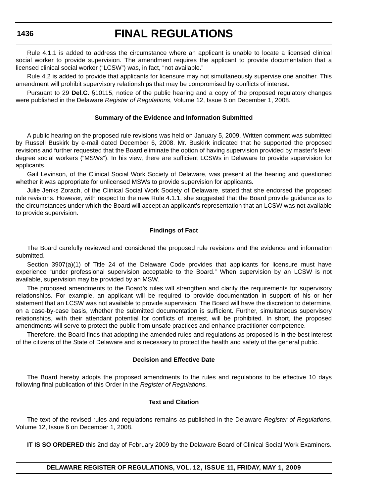## **FINAL REGULATIONS**

Rule 4.1.1 is added to address the circumstance where an applicant is unable to locate a licensed clinical social worker to provide supervision. The amendment requires the applicant to provide documentation that a licensed clinical social worker ("LCSW") was, in fact, "not available."

Rule 4.2 is added to provide that applicants for licensure may not simultaneously supervise one another. This amendment will prohibit supervisory relationships that may be compromised by conflicts of interest.

Pursuant to 29 **Del.C.** §10115, notice of the public hearing and a copy of the proposed regulatory changes were published in the Delaware *Register of Regulations*, Volume 12, Issue 6 on December 1, 2008.

#### **Summary of the Evidence and Information Submitted**

A public hearing on the proposed rule revisions was held on January 5, 2009. Written comment was submitted by Russell Buskirk by e-mail dated December 6, 2008. Mr. Buskirk indicated that he supported the proposed revisions and further requested that the Board eliminate the option of having supervision provided by master's level degree social workers ("MSWs"). In his view, there are sufficient LCSWs in Delaware to provide supervision for applicants.

Gail Levinson, of the Clinical Social Work Society of Delaware, was present at the hearing and questioned whether it was appropriate for unlicensed MSWs to provide supervision for applicants.

Julie Jenks Zorach, of the Clinical Social Work Society of Delaware, stated that she endorsed the proposed rule revisions. However, with respect to the new Rule 4.1.1, she suggested that the Board provide guidance as to the circumstances under which the Board will accept an applicant's representation that an LCSW was not available to provide supervision.

#### **Findings of Fact**

The Board carefully reviewed and considered the proposed rule revisions and the evidence and information submitted.

Section 3907(a)(1) of Title 24 of the Delaware Code provides that applicants for licensure must have experience "under professional supervision acceptable to the Board." When supervision by an LCSW is not available, supervision may be provided by an MSW.

The proposed amendments to the Board's rules will strengthen and clarify the requirements for supervisory relationships. For example, an applicant will be required to provide documentation in support of his or her statement that an LCSW was not available to provide supervision. The Board will have the discretion to determine, on a case-by-case basis, whether the submitted documentation is sufficient. Further, simultaneous supervisory relationships, with their attendant potential for conflicts of interest, will be prohibited. In short, the proposed amendments will serve to protect the public from unsafe practices and enhance practitioner competence.

Therefore, the Board finds that adopting the amended rules and regulations as proposed is in the best interest of the citizens of the State of Delaware and is necessary to protect the health and safety of the general public.

#### **Decision and Effective Date**

The Board hereby adopts the proposed amendments to the rules and regulations to be effective 10 days following final publication of this Order in the *Register of Regulations*.

#### **Text and Citation**

The text of the revised rules and regulations remains as published in the Delaware *Register of Regulations*, Volume 12, Issue 6 on December 1, 2008.

**IT IS SO ORDERED** this 2nd day of February 2009 by the Delaware Board of Clinical Social Work Examiners.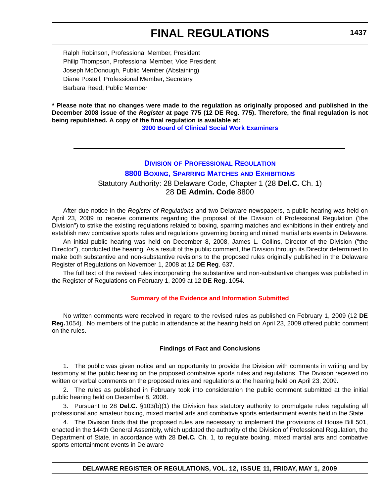Ralph Robinson, Professional Member, President Philip Thompson, Professional Member, Vice President Joseph McDonough, Public Member (Abstaining) Diane Postell, Professional Member, Secretary Barbara Reed, Public Member

**\* Please note that no changes were made to the regulation as originally proposed and published in the December 2008 issue of the** *Register* **at page 775 (12 DE Reg. 775). Therefore, the final regulation is not being republished. A copy of the final regulation is available at:**

**[3900 Board of Clinical Social Work Examiners](http://regulations.delaware.gov/register/may2009/final/12 DE Reg 1435 05-01-09.htm)**

### **DIVISION OF PROFESSIONAL REGULATION [8800 BOXING, SPARRING MATCHES](http://dpr.delaware.gov/boards/boxing/index.shtml) AND EXHIBITIONS** Statutory Authority: 28 Delaware Code, Chapter 1 (28 **Del.C.** Ch. 1) 28 **DE Admin. Code** 8800

After due notice in the *Register of Regulations* and two Delaware newspapers, a public hearing was held on April 23, 2009 to receive comments regarding the proposal of the Division of Professional Regulation ('the Division") to strike the existing regulations related to boxing, sparring matches and exhibitions in their entirety and establish new combative sports rules and regulations governing boxing and mixed martial arts events in Delaware.

An initial public hearing was held on December 8, 2008, James L. Collins, Director of the Division ("the Director"), conducted the hearing. As a result of the public comment, the Division through its Director determined to make both substantive and non-substantive revisions to the proposed rules originally published in the Delaware Register of Regulations on November 1, 2008 at 12 **DE Reg**. 637.

The full text of the revised rules incorporating the substantive and non-substantive changes was published in the Register of Regulations on February 1, 2009 at 12 **DE Reg.** 1054.

#### **[Summary of the Evidence and Information Submitted](#page-4-0)**

No written comments were received in regard to the revised rules as published on February 1, 2009 (12 **DE Reg.**1054). No members of the public in attendance at the hearing held on April 23, 2009 offered public comment on the rules.

#### **Findings of Fact and Conclusions**

1. The public was given notice and an opportunity to provide the Division with comments in writing and by testimony at the public hearing on the proposed combative sports rules and regulations. The Division received no written or verbal comments on the proposed rules and regulations at the hearing held on April 23, 2009.

2. The rules as published in February took into consideration the public comment submitted at the initial public hearing held on December 8, 2008.

3. Pursuant to 28 **Del.C.** §103(b)(1) the Division has statutory authority to promulgate rules regulating all professional and amateur boxing, mixed martial arts and combative sports entertainment events held in the State.

4. The Division finds that the proposed rules are necessary to implement the provisions of House Bill 501, enacted in the 144th General Assembly, which updated the authority of the Division of Professional Regulation, the Department of State, in accordance with 28 **Del.C.** Ch. 1, to regulate boxing, mixed martial arts and combative sports entertainment events in Delaware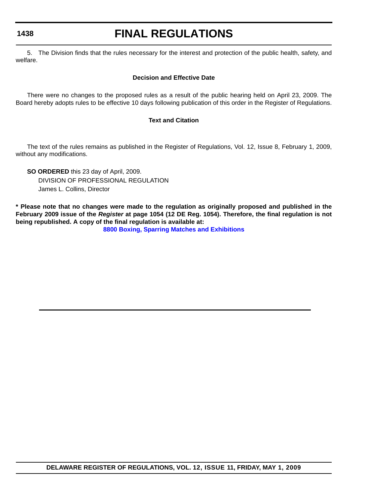## **FINAL REGULATIONS**

5. The Division finds that the rules necessary for the interest and protection of the public health, safety, and welfare.

#### **Decision and Effective Date**

There were no changes to the proposed rules as a result of the public hearing held on April 23, 2009. The Board hereby adopts rules to be effective 10 days following publication of this order in the Register of Regulations.

#### **Text and Citation**

The text of the rules remains as published in the Register of Regulations, Vol. 12, Issue 8, February 1, 2009, without any modifications.

**SO ORDERED** this 23 day of April, 2009. DIVISION OF PROFESSIONAL REGULATION James L. Collins, Director

**\* Please note that no changes were made to the regulation as originally proposed and published in the February 2009 issue of the** *Register* **at page 1054 (12 DE Reg. 1054). Therefore, the final regulation is not being republished. A copy of the final regulation is available at:**

**[8800 Boxing, Sparring Matches and Exhibitions](http://regulations.delaware.gov/register/may2009/final/12 DE Reg 1437 05-01-09.htm)**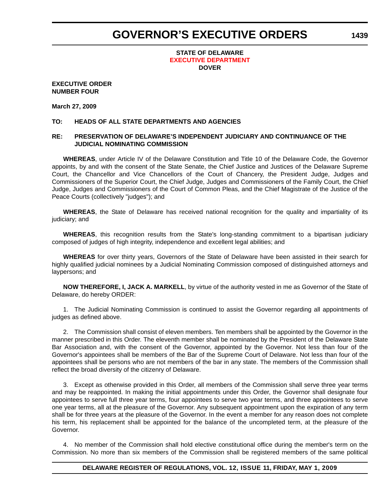#### **STATE OF DELAWARE [EXECUTIVE DEPARTMENT](#page-4-0) DOVER**

#### **EXECUTIVE ORDER NUMBER FOUR**

#### **March 27, 2009**

#### **TO: HEADS OF ALL STATE DEPARTMENTS AND AGENCIES**

#### **RE: PRESERVATION OF DELAWARE'S INDEPENDENT JUDICIARY AND CONTINUANCE OF THE JUDICIAL NOMINATING COMMISSION**

**WHEREAS**, under Article IV of the Delaware Constitution and Title 10 of the Delaware Code, the Governor appoints, by and with the consent of the State Senate, the Chief Justice and Justices of the Delaware Supreme Court, the Chancellor and Vice Chancellors of the Court of Chancery, the President Judge, Judges and Commissioners of the Superior Court, the Chief Judge, Judges and Commissioners of the Family Court, the Chief Judge, Judges and Commissioners of the Court of Common Pleas, and the Chief Magistrate of the Justice of the Peace Courts (collectively "judges"); and

**WHEREAS**, the State of Delaware has received national recognition for the quality and impartiality of its judiciary; and

**WHEREAS**, this recognition results from the State's long-standing commitment to a bipartisan judiciary composed of judges of high integrity, independence and excellent legal abilities; and

**WHEREAS** for over thirty years, Governors of the State of Delaware have been assisted in their search for highly qualified judicial nominees by a Judicial Nominating Commission composed of distinguished attorneys and laypersons; and

**NOW THEREFORE, I, JACK A. MARKELL**, by virtue of the authority vested in me as Governor of the State of Delaware, do hereby ORDER:

1. The Judicial Nominating Commission is continued to assist the Governor regarding all appointments of judges as defined above.

2. The Commission shall consist of eleven members. Ten members shall be appointed by the Governor in the manner prescribed in this Order. The eleventh member shall be nominated by the President of the Delaware State Bar Association and, with the consent of the Governor, appointed by the Governor. Not less than four of the Governor's appointees shall be members of the Bar of the Supreme Court of Delaware. Not less than four of the appointees shall be persons who are not members of the bar in any state. The members of the Commission shall reflect the broad diversity of the citizenry of Delaware.

3. Except as otherwise provided in this Order, all members of the Commission shall serve three year terms and may be reappointed. In making the initial appointments under this Order, the Governor shall designate four appointees to serve full three year terms, four appointees to serve two year terms, and three appointees to serve one year terms, all at the pleasure of the Governor. Any subsequent appointment upon the expiration of any term shall be for three years at the pleasure of the Governor. In the event a member for any reason does not complete his term, his replacement shall be appointed for the balance of the uncompleted term, at the pleasure of the Governor.

4. No member of the Commission shall hold elective constitutional office during the member's term on the Commission. No more than six members of the Commission shall be registered members of the same political

#### **DELAWARE REGISTER OF REGULATIONS, VOL. 12, ISSUE 11, FRIDAY, MAY 1, 2009**

**1439**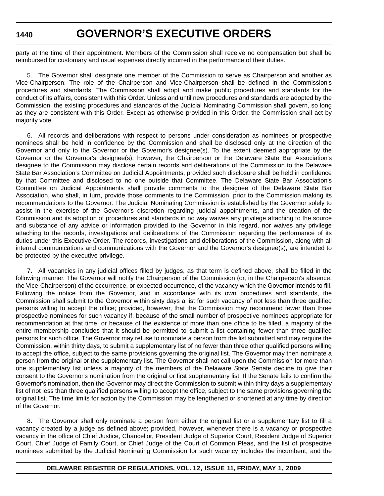party at the time of their appointment. Members of the Commission shall receive no compensation but shall be reimbursed for customary and usual expenses directly incurred in the performance of their duties.

5. The Governor shall designate one member of the Commission to serve as Chairperson and another as Vice-Chairperson. The role of the Chairperson and Vice-Chairperson shall be defined in the Commission's procedures and standards. The Commission shall adopt and make public procedures and standards for the conduct of its affairs, consistent with this Order. Unless and until new procedures and standards are adopted by the Commission, the existing procedures and standards of the Judicial Nominating Commission shall govern, so long as they are consistent with this Order. Except as otherwise provided in this Order, the Commission shall act by majority vote.

6. All records and deliberations with respect to persons under consideration as nominees or prospective nominees shall be held in confidence by the Commission and shall be disclosed only at the direction of the Governor and only to the Governor or the Governor's designee(s). To the extent deemed appropriate by the Governor or the Governor's designee(s), however, the Chairperson or the Delaware State Bar Association's designee to the Commission may disclose certain records and deliberations of the Commission to the Delaware State Bar Association's Committee on Judicial Appointments, provided such disclosure shall be held in confidence by that Committee and disclosed to no one outside that Committee. The Delaware State Bar Association's Committee on Judicial Appointments shall provide comments to the designee of the Delaware State Bar Association, who shall, in turn, provide those comments to the Commission, prior to the Commission making its recommendations to the Governor. The Judicial Nominating Commission is established by the Governor solely to assist in the exercise of the Governor's discretion regarding judicial appointments, and the creation of the Commission and its adoption of procedures and standards in no way waives any privilege attaching to the source and substance of any advice or information provided to the Governor in this regard, nor waives any privilege attaching to the records, investigations and deliberations of the Commission regarding the performance of its duties under this Executive Order. The records, investigations and deliberations of the Commission, along with all internal communications and communications with the Governor and the Governor's designee(s), are intended to be protected by the executive privilege.

7. All vacancies in any judicial offices filled by judges, as that term is defined above, shall be filled in the following manner. The Governor will notify the Chairperson of the Commission (or, in the Chairperson's absence, the Vice-Chairperson) of the occurrence, or expected occurrence, of the vacancy which the Governor intends to fill. Following the notice from the Governor, and in accordance with its own procedures and standards, the Commission shall submit to the Governor within sixty days a list for such vacancy of not less than three qualified persons willing to accept the office; provided, however, that the Commission may recommend fewer than three prospective nominees for such vacancy if, because of the small number of prospective nominees appropriate for recommendation at that time, or because of the existence of more than one office to be filled, a majority of the entire membership concludes that it should be permitted to submit a list containing fewer than three qualified persons for such office. The Governor may refuse to nominate a person from the list submitted and may require the Commission, within thirty days, to submit a supplementary list of no fewer than three other qualified persons willing to accept the office, subject to the same provisions governing the original list. The Governor may then nominate a person from the original or the supplementary list. The Governor shall not call upon the Commission for more than one supplementary list unless a majority of the members of the Delaware State Senate decline to give their consent to the Governor's nomination from the original or first supplementary list. If the Senate fails to confirm the Governor's nomination, then the Governor may direct the Commission to submit within thirty days a supplementary list of not less than three qualified persons willing to accept the office, subject to the same provisions governing the original list. The time limits for action by the Commission may be lengthened or shortened at any time by direction of the Governor.

8. The Governor shall only nominate a person from either the original list or a supplementary list to fill a vacancy created by a judge as defined above; provided, however, whenever there is a vacancy or prospective vacancy in the office of Chief Justice, Chancellor, President Judge of Superior Court, Resident Judge of Superior Court, Chief Judge of Family Court, or Chief Judge of the Court of Common Pleas, and the list of prospective nominees submitted by the Judicial Nominating Commission for such vacancy includes the incumbent, and the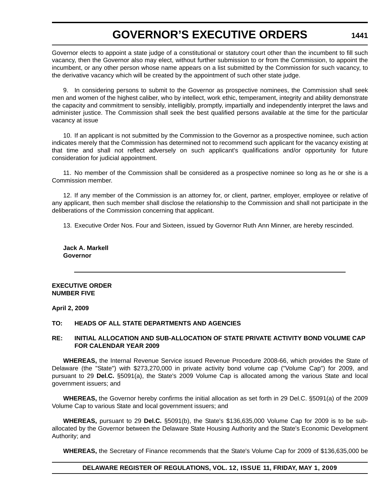Governor elects to appoint a state judge of a constitutional or statutory court other than the incumbent to fill such vacancy, then the Governor also may elect, without further submission to or from the Commission, to appoint the incumbent, or any other person whose name appears on a list submitted by the Commission for such vacancy, to the derivative vacancy which will be created by the appointment of such other state judge.

9. In considering persons to submit to the Governor as prospective nominees, the Commission shall seek men and women of the highest caliber, who by intellect, work ethic, temperament, integrity and ability demonstrate the capacity and commitment to sensibly, intelligibly, promptly, impartially and independently interpret the laws and administer justice. The Commission shall seek the best qualified persons available at the time for the particular vacancy at issue

10. If an applicant is not submitted by the Commission to the Governor as a prospective nominee, such action indicates merely that the Commission has determined not to recommend such applicant for the vacancy existing at that time and shall not reflect adversely on such applicant's qualifications and/or opportunity for future consideration for judicial appointment.

11. No member of the Commission shall be considered as a prospective nominee so long as he or she is a Commission member.

12. If any member of the Commission is an attorney for, or client, partner, employer, employee or relative of any applicant, then such member shall disclose the relationship to the Commission and shall not participate in the deliberations of the Commission concerning that applicant.

13. Executive Order Nos. Four and Sixteen, issued by Governor Ruth Ann Minner, are hereby rescinded.

**Jack A. Markell Governor**

#### **EXECUTIVE ORDER NUMBER FIVE**

#### **April 2, 2009**

#### **TO: HEADS OF ALL STATE DEPARTMENTS AND AGENCIES**

#### **RE: INITIAL ALLOCATION AND SUB-ALLOCATION OF STATE PRIVATE ACTIVITY BOND VOLUME CAP FOR CALENDAR YEAR 2009**

**WHEREAS,** the Internal Revenue Service issued Revenue Procedure 2008-66, which provides the State of Delaware (the "State") with \$273,270,000 in private activity bond volume cap ("Volume Cap") for 2009, and pursuant to 29 **Del.C.** §5091(a), the State's 2009 Volume Cap is allocated among the various State and local government issuers; and

**WHEREAS,** the Governor hereby confirms the initial allocation as set forth in 29 Del.C. §5091(a) of the 2009 Volume Cap to various State and local government issuers; and

**WHEREAS,** pursuant to 29 **Del.C.** §5091(b), the State's \$136,635,000 Volume Cap for 2009 is to be suballocated by the Governor between the Delaware State Housing Authority and the State's Economic Development Authority; and

**WHEREAS,** the Secretary of Finance recommends that the State's Volume Cap for 2009 of \$136,635,000 be

#### **DELAWARE REGISTER OF REGULATIONS, VOL. 12, ISSUE 11, FRIDAY, MAY 1, 2009**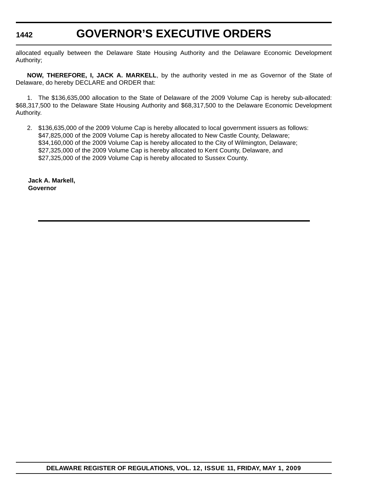allocated equally between the Delaware State Housing Authority and the Delaware Economic Development Authority;

**NOW, THEREFORE, I, JACK A. MARKELL**, by the authority vested in me as Governor of the State of Delaware, do hereby DECLARE and ORDER that:

1. The \$136,635,000 allocation to the State of Delaware of the 2009 Volume Cap is hereby sub-allocated: \$68,317,500 to the Delaware State Housing Authority and \$68,317,500 to the Delaware Economic Development Authority.

2. \$136,635,000 of the 2009 Volume Cap is hereby allocated to local government issuers as follows: \$47,825,000 of the 2009 Volume Cap is hereby allocated to New Castle County, Delaware; \$34,160,000 of the 2009 Volume Cap is hereby allocated to the City of Wilmington, Delaware; \$27,325,000 of the 2009 Volume Cap is hereby allocated to Kent County, Delaware, and \$27,325,000 of the 2009 Volume Cap is hereby allocated to Sussex County.

**Jack A. Markell, Governor**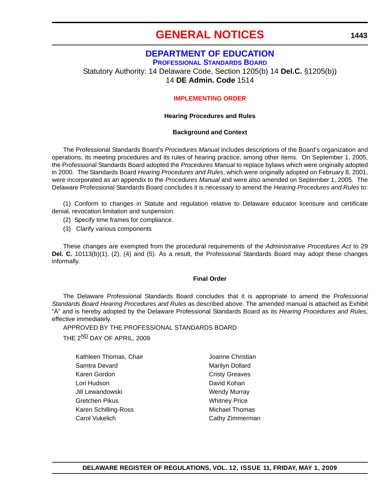## **[GENERAL NOTICES](#page-4-0)**

### **[DEPARTMENT OF EDUCATION](http://www.doe.k12.de.us/)**

**PROFESSIONAL STANDARDS BOARD** Statutory Authority: 14 Delaware Code, Section 1205(b) 14 **Del.C.** §1205(b)) 14 **DE Admin. Code** 1514

#### **[IMPLEMENTING ORDER](#page-4-0)**

#### **Hearing Procedures and Rules**

#### **Background and Context**

The Professional Standards Board's *Procedures Manual* includes descriptions of the Board's organization and operations, its meeting procedures and its rules of hearing practice, among other items. On September 1, 2005, the Professional Standards Board adopted the *Procedures Manual* to replace bylaws which were originally adopted in 2000. The Standards Board *Hearing Procedures and Rules*, which were originally adopted on February 8, 2001, were incorporated as an appendix to the *Procedures Manual* and were also amended on September 1, 2005. The Delaware Professional Standards Board concludes it is necessary to amend the *Hearing Procedures and Rules* to:

(1) Conform to changes in Statute and regulation relative to Delaware educator licensure and certificate denial, revocation limitation and suspension.

- (2) Specify time frames for compliance.
- (3) Clarify various components

These changes are exempted from the procedural requirements of the *Administrative Procedures Act* to 29 **Del. C.** 10113(b)(1), (2), (4) and (5). As a result, the Professional Standards Board may adopt these changes informally.

#### **Final Order**

The Delaware Professional Standards Board concludes that it is appropriate to amend the *Professional Standards Board Hearing Procedures and Rules* as described above. The amended manual is attached as Exhibit "A" and is hereby adopted by the Delaware Professional Standards Board as its *Hearing Procedures and Rules*, effective immediately.

APPROVED BY THE PROFESSIONAL STANDARDS BOARD

THE 2<sup>ND</sup> DAY OF APRIL, 2009

| Joanne Christian      |  |
|-----------------------|--|
| Marilyn Dollard       |  |
| <b>Cristy Greaves</b> |  |
| David Kohan           |  |
| <b>Wendy Murray</b>   |  |
| <b>Whitney Price</b>  |  |
| <b>Michael Thomas</b> |  |
| Cathy Zimmerman       |  |
|                       |  |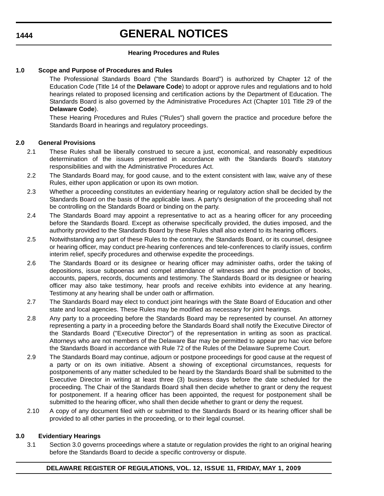## **GENERAL NOTICES**

#### **Hearing Procedures and Rules**

#### **1.0 Scope and Purpose of Procedures and Rules**

The Professional Standards Board ("the Standards Board") is authorized by Chapter 12 of the Education Code (Title 14 of the **Delaware Code**) to adopt or approve rules and regulations and to hold hearings related to proposed licensing and certification actions by the Department of Education. The Standards Board is also governed by the Administrative Procedures Act (Chapter 101 Title 29 of the **Delaware Code**).

These Hearing Procedures and Rules ("Rules") shall govern the practice and procedure before the Standards Board in hearings and regulatory proceedings.

#### **2.0 General Provisions**

- 2.1 These Rules shall be liberally construed to secure a just, economical, and reasonably expeditious determination of the issues presented in accordance with the Standards Board's statutory responsibilities and with the Administrative Procedures Act.
- 2.2 The Standards Board may, for good cause, and to the extent consistent with law, waive any of these Rules, either upon application or upon its own motion.
- 2.3 Whether a proceeding constitutes an evidentiary hearing or regulatory action shall be decided by the Standards Board on the basis of the applicable laws. A party's designation of the proceeding shall not be controlling on the Standards Board or binding on the party.
- 2.4 The Standards Board may appoint a representative to act as a hearing officer for any proceeding before the Standards Board. Except as otherwise specifically provided, the duties imposed, and the authority provided to the Standards Board by these Rules shall also extend to its hearing officers.
- 2.5 Notwithstanding any part of these Rules to the contrary, the Standards Board, or its counsel, designee or hearing officer, may conduct pre-hearing conferences and tele-conferences to clarify issues, confirm interim relief, specify procedures and otherwise expedite the proceedings.
- 2.6 The Standards Board or its designee or hearing officer may administer oaths, order the taking of depositions, issue subpoenas and compel attendance of witnesses and the production of books, accounts, papers, records, documents and testimony. The Standards Board or its designee or hearing officer may also take testimony, hear proofs and receive exhibits into evidence at any hearing. Testimony at any hearing shall be under oath or affirmation.
- 2.7 The Standards Board may elect to conduct joint hearings with the State Board of Education and other state and local agencies. These Rules may be modified as necessary for joint hearings.
- 2.8 Any party to a proceeding before the Standards Board may be represented by counsel. An attorney representing a party in a proceeding before the Standards Board shall notify the Executive Director of the Standards Board ("Executive Director") of the representation in writing as soon as practical. Attorneys who are not members of the Delaware Bar may be permitted to appear pro hac vice before the Standards Board in accordance with Rule 72 of the Rules of the Delaware Supreme Court.
- 2.9 The Standards Board may continue, adjourn or postpone proceedings for good cause at the request of a party or on its own initiative. Absent a showing of exceptional circumstances, requests for postponements of any matter scheduled to be heard by the Standards Board shall be submitted to the Executive Director in writing at least three (3) business days before the date scheduled for the proceeding. The Chair of the Standards Board shall then decide whether to grant or deny the request for postponement. If a hearing officer has been appointed, the request for postponement shall be submitted to the hearing officer, who shall then decide whether to grant or deny the request.
- 2.10 A copy of any document filed with or submitted to the Standards Board or its hearing officer shall be provided to all other parties in the proceeding, or to their legal counsel.

#### **3.0 Evidentiary Hearings**

3.1 Section 3.0 governs proceedings where a statute or regulation provides the right to an original hearing before the Standards Board to decide a specific controversy or dispute.

#### **1444**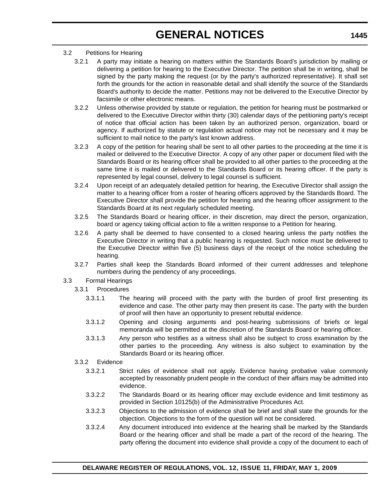#### 3.2 Petitions for Hearing

- 3.2.1 A party may initiate a hearing on matters within the Standards Board's jurisdiction by mailing or delivering a petition for hearing to the Executive Director. The petition shall be in writing, shall be signed by the party making the request (or by the party's authorized representative). It shall set forth the grounds for the action in reasonable detail and shall identify the source of the Standards Board's authority to decide the matter. Petitions may not be delivered to the Executive Director by facsimile or other electronic means.
- 3.2.2 Unless otherwise provided by statute or regulation, the petition for hearing must be postmarked or delivered to the Executive Director within thirty (30) calendar days of the petitioning party's receipt of notice that official action has been taken by an authorized person, organization, board or agency. If authorized by statute or regulation actual notice may not be necessary and it may be sufficient to mail notice to the party's last known address.
- 3.2.3 A copy of the petition for hearing shall be sent to all other parties to the proceeding at the time it is mailed or delivered to the Executive Director. A copy of any other paper or document filed with the Standards Board or its hearing officer shall be provided to all other parties to the proceeding at the same time it is mailed or delivered to the Standards Board or its hearing officer. If the party is represented by legal counsel, delivery to legal counsel is sufficient.
- 3.2.4 Upon receipt of an adequately detailed petition for hearing, the Executive Director shall assign the matter to a hearing officer from a roster of hearing officers approved by the Standards Board. The Executive Director shall provide the petition for hearing and the hearing officer assignment to the Standards Board at its next regularly scheduled meeting.
- 3.2.5 The Standards Board or hearing officer, in their discretion, may direct the person, organization, board or agency taking official action to file a written response to a Petition for hearing.
- 3.2.6 A party shall be deemed to have consented to a closed hearing unless the party notifies the Executive Director in writing that a public hearing is requested. Such notice must be delivered to the Executive Director within five (5) business days of the receipt of the notice scheduling the hearing.
- 3.2.7 Parties shall keep the Standards Board informed of their current addresses and telephone numbers during the pendency of any proceedings.

### 3.3 Formal Hearings

- 3.3.1 Procedures
	- 3.3.1.1 The hearing will proceed with the party with the burden of proof first presenting its evidence and case. The other party may then present its case. The party with the burden of proof will then have an opportunity to present rebuttal evidence.
	- 3.3.1.2 Opening and closing arguments and post-hearing submissions of briefs or legal memoranda will be permitted at the discretion of the Standards Board or hearing officer.
	- 3.3.1.3 Any person who testifies as a witness shall also be subject to cross examination by the other parties to the proceeding. Any witness is also subject to examination by the Standards Board or its hearing officer.

#### 3.3.2 Evidence

- 3.3.2.1 Strict rules of evidence shall not apply. Evidence having probative value commonly accepted by reasonably prudent people in the conduct of their affairs may be admitted into evidence.
- 3.3.2.2 The Standards Board or its hearing officer may exclude evidence and limit testimony as provided in Section 10125(b) of the Administrative Procedures Act.
- 3.3.2.3 Objections to the admission of evidence shall be brief and shall state the grounds for the objection. Objections to the form of the question will not be considered.
- 3.3.2.4 Any document introduced into evidence at the hearing shall be marked by the Standards Board or the hearing officer and shall be made a part of the record of the hearing. The party offering the document into evidence shall provide a copy of the document to each of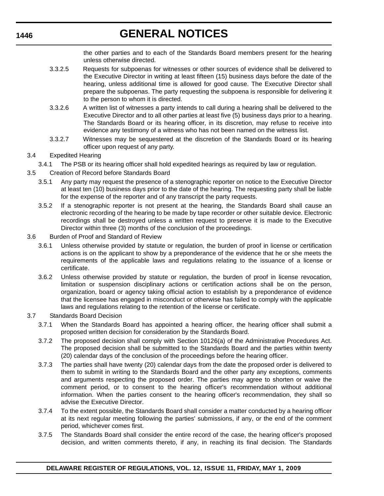# **GENERAL NOTICES**

the other parties and to each of the Standards Board members present for the hearing unless otherwise directed.

- 3.3.2.5 Requests for subpoenas for witnesses or other sources of evidence shall be delivered to the Executive Director in writing at least fifteen (15) business days before the date of the hearing, unless additional time is allowed for good cause. The Executive Director shall prepare the subpoenas. The party requesting the subpoena is responsible for delivering it to the person to whom it is directed.
- 3.3.2.6 A written list of witnesses a party intends to call during a hearing shall be delivered to the Executive Director and to all other parties at least five (5) business days prior to a hearing. The Standards Board or its hearing officer, in its discretion, may refuse to receive into evidence any testimony of a witness who has not been named on the witness list.
- 3.3.2.7 Witnesses may be sequestered at the discretion of the Standards Board or its hearing officer upon request of any party.
- 3.4 Expedited Hearing
	- 3.4.1 The PSB or its hearing officer shall hold expedited hearings as required by law or regulation.
- 3.5 Creation of Record before Standards Board
	- 3.5.1 Any party may request the presence of a stenographic reporter on notice to the Executive Director at least ten (10) business days prior to the date of the hearing. The requesting party shall be liable for the expense of the reporter and of any transcript the party requests.
	- 3.5.2 If a stenographic reporter is not present at the hearing, the Standards Board shall cause an electronic recording of the hearing to be made by tape recorder or other suitable device. Electronic recordings shall be destroyed unless a written request to preserve it is made to the Executive Director within three (3) months of the conclusion of the proceedings.
- 3.6 Burden of Proof and Standard of Review
	- 3.6.1 Unless otherwise provided by statute or regulation, the burden of proof in license or certification actions is on the applicant to show by a preponderance of the evidence that he or she meets the requirements of the applicable laws and regulations relating to the issuance of a license or certificate.
	- 3.6.2 Unless otherwise provided by statute or regulation, the burden of proof in license revocation, limitation or suspension disciplinary actions or certification actions shall be on the person, organization, board or agency taking official action to establish by a preponderance of evidence that the licensee has engaged in misconduct or otherwise has failed to comply with the applicable laws and regulations relating to the retention of the license or certificate.
- 3.7 Standards Board Decision
	- 3.7.1 When the Standards Board has appointed a hearing officer, the hearing officer shall submit a proposed written decision for consideration by the Standards Board.
	- 3.7.2 The proposed decision shall comply with Section 10126(a) of the Administrative Procedures Act. The proposed decision shall be submitted to the Standards Board and the parties within twenty (20) calendar days of the conclusion of the proceedings before the hearing officer.
	- 3.7.3 The parties shall have twenty (20) calendar days from the date the proposed order is delivered to them to submit in writing to the Standards Board and the other party any exceptions, comments and arguments respecting the proposed order. The parties may agree to shorten or waive the comment period, or to consent to the hearing officer's recommendation without additional information. When the parties consent to the hearing officer's recommendation, they shall so advise the Executive Director.
	- 3.7.4 To the extent possible, the Standards Board shall consider a matter conducted by a hearing officer at its next regular meeting following the parties' submissions, if any, or the end of the comment period, whichever comes first.
	- 3.7.5 The Standards Board shall consider the entire record of the case, the hearing officer's proposed decision, and written comments thereto, if any, in reaching its final decision. The Standards

**1446**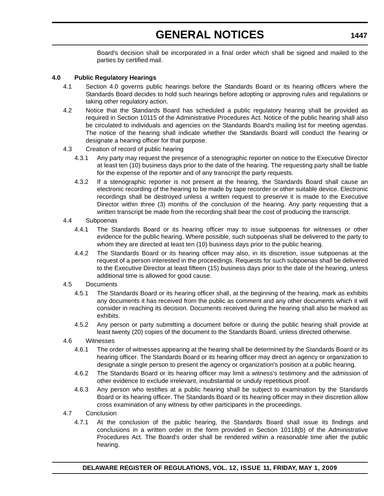# **GENERAL NOTICES**

Board's decision shall be incorporated in a final order which shall be signed and mailed to the parties by certified mail.

#### **4.0 Public Regulatory Hearings**

- 4.1 Section 4.0 governs public hearings before the Standards Board or its hearing officers where the Standards Board decides to hold such hearings before adopting or approving rules and regulations or taking other regulatory action.
- 4.2 Notice that the Standards Board has scheduled a public regulatory hearing shall be provided as required in Section 10115 of the Administrative Procedures Act. Notice of the public hearing shall also be circulated to individuals and agencies on the Standards Board's mailing list for meeting agendas. The notice of the hearing shall indicate whether the Standards Board will conduct the hearing or designate a hearing officer for that purpose.
- 4.3 Creation of record of public hearing
	- 4.3.1 Any party may request the presence of a stenographic reporter on notice to the Executive Director at least ten (10) business days prior to the date of the hearing. The requesting party shall be liable for the expense of the reporter and of any transcript the party requests.
	- 4.3.2 If a stenographic reporter is not present at the hearing, the Standards Board shall cause an electronic recording of the hearing to be made by tape recorder or other suitable device. Electronic recordings shall be destroyed unless a written request to preserve it is made to the Executive Director within three (3) months of the conclusion of the hearing. Any party requesting that a written transcript be made from the recording shall bear the cost of producing the transcript.

#### 4.4 Subpoenas

- 4.4.1 The Standards Board or its hearing officer may to issue subpoenas for witnesses or other evidence for the public hearing. Where possible, such subpoenas shall be delivered to the party to whom they are directed at least ten (10) business days prior to the public hearing.
- 4.4.2 The Standards Board or its hearing officer may also, in its discretion, issue subpoenas at the request of a person interested in the proceedings. Requests for such subpoenas shall be delivered to the Executive Director at least fifteen (15) business days prior to the date of the hearing, unless additional time is allowed for good cause.

#### 4.5 Documents

- 4.5.1 The Standards Board or its hearing officer shall, at the beginning of the hearing, mark as exhibits any documents it has received from the public as comment and any other documents which it will consider in reaching its decision. Documents received during the hearing shall also be marked as exhibits.
- 4.5.2 Any person or party submitting a document before or during the public hearing shall provide at least twenty (20) copies of the document to the Standards Board, unless directed otherwise.
- 4.6 Witnesses
	- 4.6.1 The order of witnesses appearing at the hearing shall be determined by the Standards Board or its hearing officer. The Standards Board or its hearing officer may direct an agency or organization to designate a single person to present the agency or organization's position at a public hearing.
	- 4.6.2 The Standards Board or its hearing officer may limit a witness's testimony and the admission of other evidence to exclude irrelevant, insubstantial or unduly repetitious proof.
	- 4.6.3 Any person who testifies at a public hearing shall be subject to examination by the Standards Board or its hearing officer. The Standards Board or its hearing officer may in their discretion allow cross examination of any witness by other participants in the proceedings.
- 4.7 Conclusion
	- 4.7.1 At the conclusion of the public hearing, the Standards Board shall issue its findings and conclusions in a written order in the form provided in Section 10118(b) of the Administrative Procedures Act. The Board's order shall be rendered within a reasonable time after the public hearing.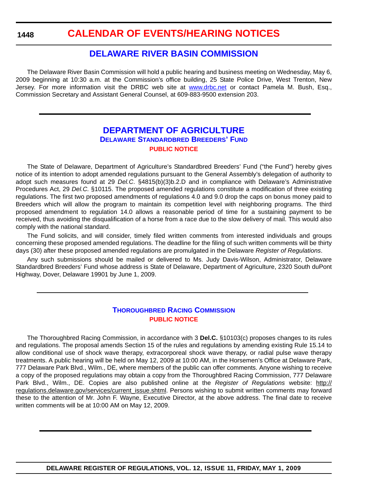### **[CALENDAR OF EVENTS/HEARING NOTICES](#page-4-0)**

### **[DELAWARE RIVER BASIN COMMISSION](http://www.state.nj.us/drbc/)**

The Delaware River Basin Commission will hold a public hearing and business meeting on Wednesday, May 6, 2009 beginning at 10:30 a.m. at the Commission's office building, 25 State Police Drive, West Trenton, New Jersey. For more information visit the DRBC web site at www.drbc.net or contact Pamela M. Bush, Esq., Commission Secretary and Assistant General Counsel, at 609-883-9500 extension 203.

### **[DEPARTMENT OF AGRICULTURE](http://dda.delaware.gov/default.shtml) DELAWARE STANDARDBRED BREEDERS' FUND [PUBLIC NOTICE](#page-4-0)**

The State of Delaware, Department of Agriculture's Standardbred Breeders' Fund ("the Fund") hereby gives notice of its intention to adopt amended regulations pursuant to the General Assembly's delegation of authority to adopt such measures found at 29 *Del.C*. §4815(b)(3)b.2.D and in compliance with Delaware's Administrative Procedures Act, 29 *Del.C.* §10115. The proposed amended regulations constitute a modification of three existing regulations. The first two proposed amendments of regulations 4.0 and 9.0 drop the caps on bonus money paid to Breeders which will allow the program to maintain its competition level with neighboring programs. The third proposed amendment to regulation 14.0 allows a reasonable period of time for a sustaining payment to be received, thus avoiding the disqualification of a horse from a race due to the slow delivery of mail. This would also comply with the national standard.

The Fund solicits, and will consider, timely filed written comments from interested individuals and groups concerning these proposed amended regulations. The deadline for the filing of such written comments will be thirty days (30) after these proposed amended regulations are promulgated in the Delaware *Register of Regulations*.

Any such submissions should be mailed or delivered to Ms. Judy Davis-Wilson, Administrator, Delaware Standardbred Breeders' Fund whose address is State of Delaware, Department of Agriculture, 2320 South duPont Highway, Dover, Delaware 19901 by June 1, 2009.

### **[THOROUGHBRED RACING COMMISSION](http://dda.delaware.gov/default.shtml) [PUBLIC NOTICE](#page-4-0)**

The Thoroughbred Racing Commission, in accordance with 3 **Del.C.** §10103(c) proposes changes to its rules and regulations. The proposal amends Section 15 of the rules and regulations by amending existing Rule 15.14 to allow conditional use of shock wave therapy, extracorporeal shock wave therapy, or radial pulse wave therapy treatments. A public hearing will be held on May 12, 2009 at 10:00 AM, in the Horsemen's Office at Delaware Park, 777 Delaware Park Blvd., Wilm., DE, where members of the public can offer comments. Anyone wishing to receive a copy of the proposed regulations may obtain a copy from the Thoroughbred Racing Commission, 777 Delaware Park Blvd., Wilm., DE. Copies are also published online at the *Register of Regulations* website: http:// regulations.delaware.gov/services/current\_issue.shtml. Persons wishing to submit written comments may forward these to the attention of Mr. John F. Wayne, Executive Director, at the above address. The final date to receive written comments will be at 10:00 AM on May 12, 2009.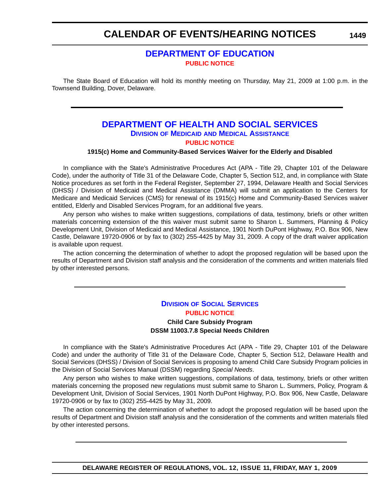## **CALENDAR OF EVENTS/HEARING NOTICES**

### **[DEPARTMENT OF EDUCATION](http://www.doe.k12.de.us/) [PUBLIC NOTICE](#page-4-0)**

The State Board of Education will hold its monthly meeting on Thursday, May 21, 2009 at 1:00 p.m. in the Townsend Building, Dover, Delaware.

### **[DEPARTMENT OF HEALTH AND SOCIAL SERVICES](http://www.dhss.delaware.gov/dhss/index.html) DIVISION OF MEDICAID AND MEDICAL ASSISTANCE [PUBLIC NOTICE](#page-4-0)**

#### **1915(c) Home and Community-Based Services Waiver for the Elderly and Disabled**

In compliance with the State's Administrative Procedures Act (APA - Title 29, Chapter 101 of the Delaware Code), under the authority of Title 31 of the Delaware Code, Chapter 5, Section 512, and, in compliance with State Notice procedures as set forth in the Federal Register, September 27, 1994, Delaware Health and Social Services (DHSS) / Division of Medicaid and Medical Assistance (DMMA) will submit an application to the Centers for Medicare and Medicaid Services (CMS) for renewal of its 1915(c) Home and Community-Based Services waiver entitled, Elderly and Disabled Services Program, for an additional five years.

Any person who wishes to make written suggestions, compilations of data, testimony, briefs or other written materials concerning extension of the this waiver must submit same to Sharon L. Summers, Planning & Policy Development Unit, Division of Medicaid and Medical Assistance, 1901 North DuPont Highway, P.O. Box 906, New Castle, Delaware 19720-0906 or by fax to (302) 255-4425 by May 31, 2009. A copy of the draft waiver application is available upon request.

The action concerning the determination of whether to adopt the proposed regulation will be based upon the results of Department and Division staff analysis and the consideration of the comments and written materials filed by other interested persons.

### **DIVISION [OF SOCIAL SERVICES](http://www.dhss.delaware.gov/dhss/dmma/) [PUBLIC NOTICE](#page-4-0) Child Care Subsidy Program**

**DSSM 11003.7.8 Special Needs Children**

In compliance with the State's Administrative Procedures Act (APA - Title 29, Chapter 101 of the Delaware Code) and under the authority of Title 31 of the Delaware Code, Chapter 5, Section 512, Delaware Health and Social Services (DHSS) / Division of Social Services is proposing to amend Child Care Subsidy Program policies in the Division of Social Services Manual (DSSM) regarding *Special Needs*.

Any person who wishes to make written suggestions, compilations of data, testimony, briefs or other written materials concerning the proposed new regulations must submit same to Sharon L. Summers, Policy, Program & Development Unit, Division of Social Services, 1901 North DuPont Highway, P.O. Box 906, New Castle, Delaware 19720-0906 or by fax to (302) 255-4425 by May 31, 2009.

The action concerning the determination of whether to adopt the proposed regulation will be based upon the results of Department and Division staff analysis and the consideration of the comments and written materials filed by other interested persons.

**1449**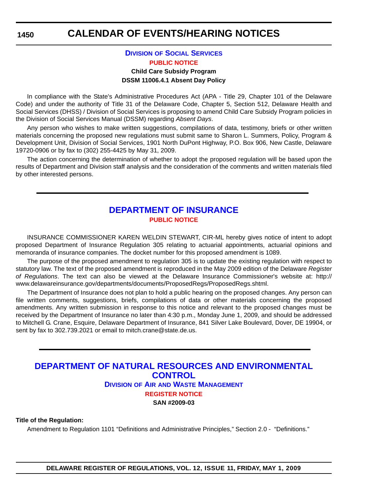## **CALENDAR OF EVENTS/HEARING NOTICES**

### **DIVISION [OF SOCIAL SERVICES](http://www.dhss.delaware.gov/dhss/dmma/) [PUBLIC NOTICE](#page-4-0)**

#### **Child Care Subsidy Program DSSM 11006.4.1 Absent Day Policy**

In compliance with the State's Administrative Procedures Act (APA - Title 29, Chapter 101 of the Delaware Code) and under the authority of Title 31 of the Delaware Code, Chapter 5, Section 512, Delaware Health and Social Services (DHSS) / Division of Social Services is proposing to amend Child Care Subsidy Program policies in the Division of Social Services Manual (DSSM) regarding *Absent Days*.

Any person who wishes to make written suggestions, compilations of data, testimony, briefs or other written materials concerning the proposed new regulations must submit same to Sharon L. Summers, Policy, Program & Development Unit, Division of Social Services, 1901 North DuPont Highway, P.O. Box 906, New Castle, Delaware 19720-0906 or by fax to (302) 255-4425 by May 31, 2009.

The action concerning the determination of whether to adopt the proposed regulation will be based upon the results of Department and Division staff analysis and the consideration of the comments and written materials filed by other interested persons.

### **[DEPARTMENT OF INSURANCE](http://www.delawareinsurance.gov/) [PUBLIC NOTICE](#page-4-0)**

INSURANCE COMMISSIONER KAREN WELDIN STEWART, CIR-ML hereby gives notice of intent to adopt proposed Department of Insurance Regulation 305 relating to actuarial appointments, actuarial opinions and memoranda of insurance companies. The docket number for this proposed amendment is 1089.

The purpose of the proposed amendment to regulation 305 is to update the existing regulation with respect to statutory law. The text of the proposed amendment is reproduced in the May 2009 edition of the Delaware *Register of Regulations*. The text can also be viewed at the Delaware Insurance Commissioner's website at: http:// www.delawareinsurance.gov/departments/documents/ProposedRegs/ProposedRegs.shtml.

The Department of Insurance does not plan to hold a public hearing on the proposed changes. Any person can file written comments, suggestions, briefs, compilations of data or other materials concerning the proposed amendments. Any written submission in response to this notice and relevant to the proposed changes must be received by the Department of Insurance no later than 4:30 p.m., Monday June 1, 2009, and should be addressed to Mitchell G. Crane, Esquire, Delaware Department of Insurance, 841 Silver Lake Boulevard, Dover, DE 19904, or sent by fax to 302.739.2021 or email to mitch.crane@state.de.us.

### **[DEPARTMENT OF NATURAL RESOURCES AND ENVIRONMENTAL](http://www.awm.delaware.gov/Pages/default.aspx)  CONTROL DIVISION OF AIR AND WASTE MANAGEMENT [REGISTER NOTICE](#page-4-0) SAN #2009-03**

**Title of the Regulation:**

Amendment to Regulation 1101 "Definitions and Administrative Principles," Section 2.0 - "Definitions."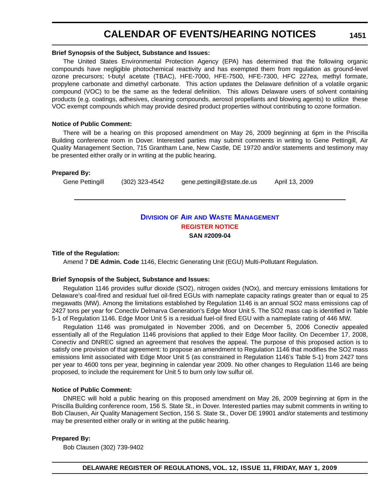## **CALENDAR OF EVENTS/HEARING NOTICES**

#### **Brief Synopsis of the Subject, Substance and Issues:**

The United States Environmental Protection Agency (EPA) has determined that the following organic compounds have negligible photochemical reactivity and has exempted them from regulation as ground-level ozone precursors; t-butyl acetate (TBAC), HFE-7000, HFE-7500, HFE-7300, HFC 227ea, methyl formate, propylene carbonate and dimethyl carbonate. This action updates the Delaware definition of a volatile organic compound (VOC) to be the same as the federal definition. This allows Delaware users of solvent containing products (e.g. coatings, adhesives, cleaning compounds, aerosol propellants and blowing agents) to utilize these VOC exempt compounds which may provide desired product properties without contributing to ozone formation.

#### **Notice of Public Comment:**

There will be a hearing on this proposed amendment on May 26, 2009 beginning at 6pm in the Priscilla Building conference room in Dover. Interested parties may submit comments in writing to Gene Pettingill, Air Quality Management Section, 715 Grantham Lane, New Castle, DE 19720 and/or statements and testimony may be presented either orally or in writing at the public hearing.

#### **Prepared By:**

Gene Pettingill (302) 323-4542 gene.pettingill@state.de.us April 13, 2009

### **DIVISION OF AIR [AND WASTE MANAGEMENT](http://www.awm.delaware.gov/Pages/default.aspx) [REGISTER NOTICE](#page-4-0) SAN #2009-04**

#### **Title of the Regulation:**

Amend 7 **DE Admin. Code** 1146, Electric Generating Unit (EGU) Multi-Pollutant Regulation.

#### **Brief Synopsis of the Subject, Substance and Issues:**

Regulation 1146 provides sulfur dioxide (SO2), nitrogen oxides (NOx), and mercury emissions limitations for Delaware's coal-fired and residual fuel oil-fired EGUs with nameplate capacity ratings greater than or equal to 25 megawatts (MW). Among the limitations established by Regulation 1146 is an annual SO2 mass emissions cap of 2427 tons per year for Conectiv Delmarva Generation's Edge Moor Unit 5. The SO2 mass cap is identified in Table 5-1 of Regulation 1146. Edge Moor Unit 5 is a residual fuel-oil fired EGU with a nameplate rating of 446 MW.

Regulation 1146 was promulgated in November 2006, and on December 5, 2006 Conectiv appealed essentially all of the Regulation 1146 provisions that applied to their Edge Moor facility. On December 17, 2008, Conectiv and DNREC signed an agreement that resolves the appeal. The purpose of this proposed action is to satisfy one provision of that agreement: to propose an amendment to Regulation 1146 that modifies the SO2 mass emissions limit associated with Edge Moor Unit 5 (as constrained in Regulation 1146's Table 5-1) from 2427 tons per year to 4600 tons per year, beginning in calendar year 2009. No other changes to Regulation 1146 are being proposed, to include the requirement for Unit 5 to burn only low sulfur oil.

#### **Notice of Public Comment:**

DNREC will hold a public hearing on this proposed amendment on May 26, 2009 beginning at 6pm in the Priscilla Building conference room, 156 S. State St., in Dover. Interested parties may submit comments in writing to Bob Clausen, Air Quality Management Section, 156 S. State St., Dover DE 19901 and/or statements and testimony may be presented either orally or in writing at the public hearing.

#### **Prepared By:**

Bob Clausen (302) 739-9402